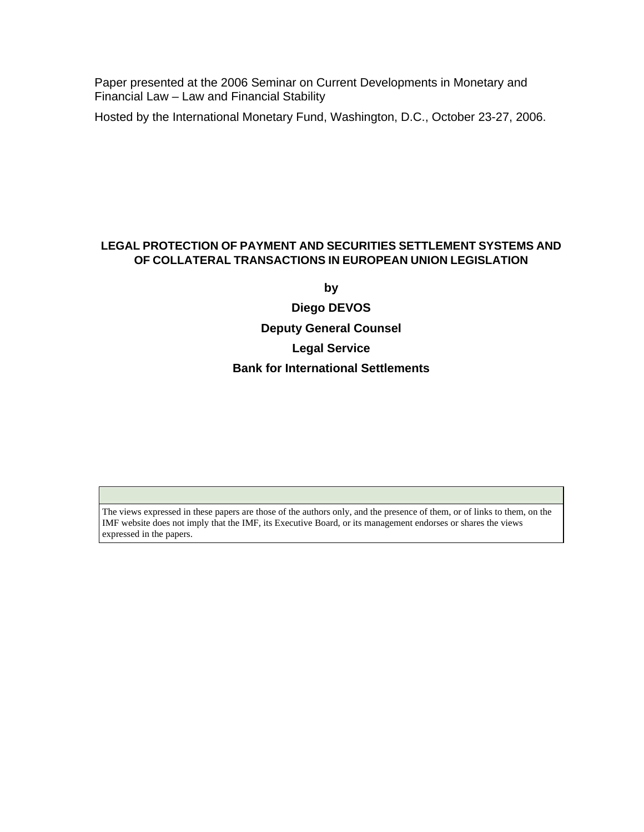Paper presented at the 2006 Seminar on Current Developments in Monetary and Financial Law – Law and Financial Stability

Hosted by the International Monetary Fund, Washington, D.C., October 23-27, 2006.

#### **LEGAL PROTECTION OF PAYMENT AND SECURITIES SETTLEMENT SYSTEMS AND OF COLLATERAL TRANSACTIONS IN EUROPEAN UNION LEGISLATION**

**by** 

**Diego DEVOS Deputy General Counsel Legal Service Bank for International Settlements** 

The views expressed in these papers are those of the authors only, and the presence of them, or of links to them, on the IMF website does not imply that the IMF, its Executive Board, or its management endorses or shares the views expressed in the papers.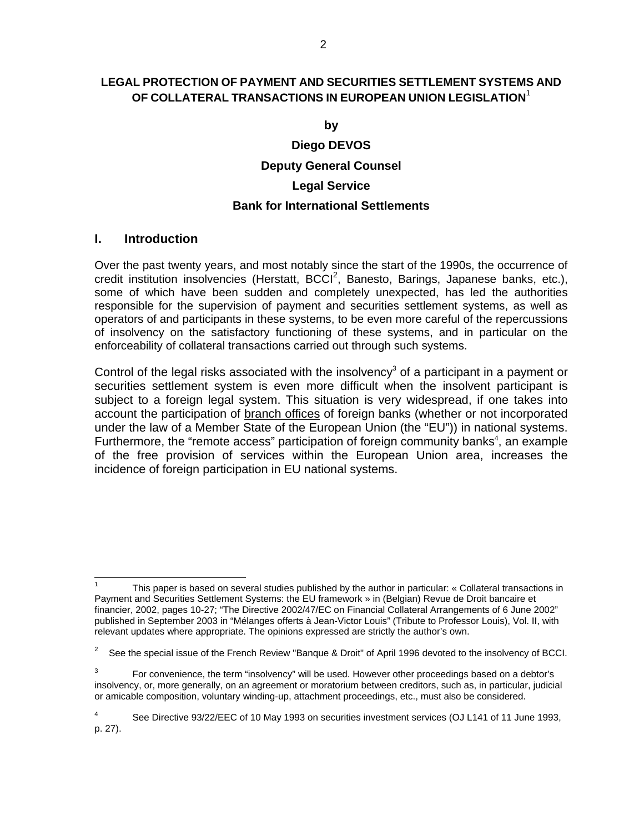#### **LEGAL PROTECTION OF PAYMENT AND SECURITIES SETTLEMENT SYSTEMS AND OF COLLATERAL TRANSACTIONS IN EUROPEAN UNION LEGISLATION**<sup>1</sup>

**by** 

# **Diego DEVOS Deputy General Counsel Legal Service Bank for International Settlements**

#### **I. Introduction**

 $\overline{a}$ 

Over the past twenty years, and most notably since the start of the 1990s, the occurrence of credit institution insolvencies (Herstatt, BCCI<sup>2</sup>, Banesto, Barings, Japanese banks, etc.), some of which have been sudden and completely unexpected, has led the authorities responsible for the supervision of payment and securities settlement systems, as well as operators of and participants in these systems, to be even more careful of the repercussions of insolvency on the satisfactory functioning of these systems, and in particular on the enforceability of collateral transactions carried out through such systems.

Control of the legal risks associated with the insolvency<sup>3</sup> of a participant in a payment or securities settlement system is even more difficult when the insolvent participant is subject to a foreign legal system. This situation is very widespread, if one takes into account the participation of branch offices of foreign banks (whether or not incorporated under the law of a Member State of the European Union (the "EU")) in national systems. Furthermore, the "remote access" participation of foreign community banks $4$ , an example of the free provision of services within the European Union area, increases the incidence of foreign participation in EU national systems.

<sup>1</sup> This paper is based on several studies published by the author in particular: « Collateral transactions in Payment and Securities Settlement Systems: the EU framework » in (Belgian) Revue de Droit bancaire et financier, 2002, pages 10-27; "The Directive 2002/47/EC on Financial Collateral Arrangements of 6 June 2002" published in September 2003 in "Mélanges offerts à Jean-Victor Louis" (Tribute to Professor Louis), Vol. II, with relevant updates where appropriate. The opinions expressed are strictly the author's own.

<sup>&</sup>lt;sup>2</sup> See the special issue of the French Review "Banque & Droit" of April 1996 devoted to the insolvency of BCCI.

 $3$  For convenience, the term "insolvency" will be used. However other proceedings based on a debtor's insolvency, or, more generally, on an agreement or moratorium between creditors, such as, in particular, judicial or amicable composition, voluntary winding-up, attachment proceedings, etc., must also be considered.

<sup>4</sup> See Directive 93/22/EEC of 10 May 1993 on securities investment services (OJ L141 of 11 June 1993, p. 27).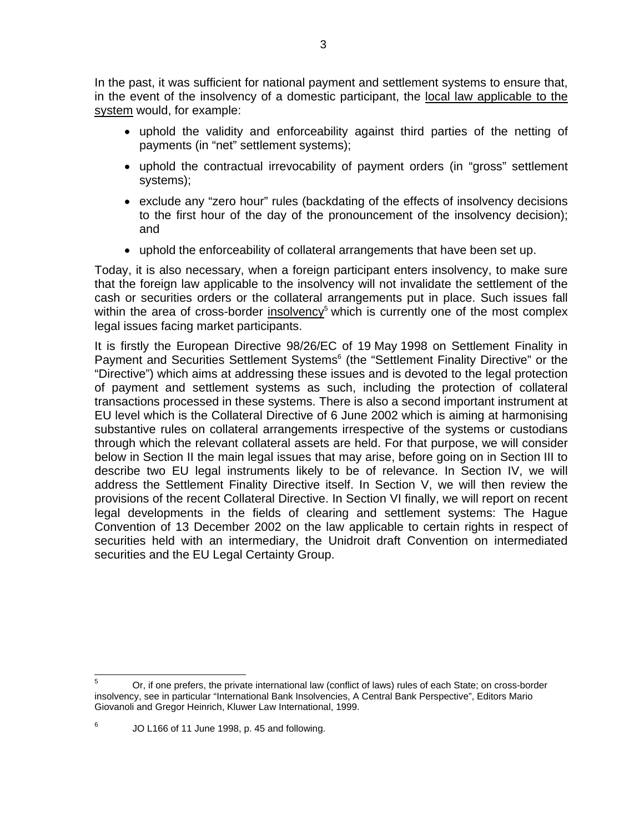In the past, it was sufficient for national payment and settlement systems to ensure that, in the event of the insolvency of a domestic participant, the local law applicable to the system would, for example:

- uphold the validity and enforceability against third parties of the netting of payments (in "net" settlement systems);
- uphold the contractual irrevocability of payment orders (in "gross" settlement systems);
- exclude any "zero hour" rules (backdating of the effects of insolvency decisions to the first hour of the day of the pronouncement of the insolvency decision); and
- uphold the enforceability of collateral arrangements that have been set up.

Today, it is also necessary, when a foreign participant enters insolvency, to make sure that the foreign law applicable to the insolvency will not invalidate the settlement of the cash or securities orders or the collateral arrangements put in place. Such issues fall within the area of cross-border insolvency<sup>5</sup> which is currently one of the most complex legal issues facing market participants.

It is firstly the European Directive 98/26/EC of 19 May 1998 on Settlement Finality in Payment and Securities Settlement Systems<sup>6</sup> (the "Settlement Finality Directive" or the "Directive") which aims at addressing these issues and is devoted to the legal protection of payment and settlement systems as such, including the protection of collateral transactions processed in these systems. There is also a second important instrument at EU level which is the Collateral Directive of 6 June 2002 which is aiming at harmonising substantive rules on collateral arrangements irrespective of the systems or custodians through which the relevant collateral assets are held. For that purpose, we will consider below in Section II the main legal issues that may arise, before going on in Section III to describe two EU legal instruments likely to be of relevance. In Section IV, we will address the Settlement Finality Directive itself. In Section V, we will then review the provisions of the recent Collateral Directive. In Section VI finally, we will report on recent legal developments in the fields of clearing and settlement systems: The Hague Convention of 13 December 2002 on the law applicable to certain rights in respect of securities held with an intermediary, the Unidroit draft Convention on intermediated securities and the EU Legal Certainty Group.

 $6$  JO L166 of 11 June 1998, p. 45 and following.

<sup>5</sup> <sup>5</sup> Or, if one prefers, the private international law (conflict of laws) rules of each State; on cross-border insolvency, see in particular "International Bank Insolvencies, A Central Bank Perspective", Editors Mario Giovanoli and Gregor Heinrich, Kluwer Law International, 1999.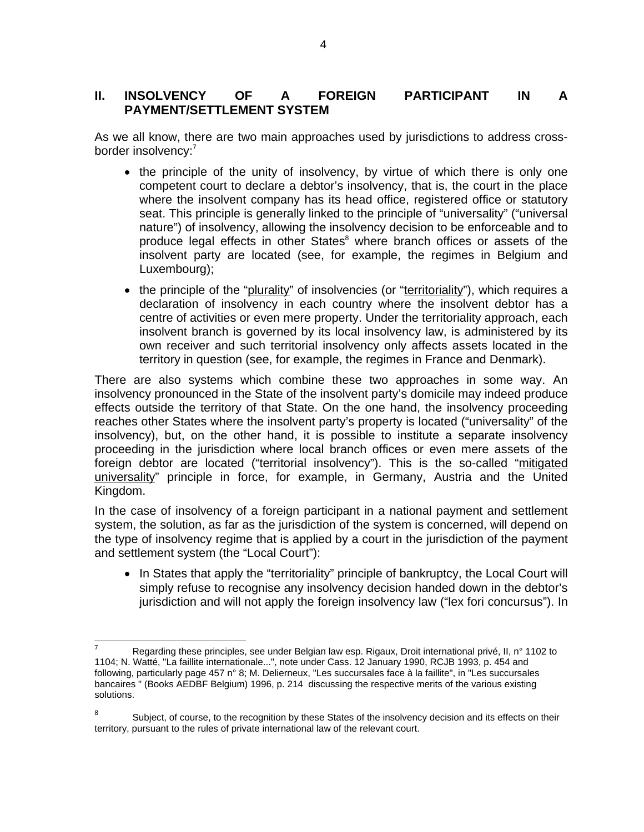# **II. INSOLVENCY OF A FOREIGN PARTICIPANT IN A PAYMENT/SETTLEMENT SYSTEM**

As we all know, there are two main approaches used by jurisdictions to address crossborder insolvency:<sup>7</sup>

- the principle of the unity of insolvency, by virtue of which there is only one competent court to declare a debtor's insolvency, that is, the court in the place where the insolvent company has its head office, registered office or statutory seat. This principle is generally linked to the principle of "universality" ("universal nature") of insolvency, allowing the insolvency decision to be enforceable and to produce legal effects in other States<sup>8</sup> where branch offices or assets of the insolvent party are located (see, for example, the regimes in Belgium and Luxembourg);
- the principle of the "plurality" of insolvencies (or "territoriality"), which requires a declaration of insolvency in each country where the insolvent debtor has a centre of activities or even mere property. Under the territoriality approach, each insolvent branch is governed by its local insolvency law, is administered by its own receiver and such territorial insolvency only affects assets located in the territory in question (see, for example, the regimes in France and Denmark).

There are also systems which combine these two approaches in some way. An insolvency pronounced in the State of the insolvent party's domicile may indeed produce effects outside the territory of that State. On the one hand, the insolvency proceeding reaches other States where the insolvent party's property is located ("universality" of the insolvency), but, on the other hand, it is possible to institute a separate insolvency proceeding in the jurisdiction where local branch offices or even mere assets of the foreign debtor are located ("territorial insolvency"). This is the so-called "mitigated universality" principle in force, for example, in Germany, Austria and the United Kingdom.

In the case of insolvency of a foreign participant in a national payment and settlement system, the solution, as far as the jurisdiction of the system is concerned, will depend on the type of insolvency regime that is applied by a court in the jurisdiction of the payment and settlement system (the "Local Court"):

• In States that apply the "territoriality" principle of bankruptcy, the Local Court will simply refuse to recognise any insolvency decision handed down in the debtor's jurisdiction and will not apply the foreign insolvency law ("lex fori concursus"). In

 7 Regarding these principles, see under Belgian law esp. Rigaux, Droit international privé, II, n° 1102 to 1104; N. Watté, "La faillite internationale...", note under Cass. 12 January 1990, RCJB 1993, p. 454 and following, particularly page 457 n° 8; M. Delierneux, "Les succursales face à la faillite", in "Les succursales bancaires " (Books AEDBF Belgium) 1996, p. 214 discussing the respective merits of the various existing solutions.

<sup>8</sup> Subject, of course, to the recognition by these States of the insolvency decision and its effects on their territory, pursuant to the rules of private international law of the relevant court.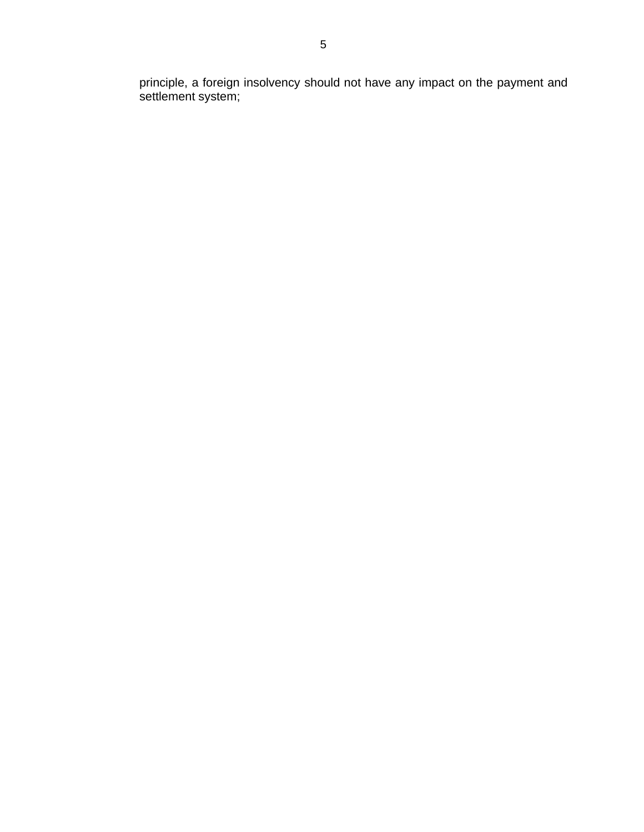principle, a foreign insolvency should not have any impact on the payment and settlement system;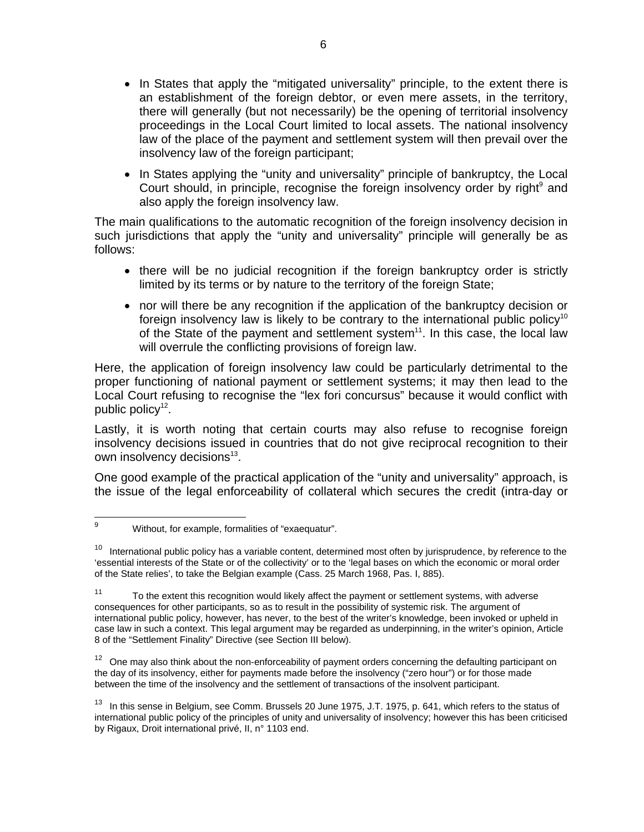- In States that apply the "mitigated universality" principle, to the extent there is an establishment of the foreign debtor, or even mere assets, in the territory, there will generally (but not necessarily) be the opening of territorial insolvency proceedings in the Local Court limited to local assets. The national insolvency law of the place of the payment and settlement system will then prevail over the insolvency law of the foreign participant;
- In States applying the "unity and universality" principle of bankruptcy, the Local Court should, in principle, recognise the foreign insolvency order by right<sup>9</sup> and also apply the foreign insolvency law.

The main qualifications to the automatic recognition of the foreign insolvency decision in such jurisdictions that apply the "unity and universality" principle will generally be as follows:

- there will be no judicial recognition if the foreign bankruptcy order is strictly limited by its terms or by nature to the territory of the foreign State;
- nor will there be any recognition if the application of the bankruptcy decision or foreign insolvency law is likely to be contrary to the international public policy<sup>10</sup> of the State of the payment and settlement system<sup>11</sup>. In this case, the local law will overrule the conflicting provisions of foreign law.

Here, the application of foreign insolvency law could be particularly detrimental to the proper functioning of national payment or settlement systems; it may then lead to the Local Court refusing to recognise the "lex fori concursus" because it would conflict with public policy<sup>12</sup>.

Lastly, it is worth noting that certain courts may also refuse to recognise foreign insolvency decisions issued in countries that do not give reciprocal recognition to their own insolvency decisions<sup>13</sup>.

One good example of the practical application of the "unity and universality" approach, is the issue of the legal enforceability of collateral which secures the credit (intra-day or

 $12$  One may also think about the non-enforceability of payment orders concerning the defaulting participant on the day of its insolvency, either for payments made before the insolvency ("zero hour") or for those made between the time of the insolvency and the settlement of transactions of the insolvent participant.

<sup>9</sup> Without, for example, formalities of "exaequatur".

<sup>&</sup>lt;sup>10</sup> International public policy has a variable content, determined most often by jurisprudence, by reference to the 'essential interests of the State or of the collectivity' or to the 'legal bases on which the economic or moral order of the State relies', to take the Belgian example (Cass. 25 March 1968, Pas. I, 885).

<sup>&</sup>lt;sup>11</sup> To the extent this recognition would likely affect the payment or settlement systems, with adverse consequences for other participants, so as to result in the possibility of systemic risk. The argument of international public policy, however, has never, to the best of the writer's knowledge, been invoked or upheld in case law in such a context. This legal argument may be regarded as underpinning, in the writer's opinion, Article 8 of the "Settlement Finality" Directive (see Section III below).

<sup>&</sup>lt;sup>13</sup> In this sense in Belgium, see Comm. Brussels 20 June 1975, J.T. 1975, p. 641, which refers to the status of international public policy of the principles of unity and universality of insolvency; however this has been criticised by Rigaux, Droit international privé, II, n° 1103 end.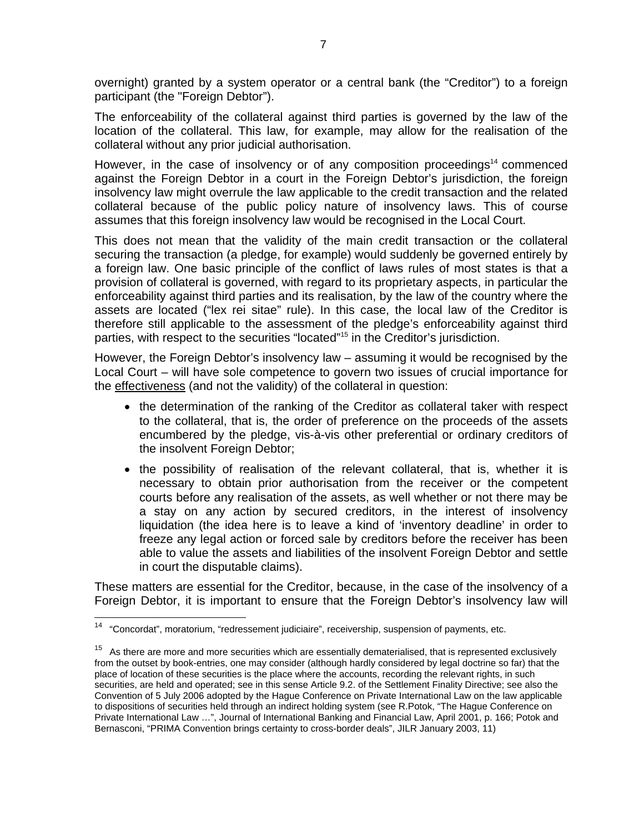overnight) granted by a system operator or a central bank (the "Creditor") to a foreign participant (the "Foreign Debtor").

The enforceability of the collateral against third parties is governed by the law of the location of the collateral. This law, for example, may allow for the realisation of the collateral without any prior judicial authorisation.

However, in the case of insolvency or of any composition proceedings<sup>14</sup> commenced against the Foreign Debtor in a court in the Foreign Debtor's jurisdiction, the foreign insolvency law might overrule the law applicable to the credit transaction and the related collateral because of the public policy nature of insolvency laws. This of course assumes that this foreign insolvency law would be recognised in the Local Court.

This does not mean that the validity of the main credit transaction or the collateral securing the transaction (a pledge, for example) would suddenly be governed entirely by a foreign law. One basic principle of the conflict of laws rules of most states is that a provision of collateral is governed, with regard to its proprietary aspects, in particular the enforceability against third parties and its realisation, by the law of the country where the assets are located ("lex rei sitae" rule). In this case, the local law of the Creditor is therefore still applicable to the assessment of the pledge's enforceability against third parties, with respect to the securities "located"15 in the Creditor's jurisdiction.

However, the Foreign Debtor's insolvency law – assuming it would be recognised by the Local Court – will have sole competence to govern two issues of crucial importance for the effectiveness (and not the validity) of the collateral in question:

- the determination of the ranking of the Creditor as collateral taker with respect to the collateral, that is, the order of preference on the proceeds of the assets encumbered by the pledge, vis-à-vis other preferential or ordinary creditors of the insolvent Foreign Debtor;
- the possibility of realisation of the relevant collateral, that is, whether it is necessary to obtain prior authorisation from the receiver or the competent courts before any realisation of the assets, as well whether or not there may be a stay on any action by secured creditors, in the interest of insolvency liquidation (the idea here is to leave a kind of 'inventory deadline' in order to freeze any legal action or forced sale by creditors before the receiver has been able to value the assets and liabilities of the insolvent Foreign Debtor and settle in court the disputable claims).

These matters are essential for the Creditor, because, in the case of the insolvency of a Foreign Debtor, it is important to ensure that the Foreign Debtor's insolvency law will

 $14$ 14 "Concordat", moratorium, "redressement judiciaire", receivership, suspension of payments, etc.

 $15$  As there are more and more securities which are essentially dematerialised, that is represented exclusively from the outset by book-entries, one may consider (although hardly considered by legal doctrine so far) that the place of location of these securities is the place where the accounts, recording the relevant rights, in such securities, are held and operated; see in this sense Article 9.2. of the Settlement Finality Directive; see also the Convention of 5 July 2006 adopted by the Hague Conference on Private International Law on the law applicable to dispositions of securities held through an indirect holding system (see R.Potok, "The Hague Conference on Private International Law …", Journal of International Banking and Financial Law, April 2001, p. 166; Potok and Bernasconi, "PRIMA Convention brings certainty to cross-border deals", JILR January 2003, 11)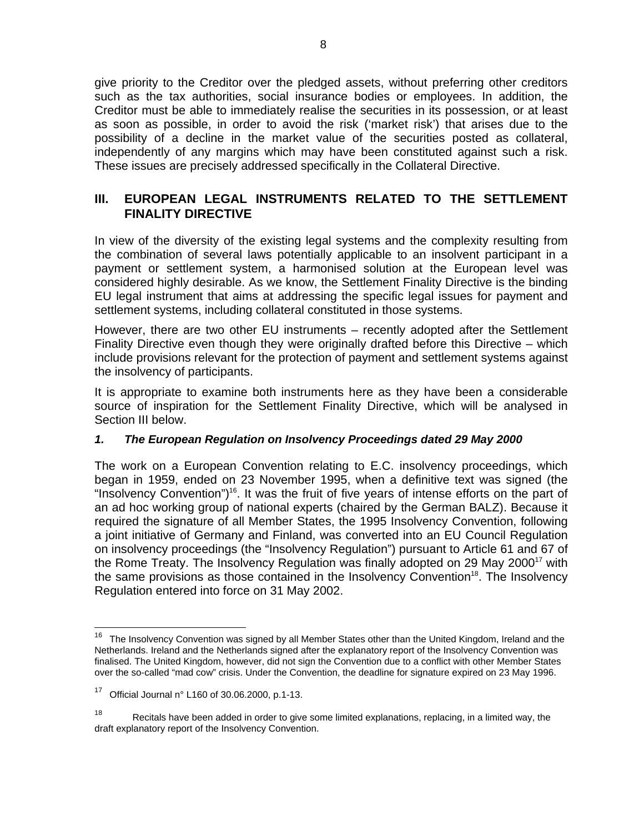give priority to the Creditor over the pledged assets, without preferring other creditors such as the tax authorities, social insurance bodies or employees. In addition, the Creditor must be able to immediately realise the securities in its possession, or at least as soon as possible, in order to avoid the risk ('market risk') that arises due to the possibility of a decline in the market value of the securities posted as collateral, independently of any margins which may have been constituted against such a risk. These issues are precisely addressed specifically in the Collateral Directive.

# **III. EUROPEAN LEGAL INSTRUMENTS RELATED TO THE SETTLEMENT FINALITY DIRECTIVE**

In view of the diversity of the existing legal systems and the complexity resulting from the combination of several laws potentially applicable to an insolvent participant in a payment or settlement system, a harmonised solution at the European level was considered highly desirable. As we know, the Settlement Finality Directive is the binding EU legal instrument that aims at addressing the specific legal issues for payment and settlement systems, including collateral constituted in those systems.

However, there are two other EU instruments – recently adopted after the Settlement Finality Directive even though they were originally drafted before this Directive – which include provisions relevant for the protection of payment and settlement systems against the insolvency of participants.

It is appropriate to examine both instruments here as they have been a considerable source of inspiration for the Settlement Finality Directive, which will be analysed in Section III below.

# *1. The European Regulation on Insolvency Proceedings dated 29 May 2000*

The work on a European Convention relating to E.C. insolvency proceedings, which began in 1959, ended on 23 November 1995, when a definitive text was signed (the "Insolvency Convention")<sup>16</sup>. It was the fruit of five years of intense efforts on the part of an ad hoc working group of national experts (chaired by the German BALZ). Because it required the signature of all Member States, the 1995 Insolvency Convention, following a joint initiative of Germany and Finland, was converted into an EU Council Regulation on insolvency proceedings (the "Insolvency Regulation") pursuant to Article 61 and 67 of the Rome Treaty. The Insolvency Regulation was finally adopted on 29 May 2000<sup>17</sup> with the same provisions as those contained in the Insolvency Convention<sup>18</sup>. The Insolvency Regulation entered into force on 31 May 2002.

 $16$ 16 The Insolvency Convention was signed by all Member States other than the United Kingdom, Ireland and the Netherlands. Ireland and the Netherlands signed after the explanatory report of the Insolvency Convention was finalised. The United Kingdom, however, did not sign the Convention due to a conflict with other Member States over the so-called "mad cow" crisis. Under the Convention, the deadline for signature expired on 23 May 1996.

<sup>&</sup>lt;sup>17</sup> Official Journal n° L160 of 30.06.2000, p.1-13.

<sup>&</sup>lt;sup>18</sup> Recitals have been added in order to give some limited explanations, replacing, in a limited way, the draft explanatory report of the Insolvency Convention.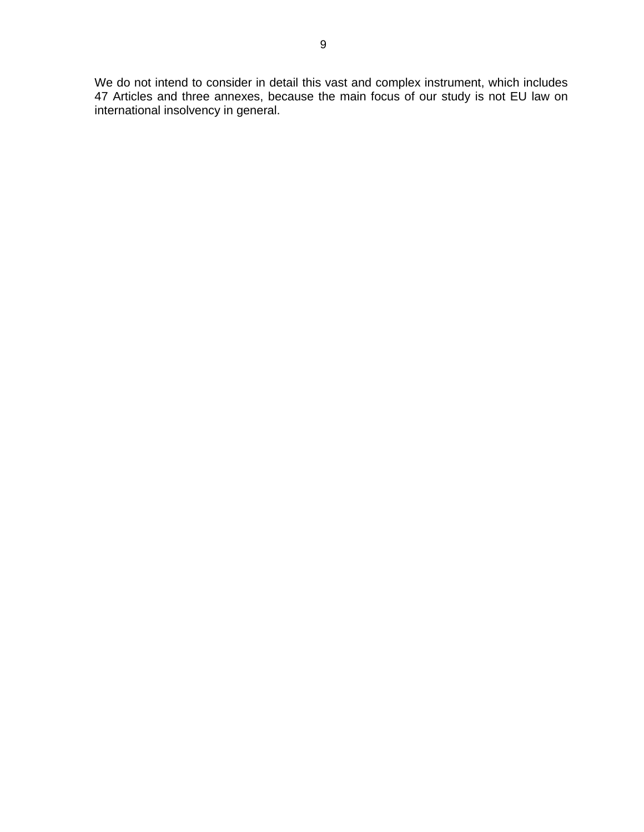We do not intend to consider in detail this vast and complex instrument, which includes 47 Articles and three annexes, because the main focus of our study is not EU law on international insolvency in general.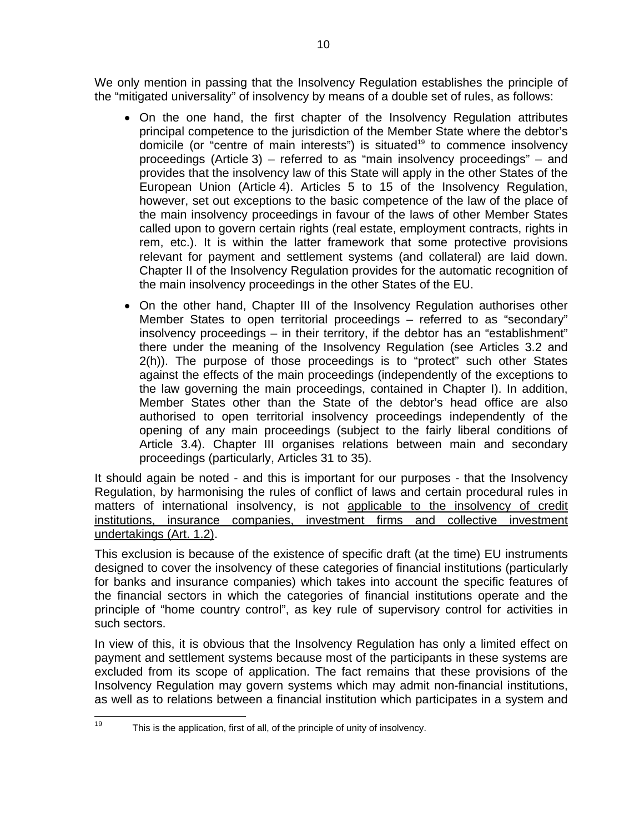We only mention in passing that the Insolvency Regulation establishes the principle of the "mitigated universality" of insolvency by means of a double set of rules, as follows:

- On the one hand, the first chapter of the Insolvency Regulation attributes principal competence to the jurisdiction of the Member State where the debtor's domicile (or "centre of main interests") is situated<sup>19</sup> to commence insolvency proceedings (Article 3) – referred to as "main insolvency proceedings" – and provides that the insolvency law of this State will apply in the other States of the European Union (Article 4). Articles 5 to 15 of the Insolvency Regulation, however, set out exceptions to the basic competence of the law of the place of the main insolvency proceedings in favour of the laws of other Member States called upon to govern certain rights (real estate, employment contracts, rights in rem, etc.). It is within the latter framework that some protective provisions relevant for payment and settlement systems (and collateral) are laid down. Chapter II of the Insolvency Regulation provides for the automatic recognition of the main insolvency proceedings in the other States of the EU.
- On the other hand, Chapter III of the Insolvency Regulation authorises other Member States to open territorial proceedings – referred to as "secondary" insolvency proceedings – in their territory, if the debtor has an "establishment" there under the meaning of the Insolvency Regulation (see Articles 3.2 and 2(h)). The purpose of those proceedings is to "protect" such other States against the effects of the main proceedings (independently of the exceptions to the law governing the main proceedings, contained in Chapter I). In addition, Member States other than the State of the debtor's head office are also authorised to open territorial insolvency proceedings independently of the opening of any main proceedings (subject to the fairly liberal conditions of Article 3.4). Chapter III organises relations between main and secondary proceedings (particularly, Articles 31 to 35).

It should again be noted - and this is important for our purposes - that the Insolvency Regulation, by harmonising the rules of conflict of laws and certain procedural rules in matters of international insolvency, is not applicable to the insolvency of credit institutions, insurance companies, investment firms and collective investment undertakings (Art. 1.2).

This exclusion is because of the existence of specific draft (at the time) EU instruments designed to cover the insolvency of these categories of financial institutions (particularly for banks and insurance companies) which takes into account the specific features of the financial sectors in which the categories of financial institutions operate and the principle of "home country control", as key rule of supervisory control for activities in such sectors.

In view of this, it is obvious that the Insolvency Regulation has only a limited effect on payment and settlement systems because most of the participants in these systems are excluded from its scope of application. The fact remains that these provisions of the Insolvency Regulation may govern systems which may admit non-financial institutions, as well as to relations between a financial institution which participates in a system and

<sup>19</sup> This is the application, first of all, of the principle of unity of insolvency.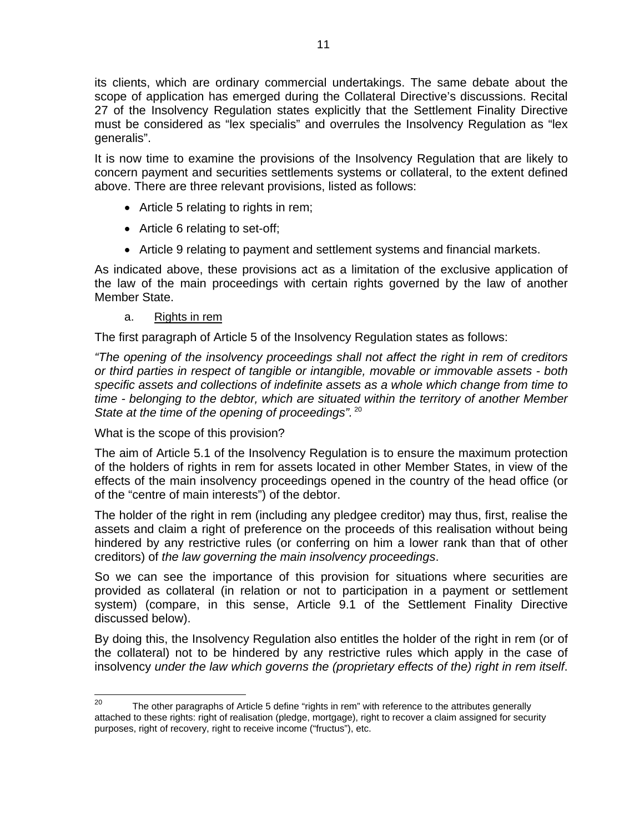its clients, which are ordinary commercial undertakings. The same debate about the scope of application has emerged during the Collateral Directive's discussions. Recital 27 of the Insolvency Regulation states explicitly that the Settlement Finality Directive must be considered as "lex specialis" and overrules the Insolvency Regulation as "lex generalis".

It is now time to examine the provisions of the Insolvency Regulation that are likely to concern payment and securities settlements systems or collateral, to the extent defined above. There are three relevant provisions, listed as follows:

- Article 5 relating to rights in rem;
- Article 6 relating to set-off;
- Article 9 relating to payment and settlement systems and financial markets.

As indicated above, these provisions act as a limitation of the exclusive application of the law of the main proceedings with certain rights governed by the law of another Member State.

#### a. Rights in rem

The first paragraph of Article 5 of the Insolvency Regulation states as follows:

*"The opening of the insolvency proceedings shall not affect the right in rem of creditors or third parties in respect of tangible or intangible, movable or immovable assets - both specific assets and collections of indefinite assets as a whole which change from time to time - belonging to the debtor, which are situated within the territory of another Member State at the time of the opening of proceedings".* <sup>20</sup>

What is the scope of this provision?

The aim of Article 5.1 of the Insolvency Regulation is to ensure the maximum protection of the holders of rights in rem for assets located in other Member States, in view of the effects of the main insolvency proceedings opened in the country of the head office (or of the "centre of main interests") of the debtor.

The holder of the right in rem (including any pledgee creditor) may thus, first, realise the assets and claim a right of preference on the proceeds of this realisation without being hindered by any restrictive rules (or conferring on him a lower rank than that of other creditors) of *the law governing the main insolvency proceedings*.

So we can see the importance of this provision for situations where securities are provided as collateral (in relation or not to participation in a payment or settlement system) (compare, in this sense, Article 9.1 of the Settlement Finality Directive discussed below).

By doing this, the Insolvency Regulation also entitles the holder of the right in rem (or of the collateral) not to be hindered by any restrictive rules which apply in the case of insolvency *under the law which governs the (proprietary effects of the) right in rem itself*.

<sup>20</sup> The other paragraphs of Article 5 define "rights in rem" with reference to the attributes generally attached to these rights: right of realisation (pledge, mortgage), right to recover a claim assigned for security purposes, right of recovery, right to receive income ("fructus"), etc.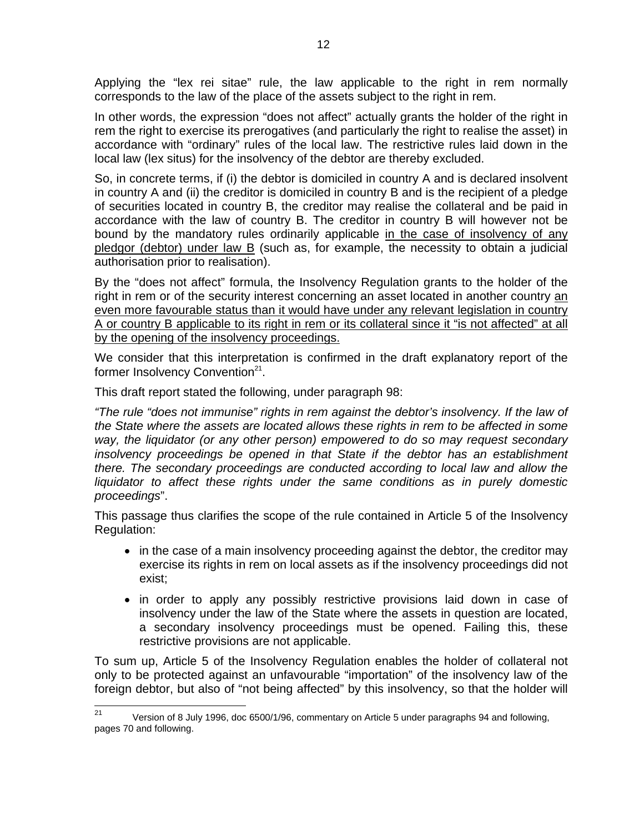Applying the "lex rei sitae" rule, the law applicable to the right in rem normally corresponds to the law of the place of the assets subject to the right in rem.

In other words, the expression "does not affect" actually grants the holder of the right in rem the right to exercise its prerogatives (and particularly the right to realise the asset) in accordance with "ordinary" rules of the local law. The restrictive rules laid down in the local law (lex situs) for the insolvency of the debtor are thereby excluded.

So, in concrete terms, if (i) the debtor is domiciled in country A and is declared insolvent in country A and (ii) the creditor is domiciled in country B and is the recipient of a pledge of securities located in country B, the creditor may realise the collateral and be paid in accordance with the law of country B. The creditor in country B will however not be bound by the mandatory rules ordinarily applicable in the case of insolvency of any  $p$ ledgor (debtor) under law  $B$  (such as, for example, the necessity to obtain a judicial authorisation prior to realisation).

By the "does not affect" formula, the Insolvency Regulation grants to the holder of the right in rem or of the security interest concerning an asset located in another country an even more favourable status than it would have under any relevant legislation in country A or country B applicable to its right in rem or its collateral since it "is not affected" at all by the opening of the insolvency proceedings.

We consider that this interpretation is confirmed in the draft explanatory report of the former Insolvency Convention<sup>21</sup>.

This draft report stated the following, under paragraph 98:

*"The rule "does not immunise" rights in rem against the debtor's insolvency. If the law of the State where the assets are located allows these rights in rem to be affected in some way, the liquidator (or any other person) empowered to do so may request secondary insolvency proceedings be opened in that State if the debtor has an establishment there. The secondary proceedings are conducted according to local law and allow the liquidator to affect these rights under the same conditions as in purely domestic proceedings*".

This passage thus clarifies the scope of the rule contained in Article 5 of the Insolvency Regulation:

- in the case of a main insolvency proceeding against the debtor, the creditor may exercise its rights in rem on local assets as if the insolvency proceedings did not exist;
- in order to apply any possibly restrictive provisions laid down in case of insolvency under the law of the State where the assets in question are located, a secondary insolvency proceedings must be opened. Failing this, these restrictive provisions are not applicable.

To sum up, Article 5 of the Insolvency Regulation enables the holder of collateral not only to be protected against an unfavourable "importation" of the insolvency law of the foreign debtor, but also of "not being affected" by this insolvency, so that the holder will

 $21$ Version of 8 July 1996, doc 6500/1/96, commentary on Article 5 under paragraphs 94 and following, pages 70 and following.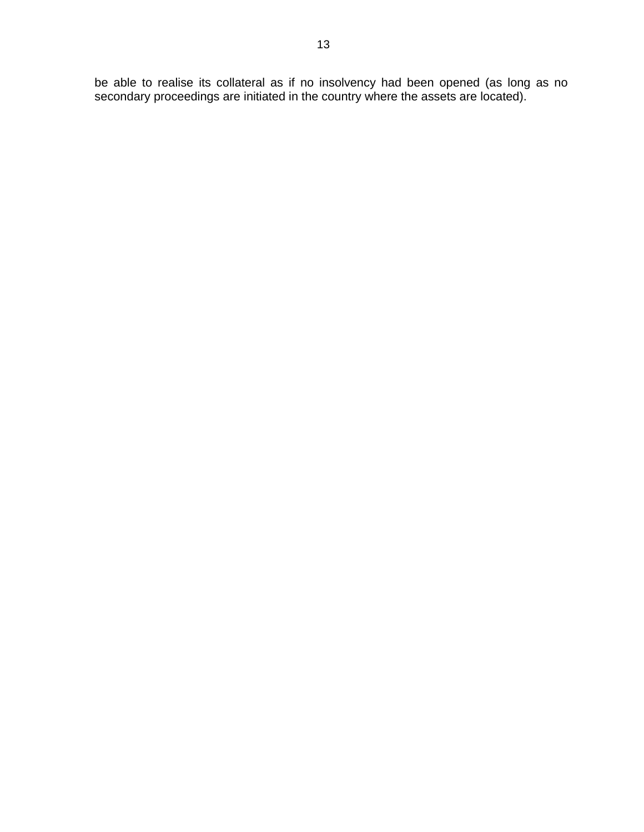be able to realise its collateral as if no insolvency had been opened (as long as no secondary proceedings are initiated in the country where the assets are located).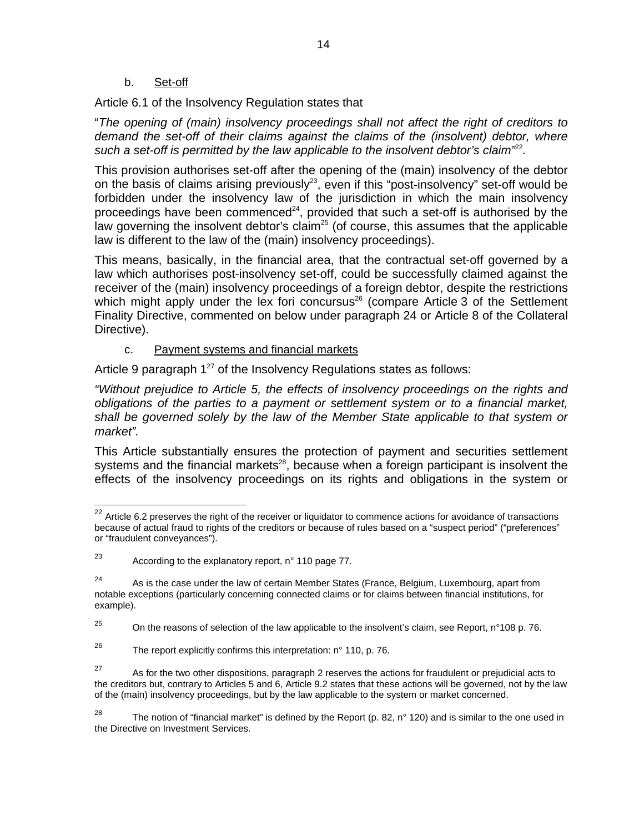b. Set-off

Article 6.1 of the Insolvency Regulation states that

"*The opening of (main) insolvency proceedings shall not affect the right of creditors to demand the set-off of their claims against the claims of the (insolvent) debtor, where such a set-off is permitted by the law applicable to the insolvent debtor's claim"*<sup>22</sup>*.* 

This provision authorises set-off after the opening of the (main) insolvency of the debtor on the basis of claims arising previously<sup>23</sup>, even if this "post-insolvency" set-off would be forbidden under the insolvency law of the jurisdiction in which the main insolvency proceedings have been commenced<sup>24</sup>, provided that such a set-off is authorised by the law governing the insolvent debtor's claim<sup>25</sup> (of course, this assumes that the applicable law is different to the law of the (main) insolvency proceedings).

This means, basically, in the financial area, that the contractual set-off governed by a law which authorises post-insolvency set-off, could be successfully claimed against the receiver of the (main) insolvency proceedings of a foreign debtor, despite the restrictions which might apply under the lex fori concursus<sup>26</sup> (compare Article 3 of the Settlement Finality Directive, commented on below under paragraph 24 or Article 8 of the Collateral Directive).

#### c. Payment systems and financial markets

Article 9 paragraph  $1^{27}$  of the Insolvency Regulations states as follows:

*"Without prejudice to Article 5, the effects of insolvency proceedings on the rights and obligations of the parties to a payment or settlement system or to a financial market, shall be governed solely by the law of the Member State applicable to that system or market".* 

This Article substantially ensures the protection of payment and securities settlement systems and the financial markets<sup>28</sup>, because when a foreign participant is insolvent the effects of the insolvency proceedings on its rights and obligations in the system or

 $^{22}$  Article 6.2 preserves the right of the receiver or liquidator to commence actions for avoidance of transactions because of actual fraud to rights of the creditors or because of rules based on a "suspect period" ("preferences" or "fraudulent conveyances").

 $23$  According to the explanatory report, n° 110 page 77.

 $24$  As is the case under the law of certain Member States (France, Belgium, Luxembourg, apart from notable exceptions (particularly concerning connected claims or for claims between financial institutions, for example).

<sup>&</sup>lt;sup>25</sup> On the reasons of selection of the law applicable to the insolvent's claim, see Report, n°108 p. 76.

<sup>&</sup>lt;sup>26</sup> The report explicitly confirms this interpretation:  $n^{\circ}$  110, p. 76.

<sup>&</sup>lt;sup>27</sup> As for the two other dispositions, paragraph 2 reserves the actions for fraudulent or prejudicial acts to the creditors but, contrary to Articles 5 and 6, Article 9.2 states that these actions will be governed, not by the law of the (main) insolvency proceedings, but by the law applicable to the system or market concerned.

<sup>&</sup>lt;sup>28</sup> The notion of "financial market" is defined by the Report (p. 82, n° 120) and is similar to the one used in the Directive on Investment Services.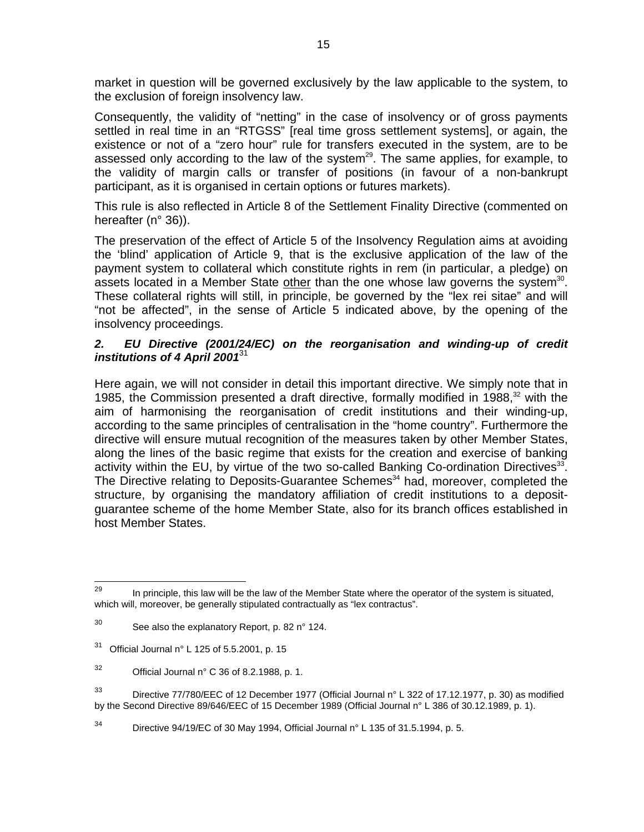market in question will be governed exclusively by the law applicable to the system, to the exclusion of foreign insolvency law.

Consequently, the validity of "netting" in the case of insolvency or of gross payments settled in real time in an "RTGSS" [real time gross settlement systems], or again, the existence or not of a "zero hour" rule for transfers executed in the system, are to be assessed only according to the law of the system $^{29}$ . The same applies, for example, to the validity of margin calls or transfer of positions (in favour of a non-bankrupt participant, as it is organised in certain options or futures markets).

This rule is also reflected in Article 8 of the Settlement Finality Directive (commented on hereafter (n° 36)).

The preservation of the effect of Article 5 of the Insolvency Regulation aims at avoiding the 'blind' application of Article 9, that is the exclusive application of the law of the payment system to collateral which constitute rights in rem (in particular, a pledge) on assets located in a Member State other than the one whose law governs the system<sup>30</sup>. These collateral rights will still, in principle, be governed by the "lex rei sitae" and will "not be affected", in the sense of Article 5 indicated above, by the opening of the insolvency proceedings.

#### *2. EU Directive (2001/24/EC) on the reorganisation and winding-up of credit institutions of 4 April 2001*<sup>31</sup>

Here again, we will not consider in detail this important directive. We simply note that in 1985, the Commission presented a draft directive, formally modified in 1988, $32$  with the aim of harmonising the reorganisation of credit institutions and their winding-up, according to the same principles of centralisation in the "home country". Furthermore the directive will ensure mutual recognition of the measures taken by other Member States, along the lines of the basic regime that exists for the creation and exercise of banking activity within the EU, by virtue of the two so-called Banking Co-ordination Directives<sup>33</sup>. The Directive relating to Deposits-Guarantee Schemes<sup>34</sup> had, moreover, completed the structure, by organising the mandatory affiliation of credit institutions to a depositguarantee scheme of the home Member State, also for its branch offices established in host Member States.

<sup>29</sup> In principle, this law will be the law of the Member State where the operator of the system is situated, which will, moreover, be generally stipulated contractually as "lex contractus".

 $30$  See also the explanatory Report, p. 82 n° 124.

 $31$  Official Journal n° L 125 of 5.5.2001, p. 15

 $32$  Official Journal n° C 36 of 8.2.1988, p. 1.

<sup>&</sup>lt;sup>33</sup> Directive 77/780/EEC of 12 December 1977 (Official Journal n° L 322 of 17.12.1977, p. 30) as modified by the Second Directive 89/646/EEC of 15 December 1989 (Official Journal n° L 386 of 30.12.1989, p. 1).

 $34$  Directive 94/19/EC of 30 May 1994, Official Journal n° L 135 of 31.5.1994, p. 5.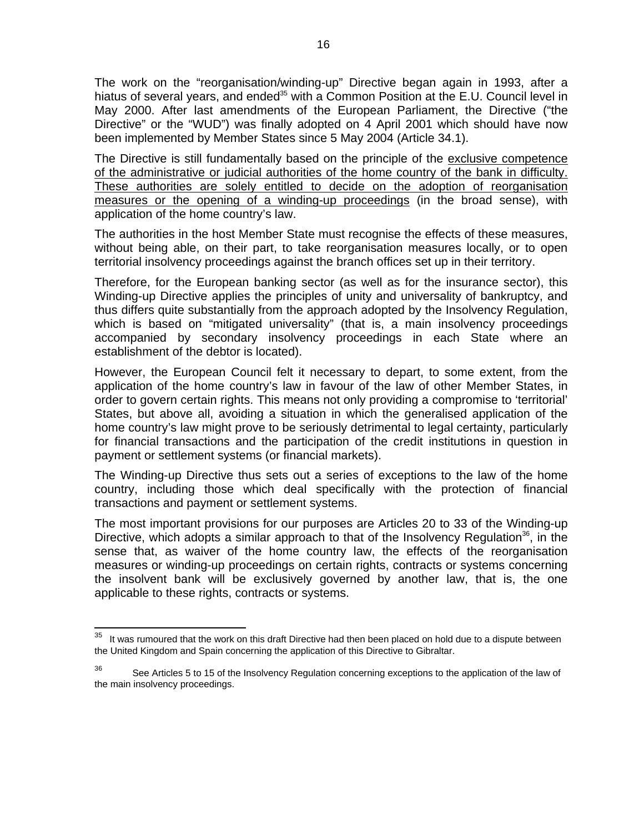The work on the "reorganisation/winding-up" Directive began again in 1993, after a hiatus of several years, and ended<sup>35</sup> with a Common Position at the E.U. Council level in May 2000. After last amendments of the European Parliament, the Directive ("the Directive" or the "WUD") was finally adopted on 4 April 2001 which should have now been implemented by Member States since 5 May 2004 (Article 34.1).

The Directive is still fundamentally based on the principle of the exclusive competence of the administrative or judicial authorities of the home country of the bank in difficulty. These authorities are solely entitled to decide on the adoption of reorganisation measures or the opening of a winding-up proceedings (in the broad sense), with application of the home country's law.

The authorities in the host Member State must recognise the effects of these measures, without being able, on their part, to take reorganisation measures locally, or to open territorial insolvency proceedings against the branch offices set up in their territory.

Therefore, for the European banking sector (as well as for the insurance sector), this Winding-up Directive applies the principles of unity and universality of bankruptcy, and thus differs quite substantially from the approach adopted by the Insolvency Regulation, which is based on "mitigated universality" (that is, a main insolvency proceedings accompanied by secondary insolvency proceedings in each State where an establishment of the debtor is located).

However, the European Council felt it necessary to depart, to some extent, from the application of the home country's law in favour of the law of other Member States, in order to govern certain rights. This means not only providing a compromise to 'territorial' States, but above all, avoiding a situation in which the generalised application of the home country's law might prove to be seriously detrimental to legal certainty, particularly for financial transactions and the participation of the credit institutions in question in payment or settlement systems (or financial markets).

The Winding-up Directive thus sets out a series of exceptions to the law of the home country, including those which deal specifically with the protection of financial transactions and payment or settlement systems.

The most important provisions for our purposes are Articles 20 to 33 of the Winding-up Directive, which adopts a similar approach to that of the Insolvency Regulation<sup>36</sup>, in the sense that, as waiver of the home country law, the effects of the reorganisation measures or winding-up proceedings on certain rights, contracts or systems concerning the insolvent bank will be exclusively governed by another law, that is, the one applicable to these rights, contracts or systems.

<sup>35</sup> It was rumoured that the work on this draft Directive had then been placed on hold due to a dispute between the United Kingdom and Spain concerning the application of this Directive to Gibraltar.

 $36$  See Articles 5 to 15 of the Insolvency Regulation concerning exceptions to the application of the law of the main insolvency proceedings.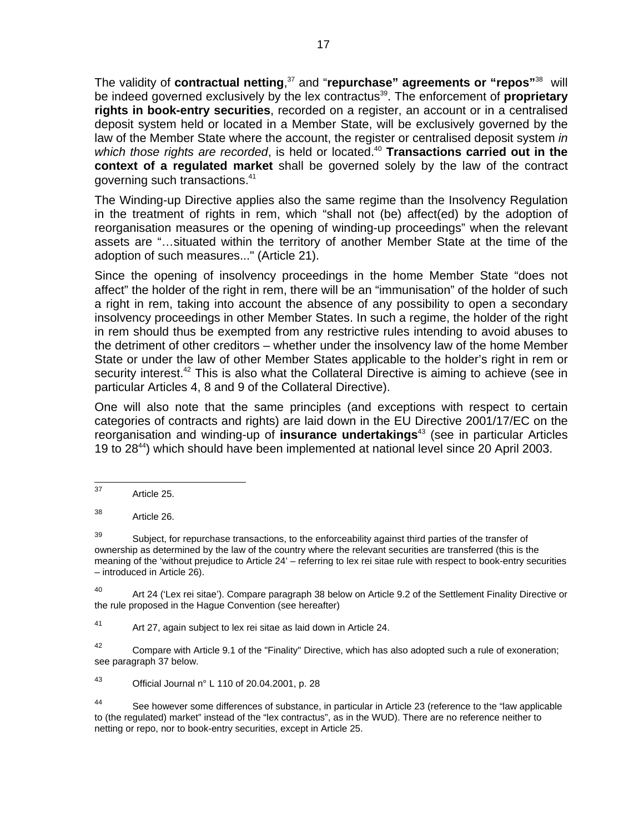The validity of **contractual netting**, 37 and "**repurchase" agreements or "repos"**38 will be indeed governed exclusively by the lex contractus<sup>39</sup>. The enforcement of **proprietary rights in book-entry securities**, recorded on a register, an account or in a centralised deposit system held or located in a Member State, will be exclusively governed by the law of the Member State where the account, the register or centralised deposit system *in*  which those rights are recorded, is held or located.<sup>40</sup> **Transactions carried out in the context of a regulated market** shall be governed solely by the law of the contract governing such transactions.<sup>41</sup>

The Winding-up Directive applies also the same regime than the Insolvency Regulation in the treatment of rights in rem, which "shall not (be) affect(ed) by the adoption of reorganisation measures or the opening of winding-up proceedings" when the relevant assets are "…situated within the territory of another Member State at the time of the adoption of such measures..." (Article 21).

Since the opening of insolvency proceedings in the home Member State "does not affect" the holder of the right in rem, there will be an "immunisation" of the holder of such a right in rem, taking into account the absence of any possibility to open a secondary insolvency proceedings in other Member States. In such a regime, the holder of the right in rem should thus be exempted from any restrictive rules intending to avoid abuses to the detriment of other creditors – whether under the insolvency law of the home Member State or under the law of other Member States applicable to the holder's right in rem or security interest.<sup>42</sup> This is also what the Collateral Directive is aiming to achieve (see in particular Articles 4, 8 and 9 of the Collateral Directive).

One will also note that the same principles (and exceptions with respect to certain categories of contracts and rights) are laid down in the EU Directive 2001/17/EC on the reorganisation and winding-up of **insurance undertakings**43 (see in particular Articles 19 to 28<sup>44</sup>) which should have been implemented at national level since 20 April 2003.

38 Article 26.

 $39$  Subject, for repurchase transactions, to the enforceability against third parties of the transfer of ownership as determined by the law of the country where the relevant securities are transferred (this is the meaning of the 'without prejudice to Article 24' – referring to lex rei sitae rule with respect to book-entry securities – introduced in Article 26).

<sup>40</sup> Art 24 ('Lex rei sitae'). Compare paragraph 38 below on Article 9.2 of the Settlement Finality Directive or the rule proposed in the Hague Convention (see hereafter)

41 Art 27, again subject to lex rei sitae as laid down in Article 24.

 $42$  Compare with Article 9.1 of the "Finality" Directive, which has also adopted such a rule of exoneration; see paragraph 37 below.

43 Official Journal  $n^{\circ}$  L 110 of 20.04.2001, p. 28

44 See however some differences of substance, in particular in Article 23 (reference to the "law applicable to (the regulated) market" instead of the "lex contractus", as in the WUD). There are no reference neither to netting or repo, nor to book-entry securities, except in Article 25.

 $37$ Article 25.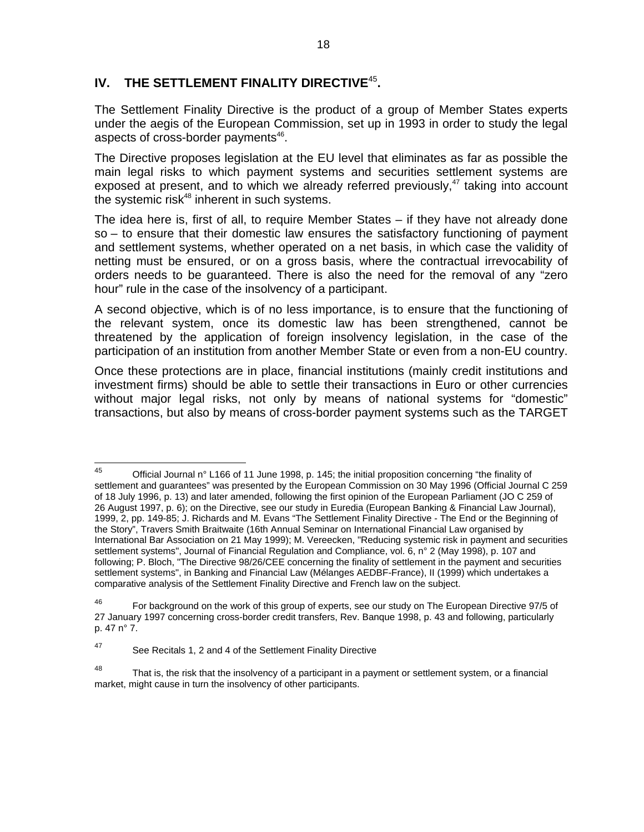# **IV. THE SETTLEMENT FINALITY DIRECTIVE**<sup>45</sup>**.**

The Settlement Finality Directive is the product of a group of Member States experts under the aegis of the European Commission, set up in 1993 in order to study the legal aspects of cross-border payments<sup>46</sup>.

The Directive proposes legislation at the EU level that eliminates as far as possible the main legal risks to which payment systems and securities settlement systems are exposed at present, and to which we already referred previously, $47$  taking into account the systemic risk $48$  inherent in such systems.

The idea here is, first of all, to require Member States – if they have not already done so – to ensure that their domestic law ensures the satisfactory functioning of payment and settlement systems, whether operated on a net basis, in which case the validity of netting must be ensured, or on a gross basis, where the contractual irrevocability of orders needs to be guaranteed. There is also the need for the removal of any "zero hour" rule in the case of the insolvency of a participant.

A second objective, which is of no less importance, is to ensure that the functioning of the relevant system, once its domestic law has been strengthened, cannot be threatened by the application of foreign insolvency legislation, in the case of the participation of an institution from another Member State or even from a non-EU country.

Once these protections are in place, financial institutions (mainly credit institutions and investment firms) should be able to settle their transactions in Euro or other currencies without major legal risks, not only by means of national systems for "domestic" transactions, but also by means of cross-border payment systems such as the TARGET

<sup>45</sup> Official Journal n° L166 of 11 June 1998, p. 145; the initial proposition concerning "the finality of settlement and guarantees" was presented by the European Commission on 30 May 1996 (Official Journal C 259 of 18 July 1996, p. 13) and later amended, following the first opinion of the European Parliament (JO C 259 of 26 August 1997, p. 6); on the Directive, see our study in Euredia (European Banking & Financial Law Journal), 1999, 2, pp. 149-85; J. Richards and M. Evans "The Settlement Finality Directive - The End or the Beginning of the Story", Travers Smith Braitwaite (16th Annual Seminar on International Financial Law organised by International Bar Association on 21 May 1999); M. Vereecken, "Reducing systemic risk in payment and securities settlement systems", Journal of Financial Regulation and Compliance, vol. 6, n° 2 (May 1998), p. 107 and following; P. Bloch, "The Directive 98/26/CEE concerning the finality of settlement in the payment and securities settlement systems", in Banking and Financial Law (Mélanges AEDBF-France), II (1999) which undertakes a comparative analysis of the Settlement Finality Directive and French law on the subject.

<sup>&</sup>lt;sup>46</sup> For background on the work of this group of experts, see our study on The European Directive 97/5 of 27 January 1997 concerning cross-border credit transfers, Rev. Banque 1998, p. 43 and following, particularly p. 47 n° 7.

<sup>47</sup> See Recitals 1, 2 and 4 of the Settlement Finality Directive

<sup>&</sup>lt;sup>48</sup> That is, the risk that the insolvency of a participant in a payment or settlement system, or a financial market, might cause in turn the insolvency of other participants.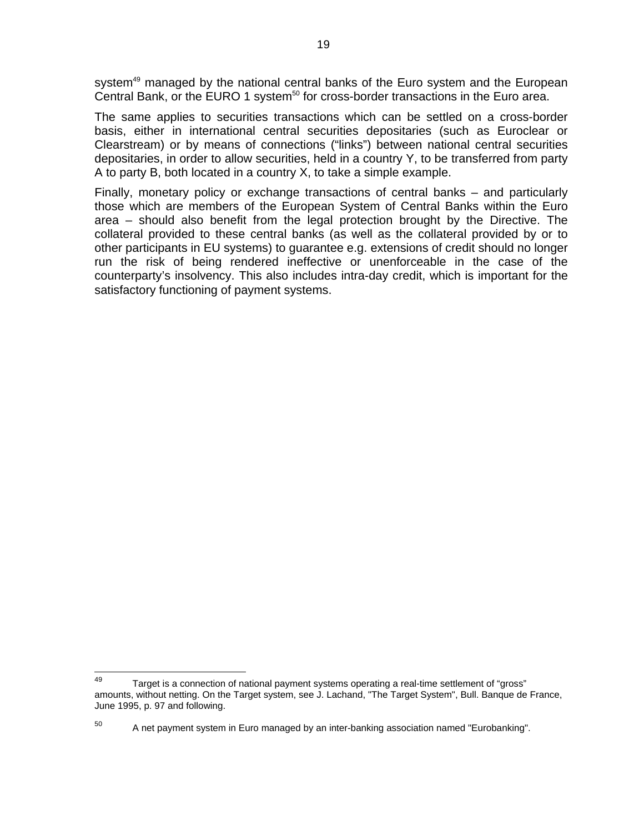system<sup>49</sup> managed by the national central banks of the Euro system and the European Central Bank, or the EURO 1 system<sup>50</sup> for cross-border transactions in the Euro area.

The same applies to securities transactions which can be settled on a cross-border basis, either in international central securities depositaries (such as Euroclear or Clearstream) or by means of connections ("links") between national central securities depositaries, in order to allow securities, held in a country Y, to be transferred from party A to party B, both located in a country X, to take a simple example.

Finally, monetary policy or exchange transactions of central banks – and particularly those which are members of the European System of Central Banks within the Euro area – should also benefit from the legal protection brought by the Directive. The collateral provided to these central banks (as well as the collateral provided by or to other participants in EU systems) to guarantee e.g. extensions of credit should no longer run the risk of being rendered ineffective or unenforceable in the case of the counterparty's insolvency. This also includes intra-day credit, which is important for the satisfactory functioning of payment systems.

<sup>49</sup> Target is a connection of national payment systems operating a real-time settlement of "gross" amounts, without netting. On the Target system, see J. Lachand, "The Target System", Bull. Banque de France, June 1995, p. 97 and following.

 $50$  A net payment system in Euro managed by an inter-banking association named "Eurobanking".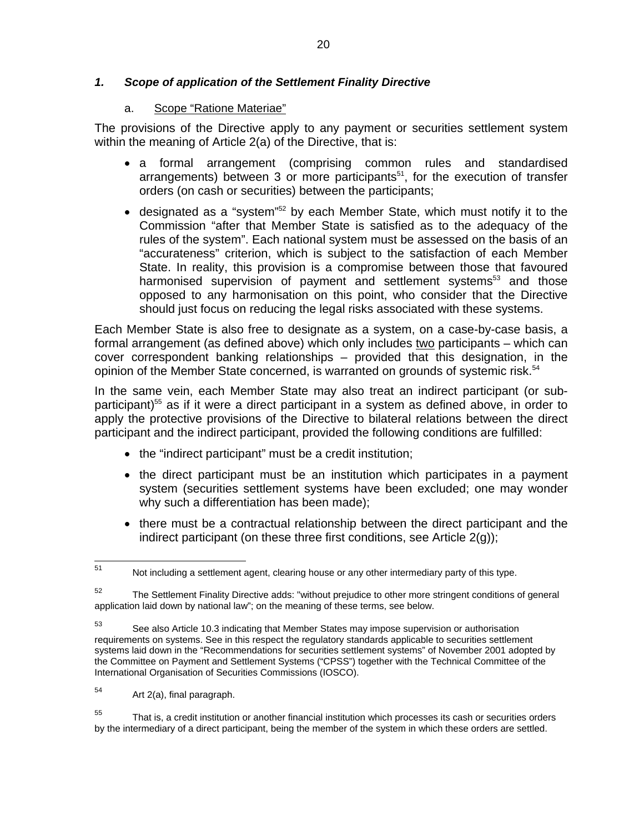#### *1. Scope of application of the Settlement Finality Directive*

#### a. Scope "Ratione Materiae"

The provisions of the Directive apply to any payment or securities settlement system within the meaning of Article 2(a) of the Directive, that is:

- a formal arrangement (comprising common rules and standardised arrangements) between  $3$  or more participants<sup>51</sup>, for the execution of transfer orders (on cash or securities) between the participants;
- designated as a "system"<sup>52</sup> by each Member State, which must notify it to the Commission "after that Member State is satisfied as to the adequacy of the rules of the system". Each national system must be assessed on the basis of an "accurateness" criterion, which is subject to the satisfaction of each Member State. In reality, this provision is a compromise between those that favoured harmonised supervision of payment and settlement systems<sup>53</sup> and those opposed to any harmonisation on this point, who consider that the Directive should just focus on reducing the legal risks associated with these systems.

Each Member State is also free to designate as a system, on a case-by-case basis, a formal arrangement (as defined above) which only includes two participants – which can cover correspondent banking relationships – provided that this designation, in the opinion of the Member State concerned, is warranted on grounds of systemic risk.<sup>54</sup>

In the same vein, each Member State may also treat an indirect participant (or subparticipant)<sup>55</sup> as if it were a direct participant in a system as defined above, in order to apply the protective provisions of the Directive to bilateral relations between the direct participant and the indirect participant, provided the following conditions are fulfilled:

- the "indirect participant" must be a credit institution;
- the direct participant must be an institution which participates in a payment system (securities settlement systems have been excluded; one may wonder why such a differentiation has been made);
- there must be a contractual relationship between the direct participant and the indirect participant (on these three first conditions, see Article 2(g));

<sup>51</sup> Not including a settlement agent, clearing house or any other intermediary party of this type.

<sup>&</sup>lt;sup>52</sup> The Settlement Finality Directive adds: "without prejudice to other more stringent conditions of general application laid down by national law"; on the meaning of these terms, see below.

<sup>53</sup> See also Article 10.3 indicating that Member States may impose supervision or authorisation requirements on systems. See in this respect the regulatory standards applicable to securities settlement systems laid down in the "Recommendations for securities settlement systems" of November 2001 adopted by the Committee on Payment and Settlement Systems ("CPSS") together with the Technical Committee of the International Organisation of Securities Commissions (IOSCO).

 $54$  Art 2(a), final paragraph.

<sup>&</sup>lt;sup>55</sup> That is, a credit institution or another financial institution which processes its cash or securities orders by the intermediary of a direct participant, being the member of the system in which these orders are settled.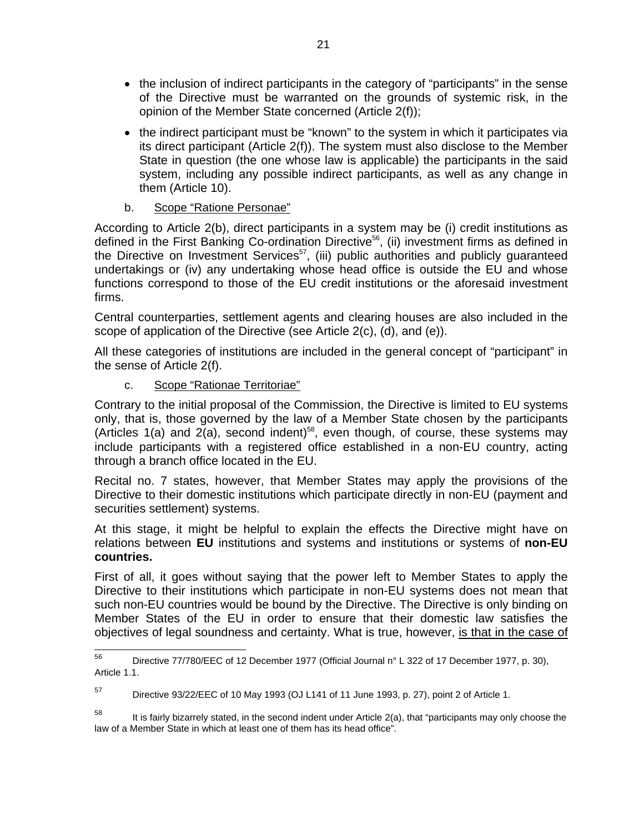- the inclusion of indirect participants in the category of "participants" in the sense of the Directive must be warranted on the grounds of systemic risk, in the opinion of the Member State concerned (Article 2(f));
- the indirect participant must be "known" to the system in which it participates via its direct participant (Article 2(f)). The system must also disclose to the Member State in question (the one whose law is applicable) the participants in the said system, including any possible indirect participants, as well as any change in them (Article 10).

# b. Scope "Ratione Personae"

According to Article 2(b), direct participants in a system may be (i) credit institutions as defined in the First Banking Co-ordination Directive<sup>56</sup>, (ii) investment firms as defined in the Directive on Investment Services<sup>57</sup>, (iii) public authorities and publicly guaranteed undertakings or (iv) any undertaking whose head office is outside the EU and whose functions correspond to those of the EU credit institutions or the aforesaid investment firms.

Central counterparties, settlement agents and clearing houses are also included in the scope of application of the Directive (see Article 2(c), (d), and (e)).

All these categories of institutions are included in the general concept of "participant" in the sense of Article 2(f).

c. Scope "Rationae Territoriae"

Contrary to the initial proposal of the Commission, the Directive is limited to EU systems only, that is, those governed by the law of a Member State chosen by the participants (Articles 1(a) and 2(a), second indent)<sup>58</sup>, even though, of course, these systems may include participants with a registered office established in a non-EU country, acting through a branch office located in the EU.

Recital no. 7 states, however, that Member States may apply the provisions of the Directive to their domestic institutions which participate directly in non-EU (payment and securities settlement) systems.

At this stage, it might be helpful to explain the effects the Directive might have on relations between **EU** institutions and systems and institutions or systems of **non-EU countries.**

First of all, it goes without saying that the power left to Member States to apply the Directive to their institutions which participate in non-EU systems does not mean that such non-EU countries would be bound by the Directive. The Directive is only binding on Member States of the EU in order to ensure that their domestic law satisfies the objectives of legal soundness and certainty. What is true, however, is that in the case of

<sup>56</sup> Directive 77/780/EEC of 12 December 1977 (Official Journal n° L 322 of 17 December 1977, p. 30), Article 1.1.

 $^{57}$  Directive 93/22/EEC of 10 May 1993 (OJ L141 of 11 June 1993, p. 27), point 2 of Article 1.

 $58$  It is fairly bizarrely stated, in the second indent under Article 2(a), that "participants may only choose the law of a Member State in which at least one of them has its head office".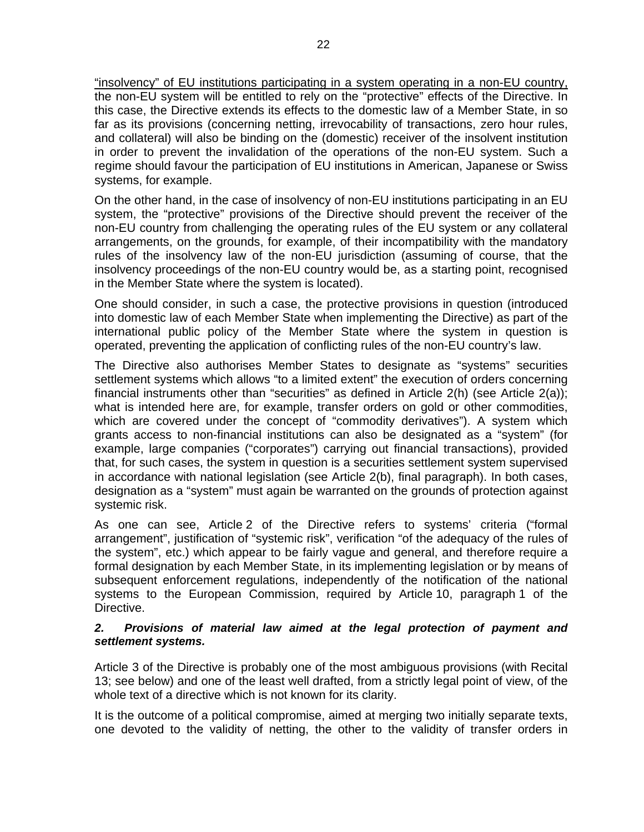"insolvency" of EU institutions participating in a system operating in a non-EU country, the non-EU system will be entitled to rely on the "protective" effects of the Directive. In this case, the Directive extends its effects to the domestic law of a Member State, in so far as its provisions (concerning netting, irrevocability of transactions, zero hour rules, and collateral) will also be binding on the (domestic) receiver of the insolvent institution in order to prevent the invalidation of the operations of the non-EU system. Such a regime should favour the participation of EU institutions in American, Japanese or Swiss systems, for example.

On the other hand, in the case of insolvency of non-EU institutions participating in an EU system, the "protective" provisions of the Directive should prevent the receiver of the non-EU country from challenging the operating rules of the EU system or any collateral arrangements, on the grounds, for example, of their incompatibility with the mandatory rules of the insolvency law of the non-EU jurisdiction (assuming of course, that the insolvency proceedings of the non-EU country would be, as a starting point, recognised in the Member State where the system is located).

One should consider, in such a case, the protective provisions in question (introduced into domestic law of each Member State when implementing the Directive) as part of the international public policy of the Member State where the system in question is operated, preventing the application of conflicting rules of the non-EU country's law.

The Directive also authorises Member States to designate as "systems" securities settlement systems which allows "to a limited extent" the execution of orders concerning financial instruments other than "securities" as defined in Article 2(h) (see Article 2(a)); what is intended here are, for example, transfer orders on gold or other commodities, which are covered under the concept of "commodity derivatives"). A system which grants access to non-financial institutions can also be designated as a "system" (for example, large companies ("corporates") carrying out financial transactions), provided that, for such cases, the system in question is a securities settlement system supervised in accordance with national legislation (see Article 2(b), final paragraph). In both cases, designation as a "system" must again be warranted on the grounds of protection against systemic risk.

As one can see, Article 2 of the Directive refers to systems' criteria ("formal arrangement", justification of "systemic risk", verification "of the adequacy of the rules of the system", etc.) which appear to be fairly vague and general, and therefore require a formal designation by each Member State, in its implementing legislation or by means of subsequent enforcement regulations, independently of the notification of the national systems to the European Commission, required by Article 10, paragraph 1 of the Directive.

#### *2. Provisions of material law aimed at the legal protection of payment and settlement systems.*

Article 3 of the Directive is probably one of the most ambiguous provisions (with Recital 13; see below) and one of the least well drafted, from a strictly legal point of view, of the whole text of a directive which is not known for its clarity.

It is the outcome of a political compromise, aimed at merging two initially separate texts, one devoted to the validity of netting, the other to the validity of transfer orders in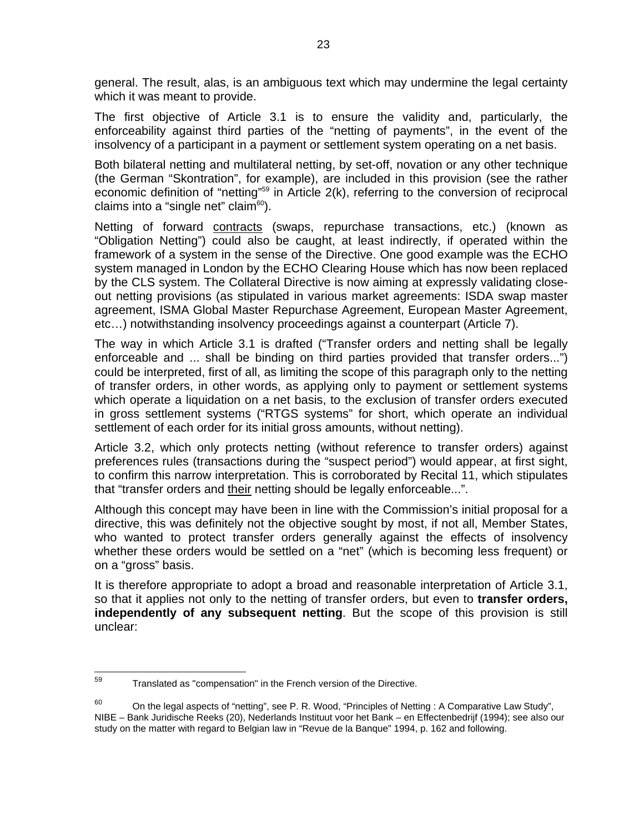general. The result, alas, is an ambiguous text which may undermine the legal certainty which it was meant to provide.

The first objective of Article 3.1 is to ensure the validity and, particularly, the enforceability against third parties of the "netting of payments", in the event of the insolvency of a participant in a payment or settlement system operating on a net basis.

Both bilateral netting and multilateral netting, by set-off, novation or any other technique (the German "Skontration", for example), are included in this provision (see the rather economic definition of "netting"<sup>59</sup> in Article  $2(k)$ , referring to the conversion of reciprocal claims into a "single net" claim $^{60}$ ).

Netting of forward contracts (swaps, repurchase transactions, etc.) (known as "Obligation Netting") could also be caught, at least indirectly, if operated within the framework of a system in the sense of the Directive. One good example was the ECHO system managed in London by the ECHO Clearing House which has now been replaced by the CLS system. The Collateral Directive is now aiming at expressly validating closeout netting provisions (as stipulated in various market agreements: ISDA swap master agreement, ISMA Global Master Repurchase Agreement, European Master Agreement, etc…) notwithstanding insolvency proceedings against a counterpart (Article 7).

The way in which Article 3.1 is drafted ("Transfer orders and netting shall be legally enforceable and ... shall be binding on third parties provided that transfer orders...") could be interpreted, first of all, as limiting the scope of this paragraph only to the netting of transfer orders, in other words, as applying only to payment or settlement systems which operate a liquidation on a net basis, to the exclusion of transfer orders executed in gross settlement systems ("RTGS systems" for short, which operate an individual settlement of each order for its initial gross amounts, without netting).

Article 3.2, which only protects netting (without reference to transfer orders) against preferences rules (transactions during the "suspect period") would appear, at first sight, to confirm this narrow interpretation. This is corroborated by Recital 11, which stipulates that "transfer orders and their netting should be legally enforceable...".

Although this concept may have been in line with the Commission's initial proposal for a directive, this was definitely not the objective sought by most, if not all, Member States, who wanted to protect transfer orders generally against the effects of insolvency whether these orders would be settled on a "net" (which is becoming less frequent) or on a "gross" basis.

It is therefore appropriate to adopt a broad and reasonable interpretation of Article 3.1, so that it applies not only to the netting of transfer orders, but even to **transfer orders, independently of any subsequent netting**. But the scope of this provision is still unclear:

<sup>59</sup> Translated as "compensation" in the French version of the Directive.

<sup>&</sup>lt;sup>60</sup> On the legal aspects of "netting", see P. R. Wood, "Principles of Netting : A Comparative Law Study", NIBE – Bank Juridische Reeks (20), Nederlands Instituut voor het Bank – en Effectenbedrijf (1994); see also our study on the matter with regard to Belgian law in "Revue de la Banque" 1994, p. 162 and following.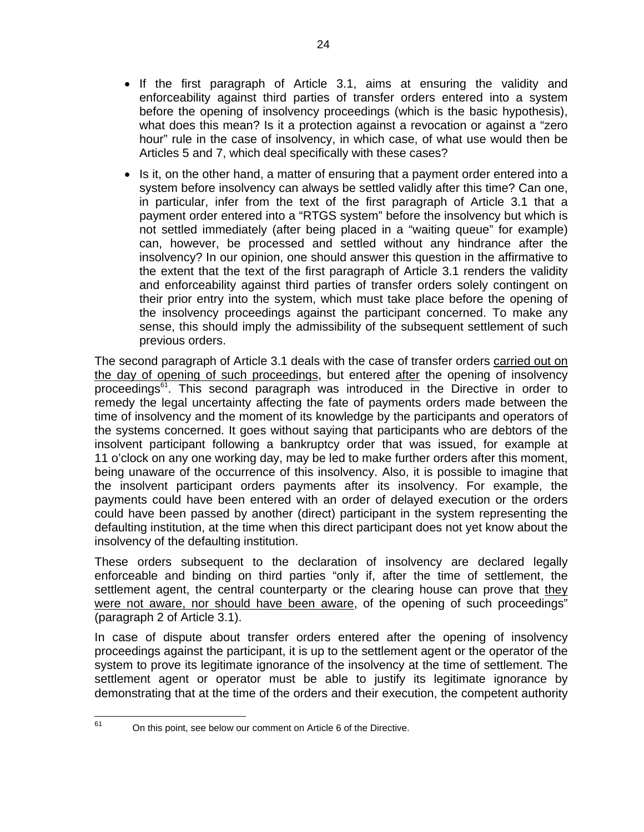- If the first paragraph of Article 3.1, aims at ensuring the validity and enforceability against third parties of transfer orders entered into a system before the opening of insolvency proceedings (which is the basic hypothesis), what does this mean? Is it a protection against a revocation or against a "zero hour" rule in the case of insolvency, in which case, of what use would then be Articles 5 and 7, which deal specifically with these cases?
- Is it, on the other hand, a matter of ensuring that a payment order entered into a system before insolvency can always be settled validly after this time? Can one, in particular, infer from the text of the first paragraph of Article 3.1 that a payment order entered into a "RTGS system" before the insolvency but which is not settled immediately (after being placed in a "waiting queue" for example) can, however, be processed and settled without any hindrance after the insolvency? In our opinion, one should answer this question in the affirmative to the extent that the text of the first paragraph of Article 3.1 renders the validity and enforceability against third parties of transfer orders solely contingent on their prior entry into the system, which must take place before the opening of the insolvency proceedings against the participant concerned. To make any sense, this should imply the admissibility of the subsequent settlement of such previous orders.

The second paragraph of Article 3.1 deals with the case of transfer orders carried out on the day of opening of such proceedings, but entered after the opening of insolvency proceedings<sup>61</sup>. This second paragraph was introduced in the Directive in order to remedy the legal uncertainty affecting the fate of payments orders made between the time of insolvency and the moment of its knowledge by the participants and operators of the systems concerned. It goes without saying that participants who are debtors of the insolvent participant following a bankruptcy order that was issued, for example at 11 o'clock on any one working day, may be led to make further orders after this moment, being unaware of the occurrence of this insolvency. Also, it is possible to imagine that the insolvent participant orders payments after its insolvency. For example, the payments could have been entered with an order of delayed execution or the orders could have been passed by another (direct) participant in the system representing the defaulting institution, at the time when this direct participant does not yet know about the insolvency of the defaulting institution.

These orders subsequent to the declaration of insolvency are declared legally enforceable and binding on third parties "only if, after the time of settlement, the settlement agent, the central counterparty or the clearing house can prove that they were not aware, nor should have been aware, of the opening of such proceedings" (paragraph 2 of Article 3.1).

In case of dispute about transfer orders entered after the opening of insolvency proceedings against the participant, it is up to the settlement agent or the operator of the system to prove its legitimate ignorance of the insolvency at the time of settlement. The settlement agent or operator must be able to justify its legitimate ignorance by demonstrating that at the time of the orders and their execution, the competent authority

61

On this point, see below our comment on Article 6 of the Directive.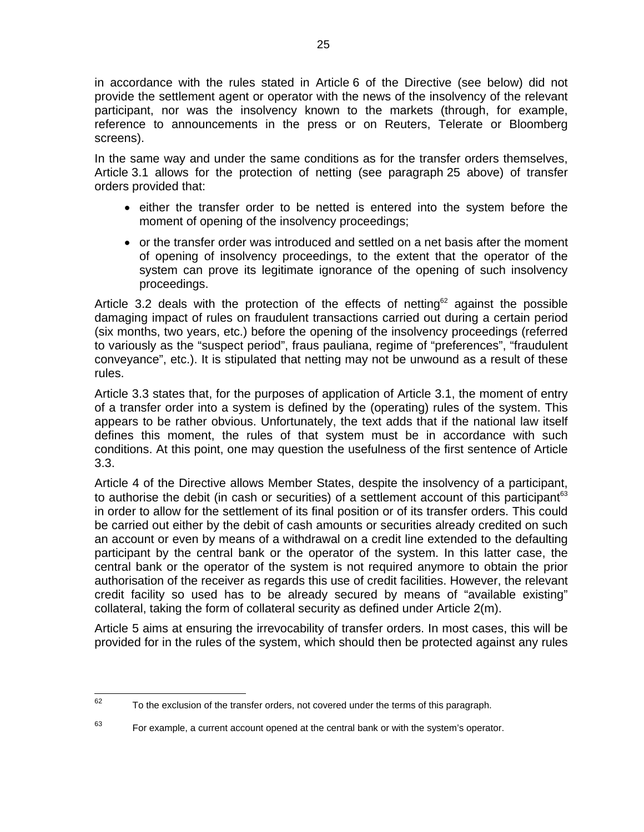in accordance with the rules stated in Article 6 of the Directive (see below) did not provide the settlement agent or operator with the news of the insolvency of the relevant participant, nor was the insolvency known to the markets (through, for example, reference to announcements in the press or on Reuters, Telerate or Bloomberg screens).

In the same way and under the same conditions as for the transfer orders themselves, Article 3.1 allows for the protection of netting (see paragraph 25 above) of transfer orders provided that:

- either the transfer order to be netted is entered into the system before the moment of opening of the insolvency proceedings;
- or the transfer order was introduced and settled on a net basis after the moment of opening of insolvency proceedings, to the extent that the operator of the system can prove its legitimate ignorance of the opening of such insolvency proceedings.

Article 3.2 deals with the protection of the effects of netting<sup>62</sup> against the possible damaging impact of rules on fraudulent transactions carried out during a certain period (six months, two years, etc.) before the opening of the insolvency proceedings (referred to variously as the "suspect period", fraus pauliana, regime of "preferences", "fraudulent conveyance", etc.). It is stipulated that netting may not be unwound as a result of these rules.

Article 3.3 states that, for the purposes of application of Article 3.1, the moment of entry of a transfer order into a system is defined by the (operating) rules of the system. This appears to be rather obvious. Unfortunately, the text adds that if the national law itself defines this moment, the rules of that system must be in accordance with such conditions. At this point, one may question the usefulness of the first sentence of Article 3.3.

Article 4 of the Directive allows Member States, despite the insolvency of a participant, to authorise the debit (in cash or securities) of a settlement account of this participant<sup>63</sup> in order to allow for the settlement of its final position or of its transfer orders. This could be carried out either by the debit of cash amounts or securities already credited on such an account or even by means of a withdrawal on a credit line extended to the defaulting participant by the central bank or the operator of the system. In this latter case, the central bank or the operator of the system is not required anymore to obtain the prior authorisation of the receiver as regards this use of credit facilities. However, the relevant credit facility so used has to be already secured by means of "available existing" collateral, taking the form of collateral security as defined under Article 2(m).

Article 5 aims at ensuring the irrevocability of transfer orders. In most cases, this will be provided for in the rules of the system, which should then be protected against any rules

<sup>62</sup> To the exclusion of the transfer orders, not covered under the terms of this paragraph.

 $63$  For example, a current account opened at the central bank or with the system's operator.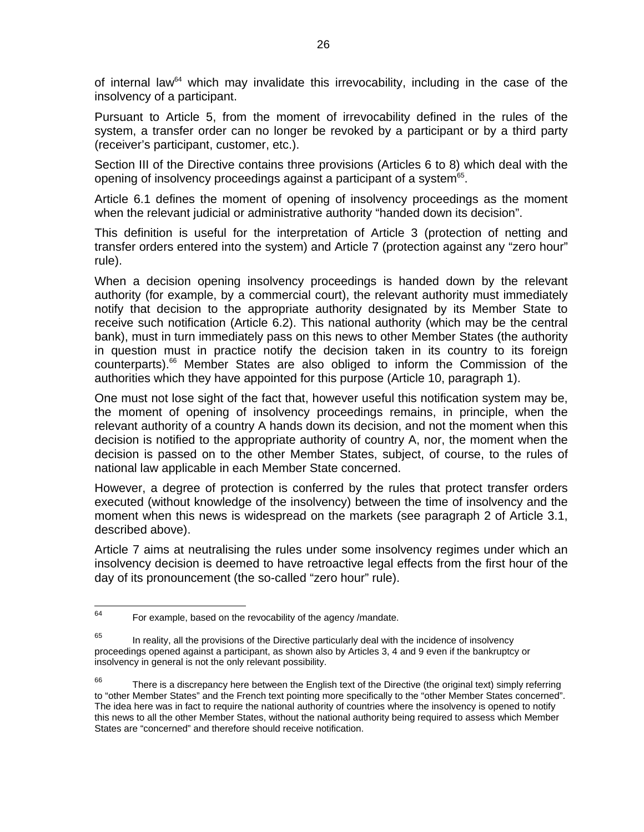of internal law<sup>64</sup> which may invalidate this irrevocability, including in the case of the insolvency of a participant.

Pursuant to Article 5, from the moment of irrevocability defined in the rules of the system, a transfer order can no longer be revoked by a participant or by a third party (receiver's participant, customer, etc.).

Section III of the Directive contains three provisions (Articles 6 to 8) which deal with the opening of insolvency proceedings against a participant of a system $65$ .

Article 6.1 defines the moment of opening of insolvency proceedings as the moment when the relevant judicial or administrative authority "handed down its decision".

This definition is useful for the interpretation of Article 3 (protection of netting and transfer orders entered into the system) and Article 7 (protection against any "zero hour" rule).

When a decision opening insolvency proceedings is handed down by the relevant authority (for example, by a commercial court), the relevant authority must immediately notify that decision to the appropriate authority designated by its Member State to receive such notification (Article 6.2). This national authority (which may be the central bank), must in turn immediately pass on this news to other Member States (the authority in question must in practice notify the decision taken in its country to its foreign counterparts).66 Member States are also obliged to inform the Commission of the authorities which they have appointed for this purpose (Article 10, paragraph 1).

One must not lose sight of the fact that, however useful this notification system may be, the moment of opening of insolvency proceedings remains, in principle, when the relevant authority of a country A hands down its decision, and not the moment when this decision is notified to the appropriate authority of country A, nor, the moment when the decision is passed on to the other Member States, subject, of course, to the rules of national law applicable in each Member State concerned.

However, a degree of protection is conferred by the rules that protect transfer orders executed (without knowledge of the insolvency) between the time of insolvency and the moment when this news is widespread on the markets (see paragraph 2 of Article 3.1, described above).

Article 7 aims at neutralising the rules under some insolvency regimes under which an insolvency decision is deemed to have retroactive legal effects from the first hour of the day of its pronouncement (the so-called "zero hour" rule).

<sup>64</sup> For example, based on the revocability of the agency /mandate.

 $65$  In reality, all the provisions of the Directive particularly deal with the incidence of insolvency proceedings opened against a participant, as shown also by Articles 3, 4 and 9 even if the bankruptcy or insolvency in general is not the only relevant possibility.

 $66$  There is a discrepancy here between the English text of the Directive (the original text) simply referring to "other Member States" and the French text pointing more specifically to the "other Member States concerned". The idea here was in fact to require the national authority of countries where the insolvency is opened to notify this news to all the other Member States, without the national authority being required to assess which Member States are "concerned" and therefore should receive notification.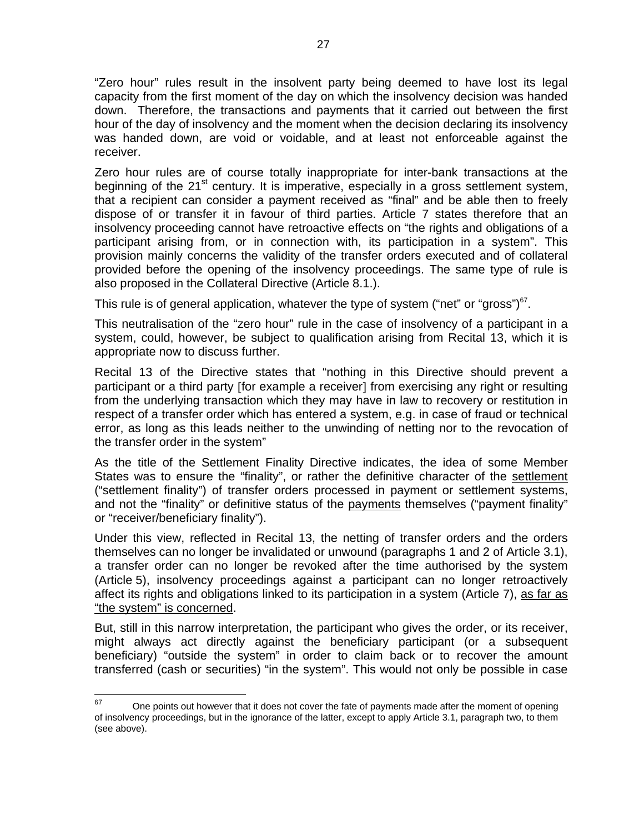"Zero hour" rules result in the insolvent party being deemed to have lost its legal capacity from the first moment of the day on which the insolvency decision was handed down. Therefore, the transactions and payments that it carried out between the first hour of the day of insolvency and the moment when the decision declaring its insolvency was handed down, are void or voidable, and at least not enforceable against the receiver.

Zero hour rules are of course totally inappropriate for inter-bank transactions at the beginning of the  $21<sup>st</sup>$  century. It is imperative, especially in a gross settlement system, that a recipient can consider a payment received as "final" and be able then to freely dispose of or transfer it in favour of third parties. Article 7 states therefore that an insolvency proceeding cannot have retroactive effects on "the rights and obligations of a participant arising from, or in connection with, its participation in a system". This provision mainly concerns the validity of the transfer orders executed and of collateral provided before the opening of the insolvency proceedings. The same type of rule is also proposed in the Collateral Directive (Article 8.1.).

This rule is of general application, whatever the type of system ("net" or "gross") $67$ .

This neutralisation of the "zero hour" rule in the case of insolvency of a participant in a system, could, however, be subject to qualification arising from Recital 13, which it is appropriate now to discuss further.

Recital 13 of the Directive states that "nothing in this Directive should prevent a participant or a third party [for example a receiver] from exercising any right or resulting from the underlying transaction which they may have in law to recovery or restitution in respect of a transfer order which has entered a system, e.g. in case of fraud or technical error, as long as this leads neither to the unwinding of netting nor to the revocation of the transfer order in the system"

As the title of the Settlement Finality Directive indicates, the idea of some Member States was to ensure the "finality", or rather the definitive character of the settlement ("settlement finality") of transfer orders processed in payment or settlement systems, and not the "finality" or definitive status of the payments themselves ("payment finality" or "receiver/beneficiary finality").

Under this view, reflected in Recital 13, the netting of transfer orders and the orders themselves can no longer be invalidated or unwound (paragraphs 1 and 2 of Article 3.1), a transfer order can no longer be revoked after the time authorised by the system (Article 5), insolvency proceedings against a participant can no longer retroactively affect its rights and obligations linked to its participation in a system (Article 7), as far as "the system" is concerned.

But, still in this narrow interpretation, the participant who gives the order, or its receiver, might always act directly against the beneficiary participant (or a subsequent beneficiary) "outside the system" in order to claim back or to recover the amount transferred (cash or securities) "in the system". This would not only be possible in case

<sup>67</sup> One points out however that it does not cover the fate of payments made after the moment of opening of insolvency proceedings, but in the ignorance of the latter, except to apply Article 3.1, paragraph two, to them (see above).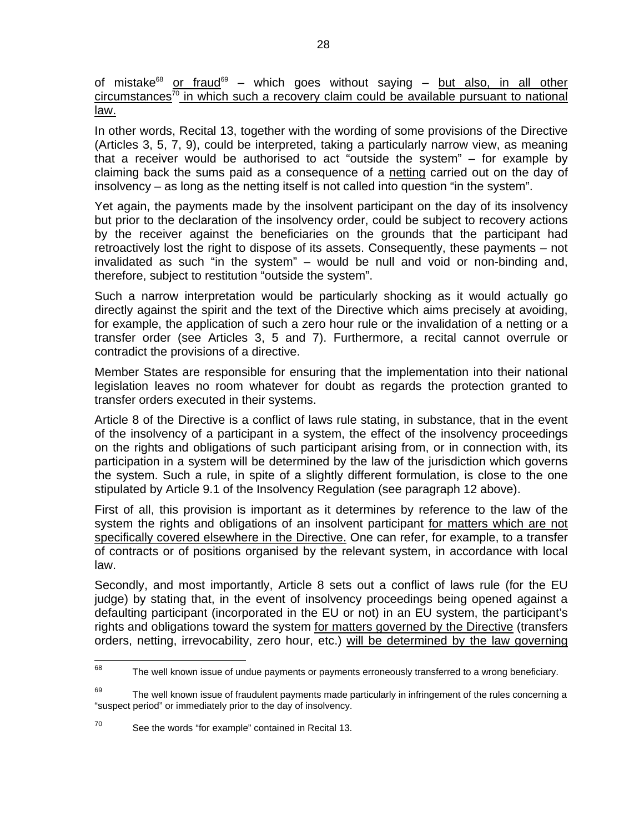of mistake<sup>68</sup> or fraud<sup>69</sup> – which goes without saying – but also, in all other  $circumstances<sup>70</sup>$  in which such a recovery claim could be available pursuant to national law.

In other words, Recital 13, together with the wording of some provisions of the Directive (Articles 3, 5, 7, 9), could be interpreted, taking a particularly narrow view, as meaning that a receiver would be authorised to act "outside the system" – for example by claiming back the sums paid as a consequence of a netting carried out on the day of insolvency – as long as the netting itself is not called into question "in the system".

Yet again, the payments made by the insolvent participant on the day of its insolvency but prior to the declaration of the insolvency order, could be subject to recovery actions by the receiver against the beneficiaries on the grounds that the participant had retroactively lost the right to dispose of its assets. Consequently, these payments – not invalidated as such "in the system" – would be null and void or non-binding and, therefore, subject to restitution "outside the system".

Such a narrow interpretation would be particularly shocking as it would actually go directly against the spirit and the text of the Directive which aims precisely at avoiding, for example, the application of such a zero hour rule or the invalidation of a netting or a transfer order (see Articles 3, 5 and 7). Furthermore, a recital cannot overrule or contradict the provisions of a directive.

Member States are responsible for ensuring that the implementation into their national legislation leaves no room whatever for doubt as regards the protection granted to transfer orders executed in their systems.

Article 8 of the Directive is a conflict of laws rule stating, in substance, that in the event of the insolvency of a participant in a system, the effect of the insolvency proceedings on the rights and obligations of such participant arising from, or in connection with, its participation in a system will be determined by the law of the jurisdiction which governs the system. Such a rule, in spite of a slightly different formulation, is close to the one stipulated by Article 9.1 of the Insolvency Regulation (see paragraph 12 above).

First of all, this provision is important as it determines by reference to the law of the system the rights and obligations of an insolvent participant for matters which are not specifically covered elsewhere in the Directive. One can refer, for example, to a transfer of contracts or of positions organised by the relevant system, in accordance with local law.

Secondly, and most importantly, Article 8 sets out a conflict of laws rule (for the EU judge) by stating that, in the event of insolvency proceedings being opened against a defaulting participant (incorporated in the EU or not) in an EU system, the participant's rights and obligations toward the system for matters governed by the Directive (transfers orders, netting, irrevocability, zero hour, etc.) will be determined by the law governing

<sup>68</sup> The well known issue of undue payments or payments erroneously transferred to a wrong beneficiary.

 $69$  The well known issue of fraudulent payments made particularly in infringement of the rules concerning a "suspect period" or immediately prior to the day of insolvency.

<sup>70</sup> See the words "for example" contained in Recital 13.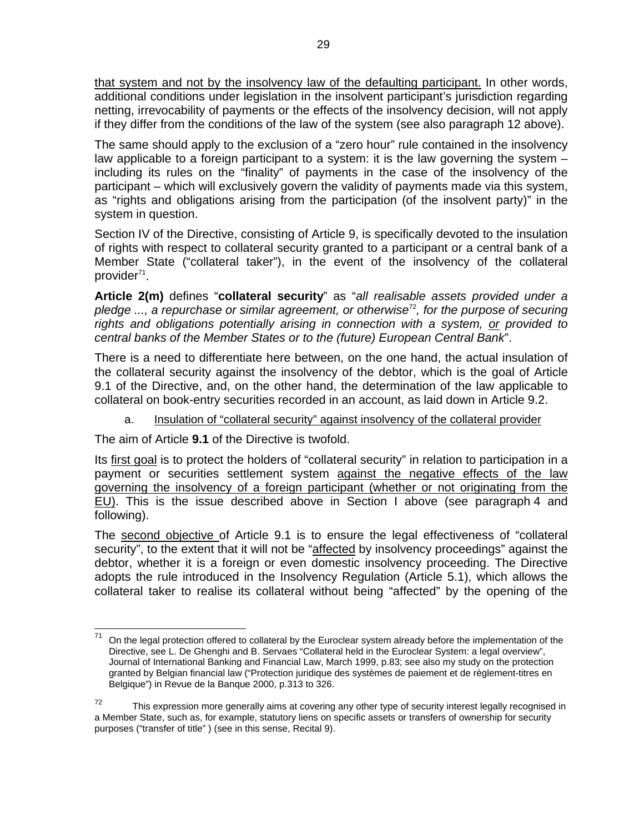that system and not by the insolvency law of the defaulting participant. In other words, additional conditions under legislation in the insolvent participant's jurisdiction regarding netting, irrevocability of payments or the effects of the insolvency decision, will not apply if they differ from the conditions of the law of the system (see also paragraph 12 above).

The same should apply to the exclusion of a "zero hour" rule contained in the insolvency law applicable to a foreign participant to a system: it is the law governing the system – including its rules on the "finality" of payments in the case of the insolvency of the participant – which will exclusively govern the validity of payments made via this system, as "rights and obligations arising from the participation (of the insolvent party)" in the system in question.

Section IV of the Directive, consisting of Article 9, is specifically devoted to the insulation of rights with respect to collateral security granted to a participant or a central bank of a Member State ("collateral taker"), in the event of the insolvency of the collateral provider<sup>71</sup>.

**Article 2(m)** defines "**collateral security**" as "*all realisable assets provided under a pledge ..., a repurchase or similar agreement, or otherwise*<sup>72</sup>*, for the purpose of securing rights and obligations potentially arising in connection with a system, or provided to central banks of the Member States or to the (future) European Central Bank*".

There is a need to differentiate here between, on the one hand, the actual insulation of the collateral security against the insolvency of the debtor, which is the goal of Article 9.1 of the Directive, and, on the other hand, the determination of the law applicable to collateral on book-entry securities recorded in an account, as laid down in Article 9.2.

a. Insulation of "collateral security" against insolvency of the collateral provider

The aim of Article **9.1** of the Directive is twofold.

Its first goal is to protect the holders of "collateral security" in relation to participation in a payment or securities settlement system against the negative effects of the law governing the insolvency of a foreign participant (whether or not originating from the EU). This is the issue described above in Section I above (see paragraph 4 and following).

The second objective of Article 9.1 is to ensure the legal effectiveness of "collateral security", to the extent that it will not be "affected by insolvency proceedings" against the debtor, whether it is a foreign or even domestic insolvency proceeding. The Directive adopts the rule introduced in the Insolvency Regulation (Article 5.1), which allows the collateral taker to realise its collateral without being "affected" by the opening of the

<sup>71</sup> 71 On the legal protection offered to collateral by the Euroclear system already before the implementation of the Directive, see L. De Ghenghi and B. Servaes "Collateral held in the Euroclear System: a legal overview", Journal of International Banking and Financial Law, March 1999, p.83; see also my study on the protection granted by Belgian financial law ("Protection juridique des systèmes de paiement et de règlement-titres en Belgique") in Revue de la Banque 2000, p.313 to 326.

 $72$  This expression more generally aims at covering any other type of security interest legally recognised in a Member State, such as, for example, statutory liens on specific assets or transfers of ownership for security purposes ("transfer of title" ) (see in this sense, Recital 9).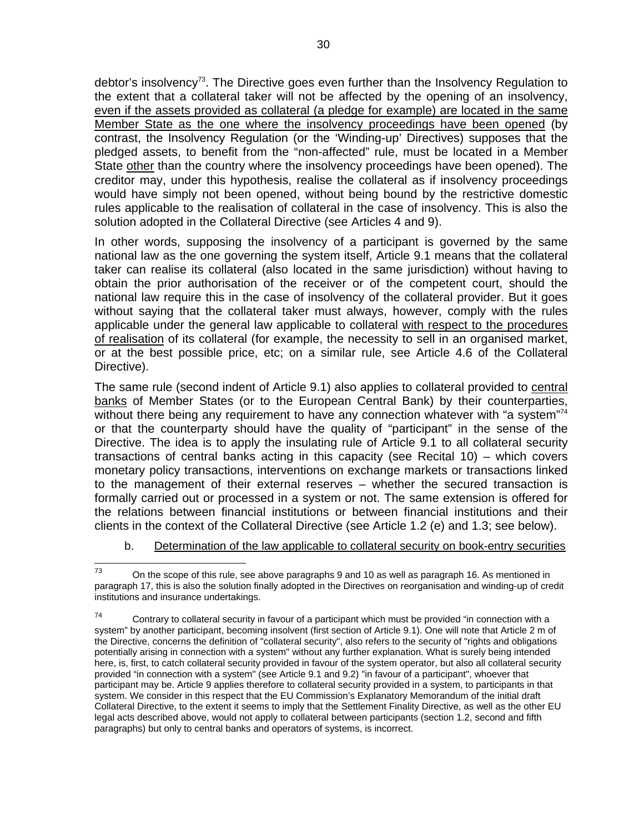debtor's insolvency<sup>73</sup>. The Directive goes even further than the Insolvency Regulation to the extent that a collateral taker will not be affected by the opening of an insolvency, even if the assets provided as collateral (a pledge for example) are located in the same Member State as the one where the insolvency proceedings have been opened (by contrast, the Insolvency Regulation (or the 'Winding-up' Directives) supposes that the pledged assets, to benefit from the "non-affected" rule, must be located in a Member State other than the country where the insolvency proceedings have been opened). The creditor may, under this hypothesis, realise the collateral as if insolvency proceedings would have simply not been opened, without being bound by the restrictive domestic rules applicable to the realisation of collateral in the case of insolvency. This is also the solution adopted in the Collateral Directive (see Articles 4 and 9).

In other words, supposing the insolvency of a participant is governed by the same national law as the one governing the system itself, Article 9.1 means that the collateral taker can realise its collateral (also located in the same jurisdiction) without having to obtain the prior authorisation of the receiver or of the competent court, should the national law require this in the case of insolvency of the collateral provider. But it goes without saying that the collateral taker must always, however, comply with the rules applicable under the general law applicable to collateral with respect to the procedures of realisation of its collateral (for example, the necessity to sell in an organised market, or at the best possible price, etc; on a similar rule, see Article 4.6 of the Collateral Directive).

The same rule (second indent of Article 9.1) also applies to collateral provided to central banks of Member States (or to the European Central Bank) by their counterparties, without there being any requirement to have any connection whatever with "a system"<sup>74</sup> or that the counterparty should have the quality of "participant" in the sense of the Directive. The idea is to apply the insulating rule of Article 9.1 to all collateral security transactions of central banks acting in this capacity (see Recital 10) – which covers monetary policy transactions, interventions on exchange markets or transactions linked to the management of their external reserves – whether the secured transaction is formally carried out or processed in a system or not. The same extension is offered for the relations between financial institutions or between financial institutions and their clients in the context of the Collateral Directive (see Article 1.2 (e) and 1.3; see below).

b. Determination of the law applicable to collateral security on book-entry securities

 $73$ On the scope of this rule, see above paragraphs 9 and 10 as well as paragraph 16. As mentioned in paragraph 17, this is also the solution finally adopted in the Directives on reorganisation and winding-up of credit institutions and insurance undertakings.

 $74$  Contrary to collateral security in favour of a participant which must be provided "in connection with a system" by another participant, becoming insolvent (first section of Article 9.1). One will note that Article 2 m of the Directive, concerns the definition of "collateral security", also refers to the security of "rights and obligations potentially arising in connection with a system" without any further explanation. What is surely being intended here, is, first, to catch collateral security provided in favour of the system operator, but also all collateral security provided "in connection with a system" (see Article 9.1 and 9.2) "in favour of a participant", whoever that participant may be. Article 9 applies therefore to collateral security provided in a system, to participants in that system. We consider in this respect that the EU Commission's Explanatory Memorandum of the initial draft Collateral Directive, to the extent it seems to imply that the Settlement Finality Directive, as well as the other EU legal acts described above, would not apply to collateral between participants (section 1.2, second and fifth paragraphs) but only to central banks and operators of systems, is incorrect.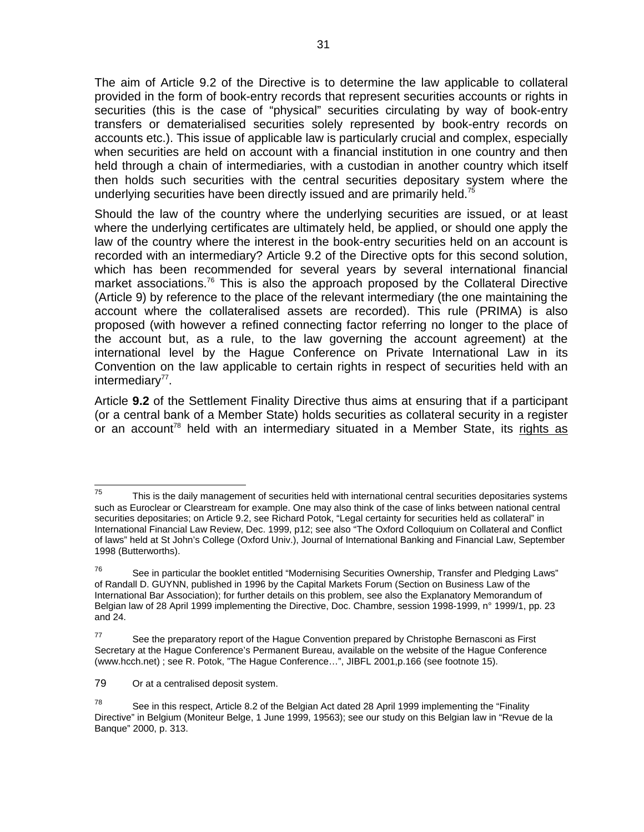The aim of Article 9.2 of the Directive is to determine the law applicable to collateral provided in the form of book-entry records that represent securities accounts or rights in securities (this is the case of "physical" securities circulating by way of book-entry transfers or dematerialised securities solely represented by book-entry records on accounts etc.). This issue of applicable law is particularly crucial and complex, especially when securities are held on account with a financial institution in one country and then held through a chain of intermediaries, with a custodian in another country which itself then holds such securities with the central securities depositary system where the underlying securities have been directly issued and are primarily held.<sup>75</sup>

Should the law of the country where the underlying securities are issued, or at least where the underlying certificates are ultimately held, be applied, or should one apply the law of the country where the interest in the book-entry securities held on an account is recorded with an intermediary? Article 9.2 of the Directive opts for this second solution, which has been recommended for several years by several international financial market associations.<sup>76</sup> This is also the approach proposed by the Collateral Directive (Article 9) by reference to the place of the relevant intermediary (the one maintaining the account where the collateralised assets are recorded). This rule (PRIMA) is also proposed (with however a refined connecting factor referring no longer to the place of the account but, as a rule, to the law governing the account agreement) at the international level by the Hague Conference on Private International Law in its Convention on the law applicable to certain rights in respect of securities held with an  $intermediary<sup>77</sup>$ .

Article **9.2** of the Settlement Finality Directive thus aims at ensuring that if a participant (or a central bank of a Member State) holds securities as collateral security in a register or an account<sup>78</sup> held with an intermediary situated in a Member State, its rights as

<sup>75</sup> This is the daily management of securities held with international central securities depositaries systems such as Euroclear or Clearstream for example. One may also think of the case of links between national central securities depositaries; on Article 9.2, see Richard Potok, "Legal certainty for securities held as collateral" in International Financial Law Review, Dec. 1999, p12; see also "The Oxford Colloquium on Collateral and Conflict of laws" held at St John's College (Oxford Univ.), Journal of International Banking and Financial Law, September 1998 (Butterworths).

 $76$  See in particular the booklet entitled "Modernising Securities Ownership, Transfer and Pledging Laws" of Randall D. GUYNN, published in 1996 by the Capital Markets Forum (Section on Business Law of the International Bar Association); for further details on this problem, see also the Explanatory Memorandum of Belgian law of 28 April 1999 implementing the Directive, Doc. Chambre, session 1998-1999, n° 1999/1, pp. 23 and 24.

 $77$  See the preparatory report of the Hague Convention prepared by Christophe Bernasconi as First Secretary at the Hague Conference's Permanent Bureau, available on the website of the Hague Conference (www.hcch.net) ; see R. Potok, "The Hague Conference…", JIBFL 2001,p.166 (see footnote 15).

<sup>79</sup> Or at a centralised deposit system.

<sup>&</sup>lt;sup>78</sup> See in this respect, Article 8.2 of the Belgian Act dated 28 April 1999 implementing the "Finality Directive" in Belgium (Moniteur Belge, 1 June 1999, 19563); see our study on this Belgian law in "Revue de la Banque" 2000, p. 313.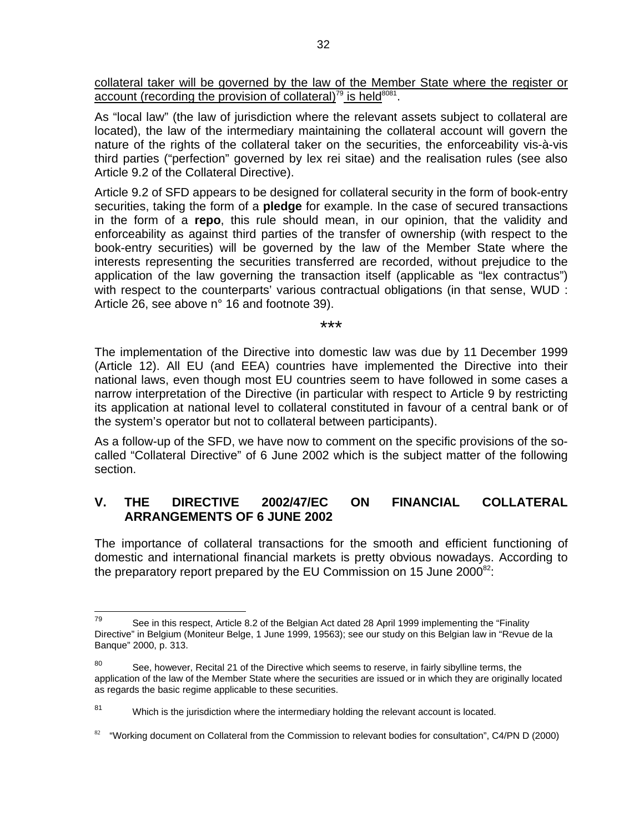collateral taker will be governed by the law of the Member State where the register or account (recording the provision of collateral)<sup>79</sup> is held<sup>8081</sup>.

As "local law" (the law of jurisdiction where the relevant assets subject to collateral are located), the law of the intermediary maintaining the collateral account will govern the nature of the rights of the collateral taker on the securities, the enforceability vis-à-vis third parties ("perfection" governed by lex rei sitae) and the realisation rules (see also Article 9.2 of the Collateral Directive).

Article 9.2 of SFD appears to be designed for collateral security in the form of book-entry securities, taking the form of a **pledge** for example. In the case of secured transactions in the form of a **repo**, this rule should mean, in our opinion, that the validity and enforceability as against third parties of the transfer of ownership (with respect to the book-entry securities) will be governed by the law of the Member State where the interests representing the securities transferred are recorded, without prejudice to the application of the law governing the transaction itself (applicable as "lex contractus") with respect to the counterparts' various contractual obligations (in that sense, WUD : Article 26, see above n° 16 and footnote 39).

\*\*\*

The implementation of the Directive into domestic law was due by 11 December 1999 (Article 12). All EU (and EEA) countries have implemented the Directive into their national laws, even though most EU countries seem to have followed in some cases a narrow interpretation of the Directive (in particular with respect to Article 9 by restricting its application at national level to collateral constituted in favour of a central bank or of the system's operator but not to collateral between participants).

As a follow-up of the SFD, we have now to comment on the specific provisions of the socalled "Collateral Directive" of 6 June 2002 which is the subject matter of the following section.

# **V. THE DIRECTIVE 2002/47/EC ON FINANCIAL COLLATERAL ARRANGEMENTS OF 6 JUNE 2002**

The importance of collateral transactions for the smooth and efficient functioning of domestic and international financial markets is pretty obvious nowadays. According to the preparatory report prepared by the EU Commission on 15 June  $2000^{82}$ :

<sup>79</sup> See in this respect, Article 8.2 of the Belgian Act dated 28 April 1999 implementing the "Finality Directive" in Belgium (Moniteur Belge, 1 June 1999, 19563); see our study on this Belgian law in "Revue de la Banque" 2000, p. 313.

 $80$  See, however, Recital 21 of the Directive which seems to reserve, in fairly sibylline terms, the application of the law of the Member State where the securities are issued or in which they are originally located as regards the basic regime applicable to these securities.

 $81$  Which is the jurisdiction where the intermediary holding the relevant account is located.

<sup>82</sup>"Working document on Collateral from the Commission to relevant bodies for consultation", C4/PN D (2000)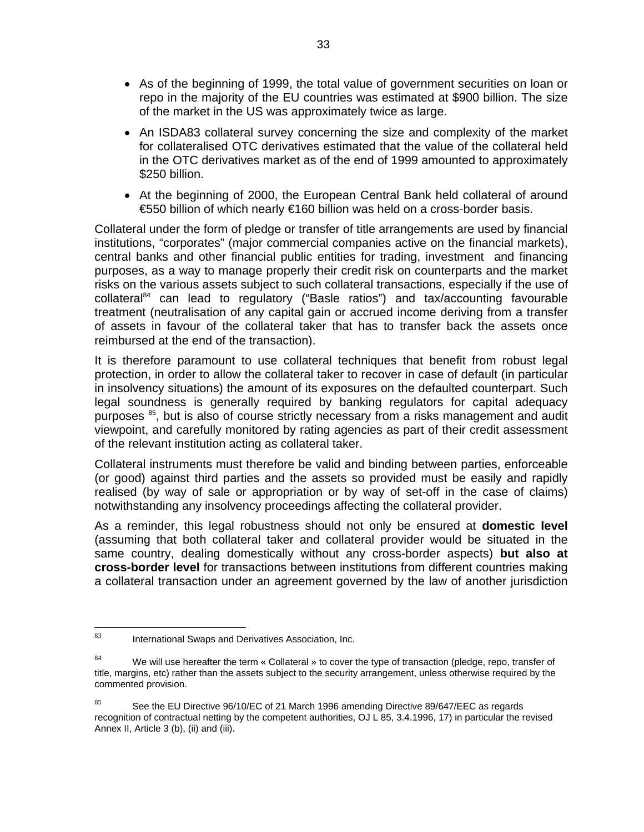- As of the beginning of 1999, the total value of government securities on loan or repo in the majority of the EU countries was estimated at \$900 billion. The size of the market in the US was approximately twice as large.
- An ISDA83 collateral survey concerning the size and complexity of the market for collateralised OTC derivatives estimated that the value of the collateral held in the OTC derivatives market as of the end of 1999 amounted to approximately \$250 billion.
- At the beginning of 2000, the European Central Bank held collateral of around €550 billion of which nearly €160 billion was held on a cross-border basis.

Collateral under the form of pledge or transfer of title arrangements are used by financial institutions, "corporates" (major commercial companies active on the financial markets), central banks and other financial public entities for trading, investment and financing purposes, as a way to manage properly their credit risk on counterparts and the market risks on the various assets subject to such collateral transactions, especially if the use of collateral<sup>84</sup> can lead to regulatory ("Basle ratios") and tax/accounting favourable treatment (neutralisation of any capital gain or accrued income deriving from a transfer of assets in favour of the collateral taker that has to transfer back the assets once reimbursed at the end of the transaction).

It is therefore paramount to use collateral techniques that benefit from robust legal protection, in order to allow the collateral taker to recover in case of default (in particular in insolvency situations) the amount of its exposures on the defaulted counterpart. Such legal soundness is generally required by banking regulators for capital adequacy purposes <sup>85</sup>, but is also of course strictly necessary from a risks management and audit viewpoint, and carefully monitored by rating agencies as part of their credit assessment of the relevant institution acting as collateral taker.

Collateral instruments must therefore be valid and binding between parties, enforceable (or good) against third parties and the assets so provided must be easily and rapidly realised (by way of sale or appropriation or by way of set-off in the case of claims) notwithstanding any insolvency proceedings affecting the collateral provider.

As a reminder, this legal robustness should not only be ensured at **domestic level** (assuming that both collateral taker and collateral provider would be situated in the same country, dealing domestically without any cross-border aspects) **but also at cross-border level** for transactions between institutions from different countries making a collateral transaction under an agreement governed by the law of another jurisdiction

<sup>83</sup> International Swaps and Derivatives Association, Inc.

 $84$  We will use hereafter the term « Collateral » to cover the type of transaction (pledge, repo, transfer of title, margins, etc) rather than the assets subject to the security arrangement, unless otherwise required by the commented provision.

<sup>&</sup>lt;sup>85</sup> See the EU Directive 96/10/EC of 21 March 1996 amending Directive 89/647/EEC as regards recognition of contractual netting by the competent authorities, OJ L 85, 3.4.1996, 17) in particular the revised Annex II, Article 3 (b), (ii) and (iii).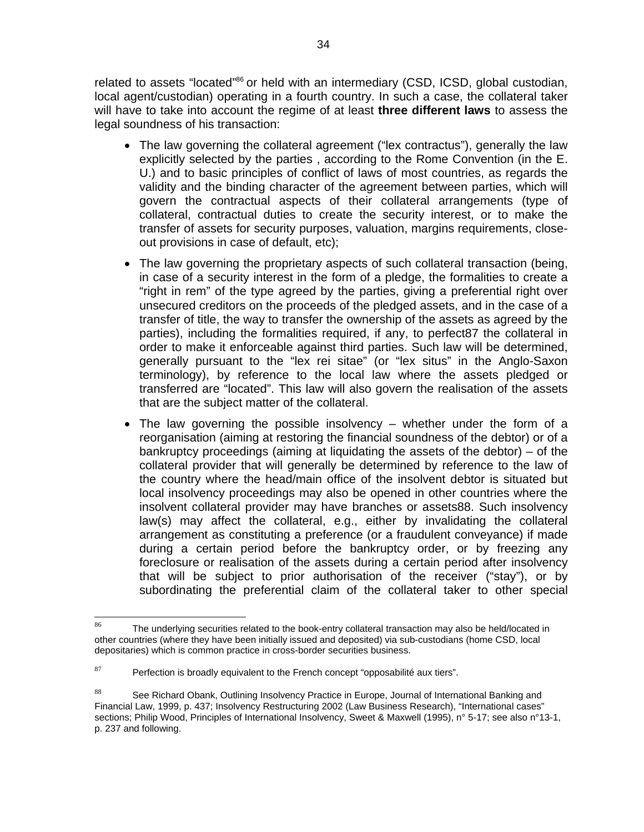related to assets "located"<sup>86</sup> or held with an intermediary (CSD, ICSD, global custodian. local agent/custodian) operating in a fourth country. In such a case, the collateral taker will have to take into account the regime of at least **three different laws** to assess the legal soundness of his transaction:

- The law governing the collateral agreement ("lex contractus"), generally the law explicitly selected by the parties , according to the Rome Convention (in the E. U.) and to basic principles of conflict of laws of most countries, as regards the validity and the binding character of the agreement between parties, which will govern the contractual aspects of their collateral arrangements (type of collateral, contractual duties to create the security interest, or to make the transfer of assets for security purposes, valuation, margins requirements, closeout provisions in case of default, etc);
- The law governing the proprietary aspects of such collateral transaction (being, in case of a security interest in the form of a pledge, the formalities to create a "right in rem" of the type agreed by the parties, giving a preferential right over unsecured creditors on the proceeds of the pledged assets, and in the case of a transfer of title, the way to transfer the ownership of the assets as agreed by the parties), including the formalities required, if any, to perfect87 the collateral in order to make it enforceable against third parties. Such law will be determined, generally pursuant to the "lex rei sitae" (or "lex situs" in the Anglo-Saxon terminology), by reference to the local law where the assets pledged or transferred are "located". This law will also govern the realisation of the assets that are the subject matter of the collateral.
- The law governing the possible insolvency  $-$  whether under the form of a reorganisation (aiming at restoring the financial soundness of the debtor) or of a bankruptcy proceedings (aiming at liquidating the assets of the debtor) – of the collateral provider that will generally be determined by reference to the law of the country where the head/main office of the insolvent debtor is situated but local insolvency proceedings may also be opened in other countries where the insolvent collateral provider may have branches or assets88. Such insolvency law(s) may affect the collateral, e.g., either by invalidating the collateral arrangement as constituting a preference (or a fraudulent conveyance) if made during a certain period before the bankruptcy order, or by freezing any foreclosure or realisation of the assets during a certain period after insolvency that will be subject to prior authorisation of the receiver ("stay"), or by subordinating the preferential claim of the collateral taker to other special

<sup>86</sup> The underlying securities related to the book-entry collateral transaction may also be held/located in other countries (where they have been initially issued and deposited) via sub-custodians (home CSD, local depositaries) which is common practice in cross-border securities business.

 $87$  Perfection is broadly equivalent to the French concept "opposabilité aux tiers".

<sup>88</sup> See Richard Obank, Outlining Insolvency Practice in Europe, Journal of International Banking and Financial Law, 1999, p. 437; Insolvency Restructuring 2002 (Law Business Research), "International cases" sections; Philip Wood, Principles of International Insolvency, Sweet & Maxwell (1995), n° 5-17; see also n°13-1, p. 237 and following.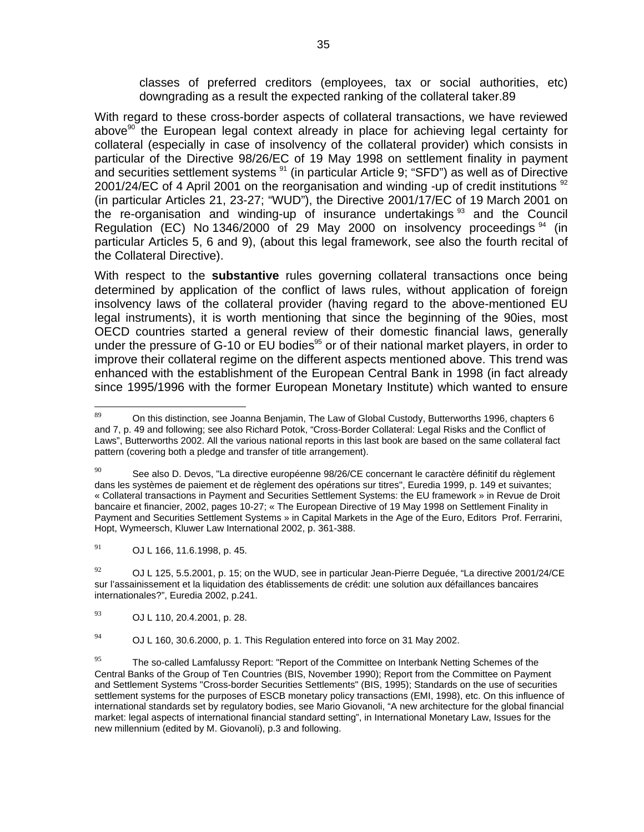classes of preferred creditors (employees, tax or social authorities, etc) downgrading as a result the expected ranking of the collateral taker.89

With regard to these cross-border aspects of collateral transactions, we have reviewed above<sup>90</sup> the European legal context already in place for achieving legal certainty for collateral (especially in case of insolvency of the collateral provider) which consists in particular of the Directive 98/26/EC of 19 May 1998 on settlement finality in payment and securities settlement systems <sup>91</sup> (in particular Article 9; "SFD") as well as of Directive 2001/24/EC of 4 April 2001 on the reorganisation and winding -up of credit institutions  $92$ (in particular Articles 21, 23-27; "WUD"), the Directive 2001/17/EC of 19 March 2001 on the re-organisation and winding-up of insurance undertakings  $93$  and the Council Regulation (EC) No 1346/2000 of 29 May 2000 on insolvency proceedings <sup>94</sup> (in particular Articles 5, 6 and 9), (about this legal framework, see also the fourth recital of the Collateral Directive).

With respect to the **substantive** rules governing collateral transactions once being determined by application of the conflict of laws rules, without application of foreign insolvency laws of the collateral provider (having regard to the above-mentioned EU legal instruments), it is worth mentioning that since the beginning of the 90ies, most OECD countries started a general review of their domestic financial laws, generally under the pressure of G-10 or EU bodies<sup>95</sup> or of their national market players, in order to improve their collateral regime on the different aspects mentioned above. This trend was enhanced with the establishment of the European Central Bank in 1998 (in fact already since 1995/1996 with the former European Monetary Institute) which wanted to ensure

 $91$  OJ L 166, 11.6.1998, p. 45.

 $^{92}$  OJ L 125, 5.5.2001, p. 15; on the WUD, see in particular Jean-Pierre Deguée, "La directive 2001/24/CE sur l'assainissement et la liquidation des établissements de crédit: une solution aux défaillances bancaires internationales?", Euredia 2002, p.241.

<sup>93</sup> OJ L 110, 20.4.2001, p. 28.

 $^{94}$  OJ L 160, 30.6.2000, p. 1. This Regulation entered into force on 31 May 2002.

 $\overline{89}$ On this distinction, see Joanna Benjamin, The Law of Global Custody, Butterworths 1996, chapters 6 and 7, p. 49 and following; see also Richard Potok, "Cross-Border Collateral: Legal Risks and the Conflict of Laws", Butterworths 2002. All the various national reports in this last book are based on the same collateral fact pattern (covering both a pledge and transfer of title arrangement).

 $90$  See also D. Devos, "La directive européenne 98/26/CE concernant le caractère définitif du règlement dans les systèmes de paiement et de règlement des opérations sur titres", Euredia 1999, p. 149 et suivantes; « Collateral transactions in Payment and Securities Settlement Systems: the EU framework » in Revue de Droit bancaire et financier, 2002, pages 10-27; « The European Directive of 19 May 1998 on Settlement Finality in Payment and Securities Settlement Systems » in Capital Markets in the Age of the Euro, Editors Prof. Ferrarini, Hopt, Wymeersch, Kluwer Law International 2002, p. 361-388.

<sup>&</sup>lt;sup>95</sup> The so-called Lamfalussy Report: "Report of the Committee on Interbank Netting Schemes of the Central Banks of the Group of Ten Countries (BIS, November 1990); Report from the Committee on Payment and Settlement Systems "Cross-border Securities Settlements" (BIS, 1995); Standards on the use of securities settlement systems for the purposes of ESCB monetary policy transactions (EMI, 1998), etc. On this influence of international standards set by regulatory bodies, see Mario Giovanoli, "A new architecture for the global financial market: legal aspects of international financial standard setting", in International Monetary Law, Issues for the new millennium (edited by M. Giovanoli), p.3 and following.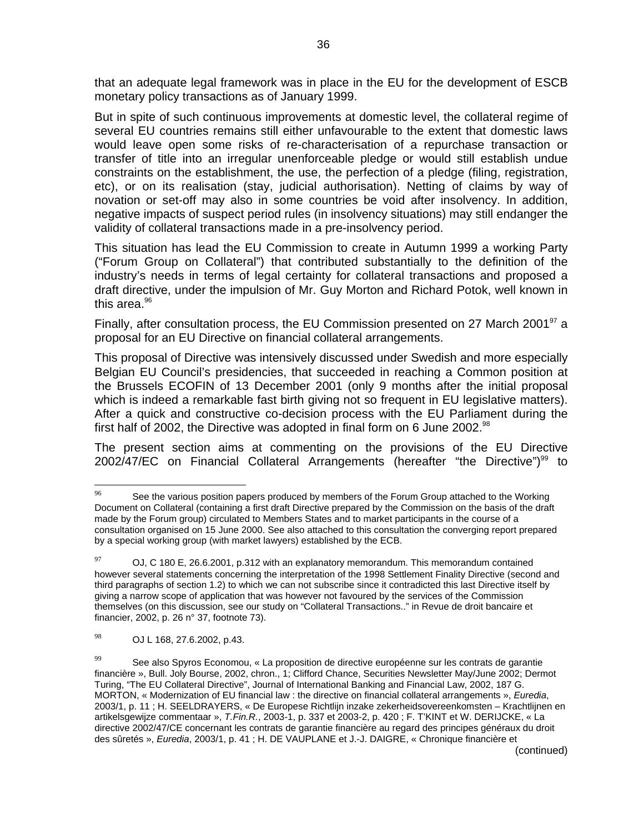that an adequate legal framework was in place in the EU for the development of ESCB monetary policy transactions as of January 1999.

But in spite of such continuous improvements at domestic level, the collateral regime of several EU countries remains still either unfavourable to the extent that domestic laws would leave open some risks of re-characterisation of a repurchase transaction or transfer of title into an irregular unenforceable pledge or would still establish undue constraints on the establishment, the use, the perfection of a pledge (filing, registration, etc), or on its realisation (stay, judicial authorisation). Netting of claims by way of novation or set-off may also in some countries be void after insolvency. In addition, negative impacts of suspect period rules (in insolvency situations) may still endanger the validity of collateral transactions made in a pre-insolvency period.

This situation has lead the EU Commission to create in Autumn 1999 a working Party ("Forum Group on Collateral") that contributed substantially to the definition of the industry's needs in terms of legal certainty for collateral transactions and proposed a draft directive, under the impulsion of Mr. Guy Morton and Richard Potok, well known in this area. $96$ 

Finally, after consultation process, the EU Commission presented on 27 March 2001<sup>97</sup> a proposal for an EU Directive on financial collateral arrangements.

This proposal of Directive was intensively discussed under Swedish and more especially Belgian EU Council's presidencies, that succeeded in reaching a Common position at the Brussels ECOFIN of 13 December 2001 (only 9 months after the initial proposal which is indeed a remarkable fast birth giving not so frequent in EU legislative matters). After a quick and constructive co-decision process with the EU Parliament during the first half of 2002, the Directive was adopted in final form on 6 June 2002. $98$ 

The present section aims at commenting on the provisions of the EU Directive 2002/47/EC on Financial Collateral Arrangements (hereafter "the Directive")<sup>99</sup> to

<sup>96</sup> See the various position papers produced by members of the Forum Group attached to the Working Document on Collateral (containing a first draft Directive prepared by the Commission on the basis of the draft made by the Forum group) circulated to Members States and to market participants in the course of a consultation organised on 15 June 2000. See also attached to this consultation the converging report prepared by a special working group (with market lawyers) established by the ECB.

 $97$  OJ, C 180 E, 26.6.2001, p.312 with an explanatory memorandum. This memorandum contained however several statements concerning the interpretation of the 1998 Settlement Finality Directive (second and third paragraphs of section 1.2) to which we can not subscribe since it contradicted this last Directive itself by giving a narrow scope of application that was however not favoured by the services of the Commission themselves (on this discussion, see our study on "Collateral Transactions.." in Revue de droit bancaire et financier, 2002, p. 26 n° 37, footnote 73).

<sup>98</sup> OJ L 168, 27.6.2002, p.43.

 $99$  See also Spyros Economou, « La proposition de directive européenne sur les contrats de garantie financière », Bull. Joly Bourse, 2002, chron., 1; Clifford Chance, Securities Newsletter May/June 2002; Dermot Turing, "The EU Collateral Directive", Journal of International Banking and Financial Law, 2002, 187 G. MORTON, « Modernization of EU financial law : the directive on financial collateral arrangements », *Euredia*, 2003/1, p. 11 ; H. SEELDRAYERS, « De Europese Richtlijn inzake zekerheidsovereenkomsten – Krachtlijnen en artikelsgewijze commentaar », *T.Fin.R.*, 2003-1, p. 337 et 2003-2, p. 420 ; F. T'KINT et W. DERIJCKE, « La directive 2002/47/CE concernant les contrats de garantie financière au regard des principes généraux du droit des sûretés », *Euredia*, 2003/1, p. 41 ; H. DE VAUPLANE et J.-J. DAIGRE, « Chronique financière et (continued)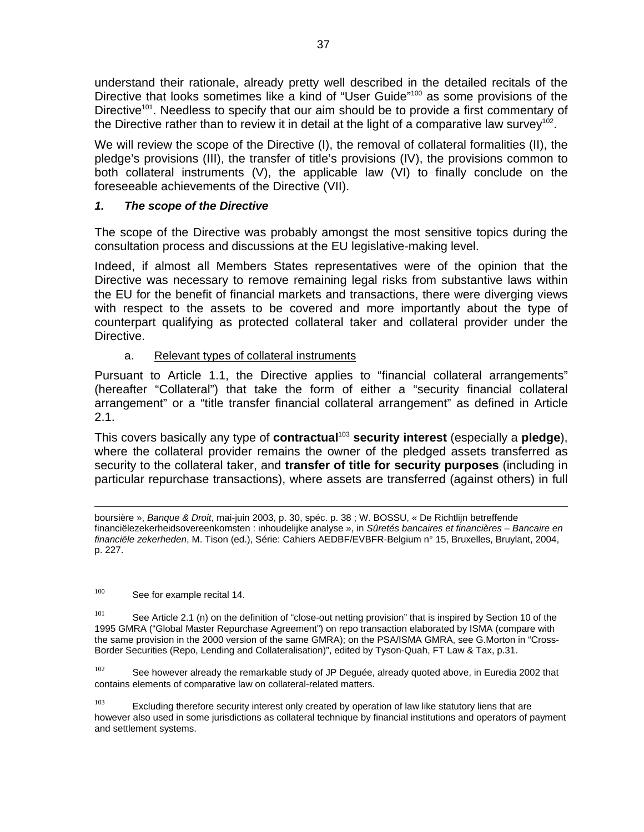understand their rationale, already pretty well described in the detailed recitals of the Directive that looks sometimes like a kind of "User Guide"<sup>100</sup> as some provisions of the Directive<sup>101</sup>. Needless to specify that our aim should be to provide a first commentary of the Directive rather than to review it in detail at the light of a comparative law survey<sup>102</sup>.

We will review the scope of the Directive (I), the removal of collateral formalities (II), the pledge's provisions (III), the transfer of title's provisions (IV), the provisions common to both collateral instruments (V), the applicable law (VI) to finally conclude on the foreseeable achievements of the Directive (VII).

# *1. The scope of the Directive*

The scope of the Directive was probably amongst the most sensitive topics during the consultation process and discussions at the EU legislative-making level.

Indeed, if almost all Members States representatives were of the opinion that the Directive was necessary to remove remaining legal risks from substantive laws within the EU for the benefit of financial markets and transactions, there were diverging views with respect to the assets to be covered and more importantly about the type of counterpart qualifying as protected collateral taker and collateral provider under the Directive.

# a. Relevant types of collateral instruments

Pursuant to Article 1.1, the Directive applies to "financial collateral arrangements" (hereafter "Collateral") that take the form of either a "security financial collateral arrangement" or a "title transfer financial collateral arrangement" as defined in Article  $2.1.$ 

This covers basically any type of **contractual**<sup>103</sup> **security interest** (especially a **pledge**), where the collateral provider remains the owner of the pledged assets transferred as security to the collateral taker, and **transfer of title for security purposes** (including in particular repurchase transactions), where assets are transferred (against others) in full

 boursière », *Banque & Droit*, mai-juin 2003, p. 30, spéc. p. 38 ; W. BOSSU, « De Richtlijn betreffende financiëlezekerheidsovereenkomsten : inhoudelijke analyse », in *Sûretés bancaires et financières – Bancaire en financiële zekerheden*, M. Tison (ed.), Série: Cahiers AEDBF/EVBFR-Belgium n° 15, Bruxelles, Bruylant, 2004, p. 227.

100 See for example recital 14.

<sup>101</sup> See Article 2.1 (n) on the definition of "close-out netting provision" that is inspired by Section 10 of the 1995 GMRA ("Global Master Repurchase Agreement") on repo transaction elaborated by ISMA (compare with the same provision in the 2000 version of the same GMRA); on the PSA/ISMA GMRA, see G.Morton in "Cross-Border Securities (Repo, Lending and Collateralisation)", edited by Tyson-Quah, FT Law & Tax, p.31.

 $102$  See however already the remarkable study of JP Deguée, already quoted above, in Euredia 2002 that contains elements of comparative law on collateral-related matters.

 $103$  Excluding therefore security interest only created by operation of law like statutory liens that are however also used in some jurisdictions as collateral technique by financial institutions and operators of payment and settlement systems.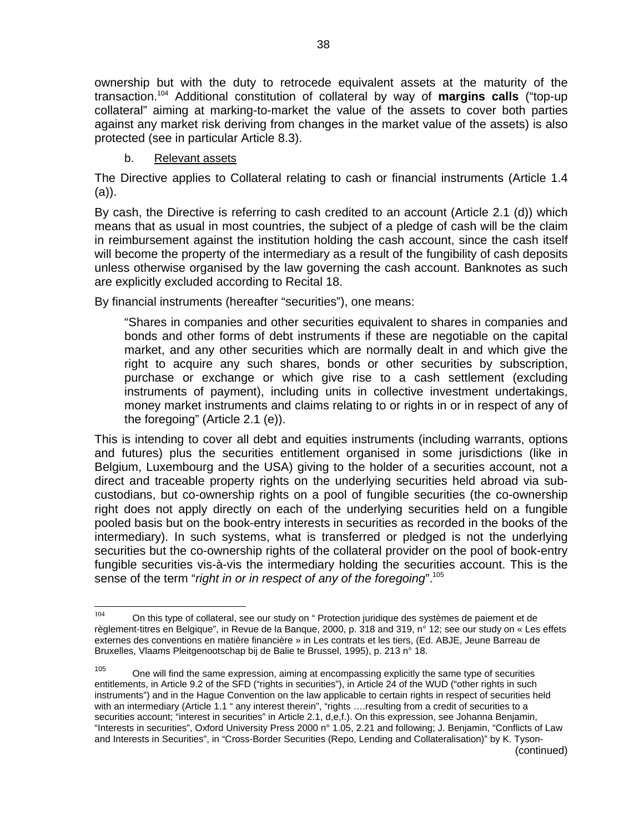ownership but with the duty to retrocede equivalent assets at the maturity of the transaction.104 Additional constitution of collateral by way of **margins calls** ("top-up collateral" aiming at marking-to-market the value of the assets to cover both parties against any market risk deriving from changes in the market value of the assets) is also protected (see in particular Article 8.3).

#### b. Relevant assets

The Directive applies to Collateral relating to cash or financial instruments (Article 1.4 (a)).

By cash, the Directive is referring to cash credited to an account (Article 2.1 (d)) which means that as usual in most countries, the subject of a pledge of cash will be the claim in reimbursement against the institution holding the cash account, since the cash itself will become the property of the intermediary as a result of the fungibility of cash deposits unless otherwise organised by the law governing the cash account. Banknotes as such are explicitly excluded according to Recital 18.

By financial instruments (hereafter "securities"), one means:

"Shares in companies and other securities equivalent to shares in companies and bonds and other forms of debt instruments if these are negotiable on the capital market, and any other securities which are normally dealt in and which give the right to acquire any such shares, bonds or other securities by subscription, purchase or exchange or which give rise to a cash settlement (excluding instruments of payment), including units in collective investment undertakings, money market instruments and claims relating to or rights in or in respect of any of the foregoing" (Article 2.1 (e)).

This is intending to cover all debt and equities instruments (including warrants, options and futures) plus the securities entitlement organised in some jurisdictions (like in Belgium, Luxembourg and the USA) giving to the holder of a securities account, not a direct and traceable property rights on the underlying securities held abroad via subcustodians, but co-ownership rights on a pool of fungible securities (the co-ownership right does not apply directly on each of the underlying securities held on a fungible pooled basis but on the book-entry interests in securities as recorded in the books of the intermediary). In such systems, what is transferred or pledged is not the underlying securities but the co-ownership rights of the collateral provider on the pool of book-entry fungible securities vis-à-vis the intermediary holding the securities account. This is the sense of the term "*right in or in respect of any of the foregoing*".<sup>105</sup>

<sup>104</sup> On this type of collateral, see our study on " Protection juridique des systèmes de paiement et de règlement-titres en Belgique", in Revue de la Banque, 2000, p. 318 and 319, n° 12; see our study on « Les effets externes des conventions en matière financière » in Les contrats et les tiers, (Ed. ABJE, Jeune Barreau de Bruxelles, Vlaams Pleitgenootschap bij de Balie te Brussel, 1995), p. 213 n° 18.

 $105$  One will find the same expression, aiming at encompassing explicitly the same type of securities entitlements, in Article 9.2 of the SFD ("rights in securities"), in Article 24 of the WUD ("other rights in such instruments") and in the Hague Convention on the law applicable to certain rights in respect of securities held with an intermediary (Article 1.1 " any interest therein", "rights ….resulting from a credit of securities to a securities account; "interest in securities" in Article 2.1, d,e,f.). On this expression, see Johanna Benjamin, "Interests in securities", Oxford University Press 2000 n° 1.05, 2.21 and following; J. Benjamin, "Conflicts of Law and Interests in Securities", in "Cross-Border Securities (Repo, Lending and Collateralisation)" by K. Tyson- (continued)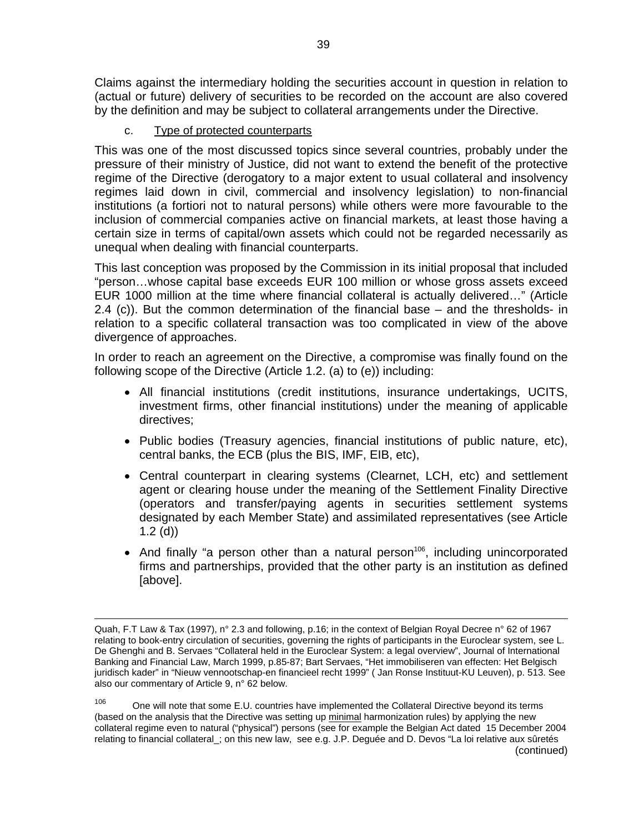Claims against the intermediary holding the securities account in question in relation to (actual or future) delivery of securities to be recorded on the account are also covered by the definition and may be subject to collateral arrangements under the Directive.

c. Type of protected counterparts

This was one of the most discussed topics since several countries, probably under the pressure of their ministry of Justice, did not want to extend the benefit of the protective regime of the Directive (derogatory to a major extent to usual collateral and insolvency regimes laid down in civil, commercial and insolvency legislation) to non-financial institutions (a fortiori not to natural persons) while others were more favourable to the inclusion of commercial companies active on financial markets, at least those having a certain size in terms of capital/own assets which could not be regarded necessarily as unequal when dealing with financial counterparts.

This last conception was proposed by the Commission in its initial proposal that included "person…whose capital base exceeds EUR 100 million or whose gross assets exceed EUR 1000 million at the time where financial collateral is actually delivered…" (Article 2.4 (c)). But the common determination of the financial base – and the thresholds- in relation to a specific collateral transaction was too complicated in view of the above divergence of approaches.

In order to reach an agreement on the Directive, a compromise was finally found on the following scope of the Directive (Article 1.2. (a) to (e)) including:

- All financial institutions (credit institutions, insurance undertakings, UCITS, investment firms, other financial institutions) under the meaning of applicable directives;
- Public bodies (Treasury agencies, financial institutions of public nature, etc), central banks, the ECB (plus the BIS, IMF, EIB, etc),
- Central counterpart in clearing systems (Clearnet, LCH, etc) and settlement agent or clearing house under the meaning of the Settlement Finality Directive (operators and transfer/paying agents in securities settlement systems designated by each Member State) and assimilated representatives (see Article 1.2 (d))
- And finally "a person other than a natural person<sup>106</sup>, including unincorporated firms and partnerships, provided that the other party is an institution as defined [above].

Quah, F.T Law & Tax (1997), n° 2.3 and following, p.16; in the context of Belgian Royal Decree n° 62 of 1967 relating to book-entry circulation of securities, governing the rights of participants in the Euroclear system, see L. De Ghenghi and B. Servaes "Collateral held in the Euroclear System: a legal overview", Journal of International Banking and Financial Law, March 1999, p.85-87; Bart Servaes, "Het immobiliseren van effecten: Het Belgisch juridisch kader" in "Nieuw vennootschap-en financieel recht 1999" ( Jan Ronse Instituut-KU Leuven), p. 513. See also our commentary of Article 9, n° 62 below.

 $106$  One will note that some E.U. countries have implemented the Collateral Directive beyond its terms (based on the analysis that the Directive was setting up minimal harmonization rules) by applying the new collateral regime even to natural ("physical") persons (see for example the Belgian Act dated 15 December 2004 relating to financial collateral\_; on this new law, see e.g. J.P. Deguée and D. Devos "La loi relative aux sûretés (continued)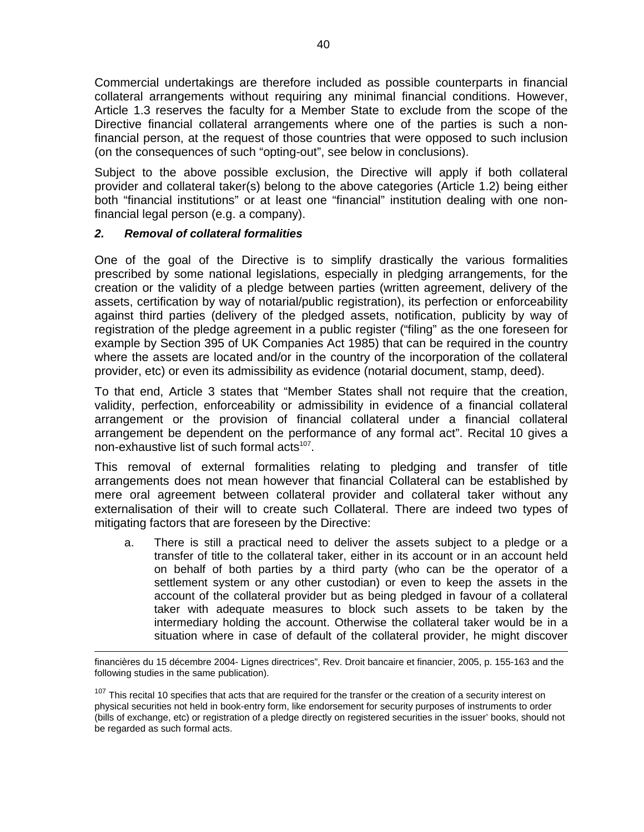Commercial undertakings are therefore included as possible counterparts in financial collateral arrangements without requiring any minimal financial conditions. However, Article 1.3 reserves the faculty for a Member State to exclude from the scope of the Directive financial collateral arrangements where one of the parties is such a nonfinancial person, at the request of those countries that were opposed to such inclusion (on the consequences of such "opting-out", see below in conclusions).

Subject to the above possible exclusion, the Directive will apply if both collateral provider and collateral taker(s) belong to the above categories (Article 1.2) being either both "financial institutions" or at least one "financial" institution dealing with one nonfinancial legal person (e.g. a company).

#### *2. Removal of collateral formalities*

One of the goal of the Directive is to simplify drastically the various formalities prescribed by some national legislations, especially in pledging arrangements, for the creation or the validity of a pledge between parties (written agreement, delivery of the assets, certification by way of notarial/public registration), its perfection or enforceability against third parties (delivery of the pledged assets, notification, publicity by way of registration of the pledge agreement in a public register ("filing" as the one foreseen for example by Section 395 of UK Companies Act 1985) that can be required in the country where the assets are located and/or in the country of the incorporation of the collateral provider, etc) or even its admissibility as evidence (notarial document, stamp, deed).

To that end, Article 3 states that "Member States shall not require that the creation, validity, perfection, enforceability or admissibility in evidence of a financial collateral arrangement or the provision of financial collateral under a financial collateral arrangement be dependent on the performance of any formal act". Recital 10 gives a non-exhaustive list of such formal acts<sup>107</sup>.

This removal of external formalities relating to pledging and transfer of title arrangements does not mean however that financial Collateral can be established by mere oral agreement between collateral provider and collateral taker without any externalisation of their will to create such Collateral. There are indeed two types of mitigating factors that are foreseen by the Directive:

a. There is still a practical need to deliver the assets subject to a pledge or a transfer of title to the collateral taker, either in its account or in an account held on behalf of both parties by a third party (who can be the operator of a settlement system or any other custodian) or even to keep the assets in the account of the collateral provider but as being pledged in favour of a collateral taker with adequate measures to block such assets to be taken by the intermediary holding the account. Otherwise the collateral taker would be in a situation where in case of default of the collateral provider, he might discover

financières du 15 décembre 2004- Lignes directrices", Rev. Droit bancaire et financier, 2005, p. 155-163 and the following studies in the same publication).

<sup>&</sup>lt;sup>107</sup> This recital 10 specifies that acts that are required for the transfer or the creation of a security interest on physical securities not held in book-entry form, like endorsement for security purposes of instruments to order (bills of exchange, etc) or registration of a pledge directly on registered securities in the issuer' books, should not be regarded as such formal acts.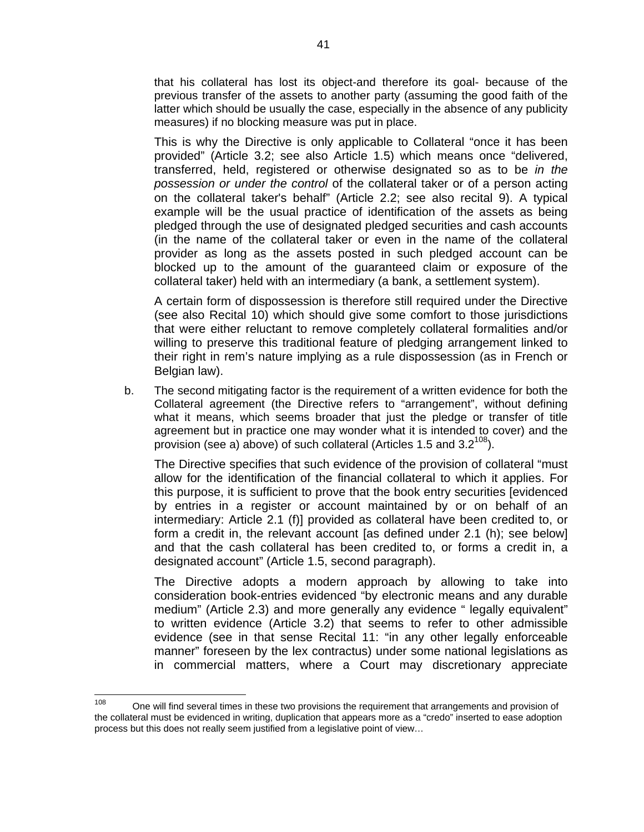that his collateral has lost its object-and therefore its goal- because of the previous transfer of the assets to another party (assuming the good faith of the latter which should be usually the case, especially in the absence of any publicity measures) if no blocking measure was put in place.

This is why the Directive is only applicable to Collateral "once it has been provided" (Article 3.2; see also Article 1.5) which means once "delivered, transferred, held, registered or otherwise designated so as to be *in the possession or under the control* of the collateral taker or of a person acting on the collateral taker's behalf" (Article 2.2; see also recital 9). A typical example will be the usual practice of identification of the assets as being pledged through the use of designated pledged securities and cash accounts (in the name of the collateral taker or even in the name of the collateral provider as long as the assets posted in such pledged account can be blocked up to the amount of the guaranteed claim or exposure of the collateral taker) held with an intermediary (a bank, a settlement system).

A certain form of dispossession is therefore still required under the Directive (see also Recital 10) which should give some comfort to those jurisdictions that were either reluctant to remove completely collateral formalities and/or willing to preserve this traditional feature of pledging arrangement linked to their right in rem's nature implying as a rule dispossession (as in French or Belgian law).

b. The second mitigating factor is the requirement of a written evidence for both the Collateral agreement (the Directive refers to "arrangement", without defining what it means, which seems broader that just the pledge or transfer of title agreement but in practice one may wonder what it is intended to cover) and the provision (see a) above) of such collateral (Articles 1.5 and  $3.2^{108}$ ).

The Directive specifies that such evidence of the provision of collateral "must allow for the identification of the financial collateral to which it applies. For this purpose, it is sufficient to prove that the book entry securities [evidenced by entries in a register or account maintained by or on behalf of an intermediary: Article 2.1 (f)] provided as collateral have been credited to, or form a credit in, the relevant account [as defined under 2.1 (h); see below] and that the cash collateral has been credited to, or forms a credit in, a designated account" (Article 1.5, second paragraph).

The Directive adopts a modern approach by allowing to take into consideration book-entries evidenced "by electronic means and any durable medium" (Article 2.3) and more generally any evidence " legally equivalent" to written evidence (Article 3.2) that seems to refer to other admissible evidence (see in that sense Recital 11: "in any other legally enforceable manner" foreseen by the lex contractus) under some national legislations as in commercial matters, where a Court may discretionary appreciate

<sup>108</sup> One will find several times in these two provisions the requirement that arrangements and provision of the collateral must be evidenced in writing, duplication that appears more as a "credo" inserted to ease adoption process but this does not really seem justified from a legislative point of view…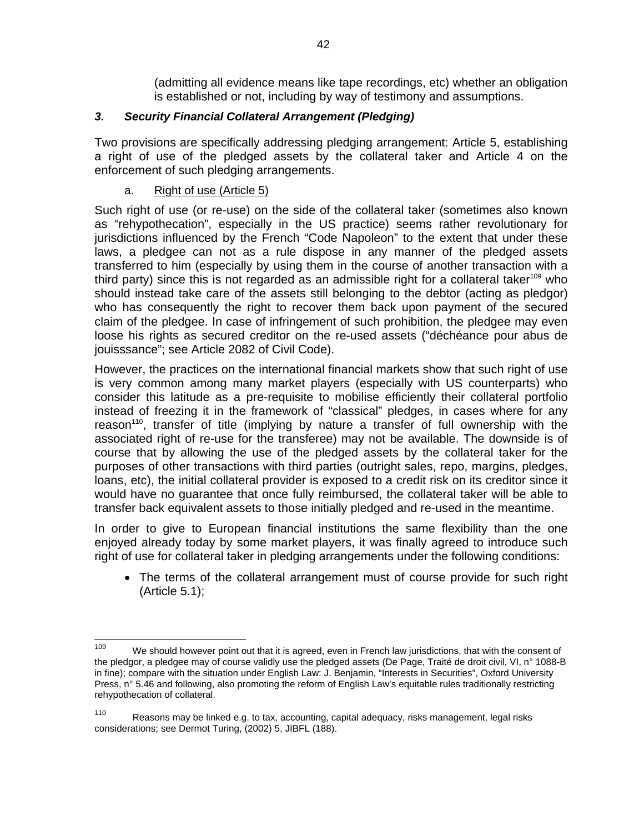(admitting all evidence means like tape recordings, etc) whether an obligation is established or not, including by way of testimony and assumptions.

# *3. Security Financial Collateral Arrangement (Pledging)*

Two provisions are specifically addressing pledging arrangement: Article 5, establishing a right of use of the pledged assets by the collateral taker and Article 4 on the enforcement of such pledging arrangements.

# a. Right of use (Article 5)

Such right of use (or re-use) on the side of the collateral taker (sometimes also known as "rehypothecation", especially in the US practice) seems rather revolutionary for jurisdictions influenced by the French "Code Napoleon" to the extent that under these laws, a pledgee can not as a rule dispose in any manner of the pledged assets transferred to him (especially by using them in the course of another transaction with a third party) since this is not regarded as an admissible right for a collateral taker<sup>109</sup> who should instead take care of the assets still belonging to the debtor (acting as pledgor) who has consequently the right to recover them back upon payment of the secured claim of the pledgee. In case of infringement of such prohibition, the pledgee may even loose his rights as secured creditor on the re-used assets ("déchéance pour abus de jouisssance"; see Article 2082 of Civil Code).

However, the practices on the international financial markets show that such right of use is very common among many market players (especially with US counterparts) who consider this latitude as a pre-requisite to mobilise efficiently their collateral portfolio instead of freezing it in the framework of "classical" pledges, in cases where for any reason<sup>110</sup>, transfer of title (implying by nature a transfer of full ownership with the associated right of re-use for the transferee) may not be available. The downside is of course that by allowing the use of the pledged assets by the collateral taker for the purposes of other transactions with third parties (outright sales, repo, margins, pledges, loans, etc), the initial collateral provider is exposed to a credit risk on its creditor since it would have no guarantee that once fully reimbursed, the collateral taker will be able to transfer back equivalent assets to those initially pledged and re-used in the meantime.

In order to give to European financial institutions the same flexibility than the one enjoyed already today by some market players, it was finally agreed to introduce such right of use for collateral taker in pledging arrangements under the following conditions:

• The terms of the collateral arrangement must of course provide for such right (Article 5.1);

<sup>109</sup> We should however point out that it is agreed, even in French law jurisdictions, that with the consent of the pledgor, a pledgee may of course validly use the pledged assets (De Page, Traité de droit civil, VI, n° 1088-B in fine); compare with the situation under English Law: J. Benjamin, "Interests in Securities", Oxford University Press, n° 5.46 and following, also promoting the reform of English Law's equitable rules traditionally restricting rehypothecation of collateral.

<sup>110</sup> Reasons may be linked e.g. to tax, accounting, capital adequacy, risks management, legal risks considerations; see Dermot Turing, (2002) 5, JIBFL (188).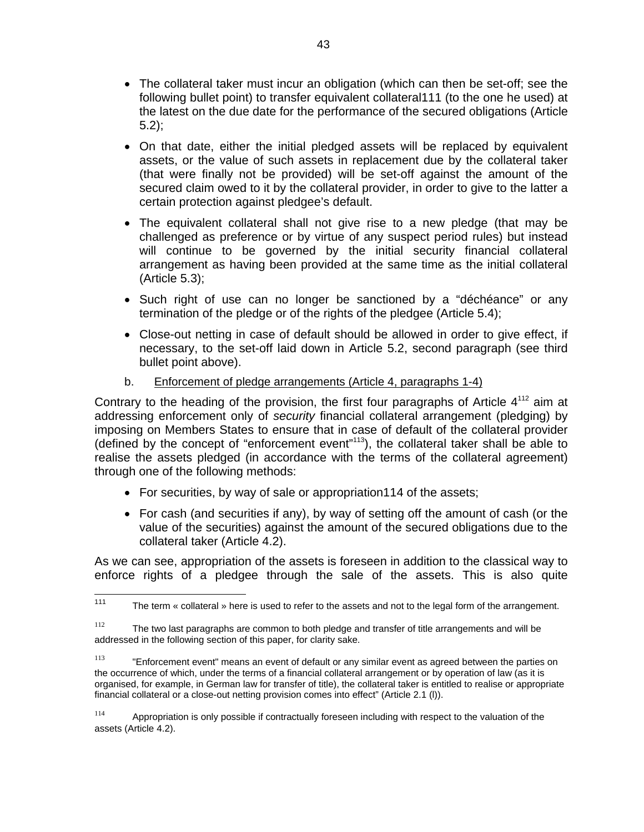- The collateral taker must incur an obligation (which can then be set-off; see the following bullet point) to transfer equivalent collateral111 (to the one he used) at the latest on the due date for the performance of the secured obligations (Article 5.2);
- On that date, either the initial pledged assets will be replaced by equivalent assets, or the value of such assets in replacement due by the collateral taker (that were finally not be provided) will be set-off against the amount of the secured claim owed to it by the collateral provider, in order to give to the latter a certain protection against pledgee's default.
- The equivalent collateral shall not give rise to a new pledge (that may be challenged as preference or by virtue of any suspect period rules) but instead will continue to be governed by the initial security financial collateral arrangement as having been provided at the same time as the initial collateral (Article 5.3);
- Such right of use can no longer be sanctioned by a "déchéance" or any termination of the pledge or of the rights of the pledgee (Article 5.4):
- Close-out netting in case of default should be allowed in order to give effect, if necessary, to the set-off laid down in Article 5.2, second paragraph (see third bullet point above).
- b. Enforcement of pledge arrangements (Article 4, paragraphs 1-4)

Contrary to the heading of the provision, the first four paragraphs of Article  $4^{112}$  aim at addressing enforcement only of *security* financial collateral arrangement (pledging) by imposing on Members States to ensure that in case of default of the collateral provider (defined by the concept of "enforcement event"113), the collateral taker shall be able to realise the assets pledged (in accordance with the terms of the collateral agreement) through one of the following methods:

- For securities, by way of sale or appropriation 114 of the assets;
- For cash (and securities if any), by way of setting off the amount of cash (or the value of the securities) against the amount of the secured obligations due to the collateral taker (Article 4.2).

As we can see, appropriation of the assets is foreseen in addition to the classical way to enforce rights of a pledgee through the sale of the assets. This is also quite

114 Appropriation is only possible if contractually foreseen including with respect to the valuation of the assets (Article 4.2).

<sup>111</sup> The term « collateral » here is used to refer to the assets and not to the legal form of the arrangement.

 $112$  The two last paragraphs are common to both pledge and transfer of title arrangements and will be addressed in the following section of this paper, for clarity sake.

 $113$  "Enforcement event" means an event of default or any similar event as agreed between the parties on the occurrence of which, under the terms of a financial collateral arrangement or by operation of law (as it is organised, for example, in German law for transfer of title), the collateral taker is entitled to realise or appropriate financial collateral or a close-out netting provision comes into effect" (Article 2.1 (l)).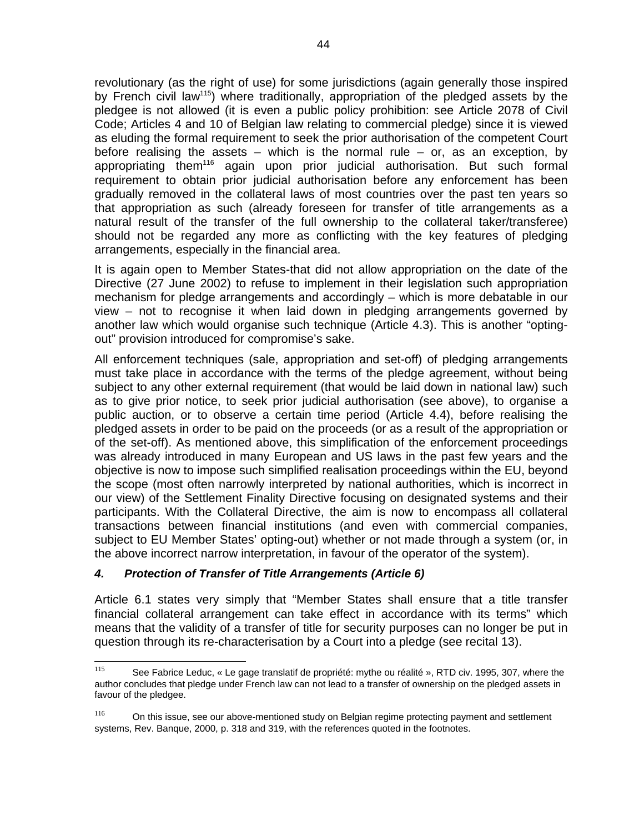revolutionary (as the right of use) for some jurisdictions (again generally those inspired by French civil law<sup>115</sup>) where traditionally, appropriation of the pledged assets by the pledgee is not allowed (it is even a public policy prohibition: see Article 2078 of Civil Code; Articles 4 and 10 of Belgian law relating to commercial pledge) since it is viewed as eluding the formal requirement to seek the prior authorisation of the competent Court before realising the assets  $-$  which is the normal rule  $-$  or, as an exception, by appropriating them<sup>116</sup> again upon prior judicial authorisation. But such formal requirement to obtain prior judicial authorisation before any enforcement has been gradually removed in the collateral laws of most countries over the past ten years so that appropriation as such (already foreseen for transfer of title arrangements as a natural result of the transfer of the full ownership to the collateral taker/transferee) should not be regarded any more as conflicting with the key features of pledging arrangements, especially in the financial area.

It is again open to Member States-that did not allow appropriation on the date of the Directive (27 June 2002) to refuse to implement in their legislation such appropriation mechanism for pledge arrangements and accordingly – which is more debatable in our view – not to recognise it when laid down in pledging arrangements governed by another law which would organise such technique (Article 4.3). This is another "optingout" provision introduced for compromise's sake.

All enforcement techniques (sale, appropriation and set-off) of pledging arrangements must take place in accordance with the terms of the pledge agreement, without being subject to any other external requirement (that would be laid down in national law) such as to give prior notice, to seek prior judicial authorisation (see above), to organise a public auction, or to observe a certain time period (Article 4.4), before realising the pledged assets in order to be paid on the proceeds (or as a result of the appropriation or of the set-off). As mentioned above, this simplification of the enforcement proceedings was already introduced in many European and US laws in the past few years and the objective is now to impose such simplified realisation proceedings within the EU, beyond the scope (most often narrowly interpreted by national authorities, which is incorrect in our view) of the Settlement Finality Directive focusing on designated systems and their participants. With the Collateral Directive, the aim is now to encompass all collateral transactions between financial institutions (and even with commercial companies, subject to EU Member States' opting-out) whether or not made through a system (or, in the above incorrect narrow interpretation, in favour of the operator of the system).

# *4. Protection of Transfer of Title Arrangements (Article 6)*

Article 6.1 states very simply that "Member States shall ensure that a title transfer financial collateral arrangement can take effect in accordance with its terms" which means that the validity of a transfer of title for security purposes can no longer be put in question through its re-characterisation by a Court into a pledge (see recital 13).

<sup>115</sup> See Fabrice Leduc, « Le gage translatif de propriété: mythe ou réalité », RTD civ. 1995, 307, where the author concludes that pledge under French law can not lead to a transfer of ownership on the pledged assets in favour of the pledgee.

<sup>&</sup>lt;sup>116</sup> On this issue, see our above-mentioned study on Belgian regime protecting payment and settlement systems, Rev. Banque, 2000, p. 318 and 319, with the references quoted in the footnotes.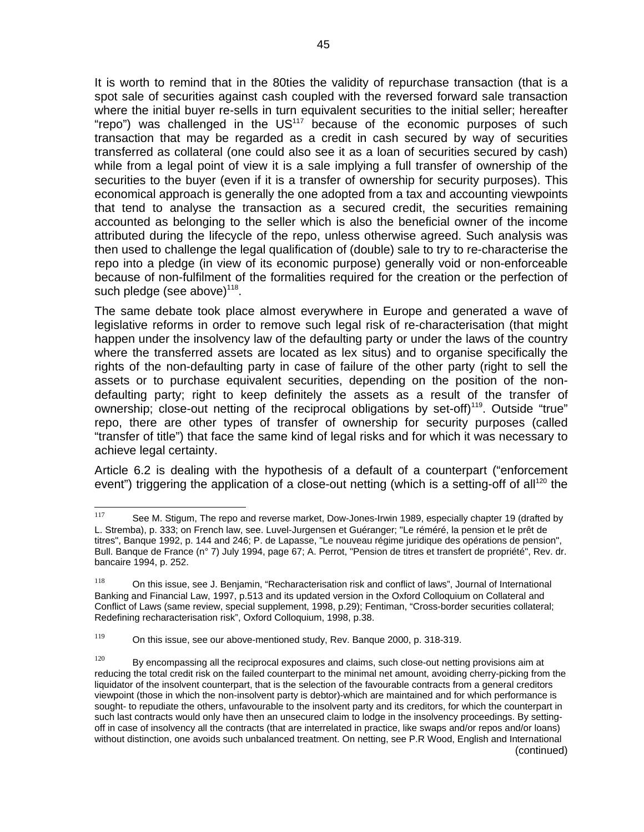It is worth to remind that in the 80ties the validity of repurchase transaction (that is a spot sale of securities against cash coupled with the reversed forward sale transaction where the initial buyer re-sells in turn equivalent securities to the initial seller; hereafter "repo") was challenged in the  $US<sup>117</sup>$  because of the economic purposes of such transaction that may be regarded as a credit in cash secured by way of securities transferred as collateral (one could also see it as a loan of securities secured by cash) while from a legal point of view it is a sale implying a full transfer of ownership of the securities to the buyer (even if it is a transfer of ownership for security purposes). This economical approach is generally the one adopted from a tax and accounting viewpoints that tend to analyse the transaction as a secured credit, the securities remaining accounted as belonging to the seller which is also the beneficial owner of the income attributed during the lifecycle of the repo, unless otherwise agreed. Such analysis was then used to challenge the legal qualification of (double) sale to try to re-characterise the repo into a pledge (in view of its economic purpose) generally void or non-enforceable because of non-fulfilment of the formalities required for the creation or the perfection of such pledge (see above) $118$ .

The same debate took place almost everywhere in Europe and generated a wave of legislative reforms in order to remove such legal risk of re-characterisation (that might happen under the insolvency law of the defaulting party or under the laws of the country where the transferred assets are located as lex situs) and to organise specifically the rights of the non-defaulting party in case of failure of the other party (right to sell the assets or to purchase equivalent securities, depending on the position of the nondefaulting party; right to keep definitely the assets as a result of the transfer of ownership; close-out netting of the reciprocal obligations by set-off)<sup>119</sup>. Outside "true" repo, there are other types of transfer of ownership for security purposes (called "transfer of title") that face the same kind of legal risks and for which it was necessary to achieve legal certainty.

Article 6.2 is dealing with the hypothesis of a default of a counterpart ("enforcement event") triggering the application of a close-out netting (which is a setting-off of all<sup>120</sup> the

<sup>117</sup> See M. Stigum, The repo and reverse market, Dow-Jones-Irwin 1989, especially chapter 19 (drafted by L. Stremba), p. 333; on French law, see. Luvel-Jurgensen et Guéranger; "Le réméré, la pension et le prêt de titres", Banque 1992, p. 144 and 246; P. de Lapasse, "Le nouveau régime juridique des opérations de pension", Bull. Banque de France (n° 7) July 1994, page 67; A. Perrot, "Pension de titres et transfert de propriété", Rev. dr. bancaire 1994, p. 252.

 $118$  On this issue, see J. Benjamin, "Recharacterisation risk and conflict of laws", Journal of International Banking and Financial Law, 1997, p.513 and its updated version in the Oxford Colloquium on Collateral and Conflict of Laws (same review, special supplement, 1998, p.29); Fentiman, "Cross-border securities collateral; Redefining recharacterisation risk", Oxford Colloquium, 1998, p.38.

 $119$  On this issue, see our above-mentioned study, Rev. Banque 2000, p. 318-319.

 $120$  By encompassing all the reciprocal exposures and claims, such close-out netting provisions aim at reducing the total credit risk on the failed counterpart to the minimal net amount, avoiding cherry-picking from the liquidator of the insolvent counterpart, that is the selection of the favourable contracts from a general creditors viewpoint (those in which the non-insolvent party is debtor)-which are maintained and for which performance is sought- to repudiate the others, unfavourable to the insolvent party and its creditors, for which the counterpart in such last contracts would only have then an unsecured claim to lodge in the insolvency proceedings. By settingoff in case of insolvency all the contracts (that are interrelated in practice, like swaps and/or repos and/or loans) without distinction, one avoids such unbalanced treatment. On netting, see P.R Wood, English and International (continued)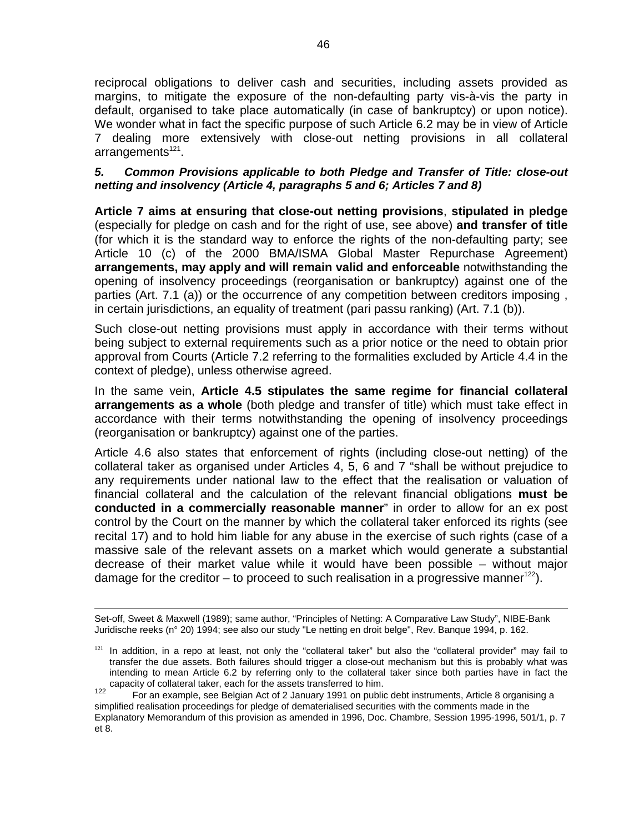reciprocal obligations to deliver cash and securities, including assets provided as margins, to mitigate the exposure of the non-defaulting party vis-à-vis the party in default, organised to take place automatically (in case of bankruptcy) or upon notice). We wonder what in fact the specific purpose of such Article 6.2 may be in view of Article 7 dealing more extensively with close-out netting provisions in all collateral  $arrangements<sup>121</sup>$ .

#### *5. Common Provisions applicable to both Pledge and Transfer of Title: close-out netting and insolvency (Article 4, paragraphs 5 and 6; Articles 7 and 8)*

**Article 7 aims at ensuring that close-out netting provisions**, **stipulated in pledge** (especially for pledge on cash and for the right of use, see above) **and transfer of title**  (for which it is the standard way to enforce the rights of the non-defaulting party; see Article 10 (c) of the 2000 BMA/ISMA Global Master Repurchase Agreement) **arrangements, may apply and will remain valid and enforceable** notwithstanding the opening of insolvency proceedings (reorganisation or bankruptcy) against one of the parties (Art. 7.1 (a)) or the occurrence of any competition between creditors imposing , in certain jurisdictions, an equality of treatment (pari passu ranking) (Art. 7.1 (b)).

Such close-out netting provisions must apply in accordance with their terms without being subject to external requirements such as a prior notice or the need to obtain prior approval from Courts (Article 7.2 referring to the formalities excluded by Article 4.4 in the context of pledge), unless otherwise agreed.

In the same vein, **Article 4.5 stipulates the same regime for financial collateral arrangements as a whole** (both pledge and transfer of title) which must take effect in accordance with their terms notwithstanding the opening of insolvency proceedings (reorganisation or bankruptcy) against one of the parties.

Article 4.6 also states that enforcement of rights (including close-out netting) of the collateral taker as organised under Articles 4, 5, 6 and 7 "shall be without prejudice to any requirements under national law to the effect that the realisation or valuation of financial collateral and the calculation of the relevant financial obligations **must be conducted in a commercially reasonable manner**" in order to allow for an ex post control by the Court on the manner by which the collateral taker enforced its rights (see recital 17) and to hold him liable for any abuse in the exercise of such rights (case of a massive sale of the relevant assets on a market which would generate a substantial decrease of their market value while it would have been possible – without major damage for the creditor – to proceed to such realisation in a progressive manner<sup>122</sup>).

Set-off, Sweet & Maxwell (1989); same author, "Principles of Netting: A Comparative Law Study", NIBE-Bank Juridische reeks (n° 20) 1994; see also our study "Le netting en droit belge", Rev. Banque 1994, p. 162.

 $121$  In addition, in a repo at least, not only the "collateral taker" but also the "collateral provider" may fail to transfer the due assets. Both failures should trigger a close-out mechanism but this is probably what was intending to mean Article 6.2 by referring only to the collateral taker since both parties have in fact the capacity of collateral taker, each for the assets transferred to him.

For an example, see Belgian Act of 2 January 1991 on public debt instruments, Article 8 organising a simplified realisation proceedings for pledge of dematerialised securities with the comments made in the Explanatory Memorandum of this provision as amended in 1996, Doc. Chambre, Session 1995-1996, 501/1, p. 7 et 8.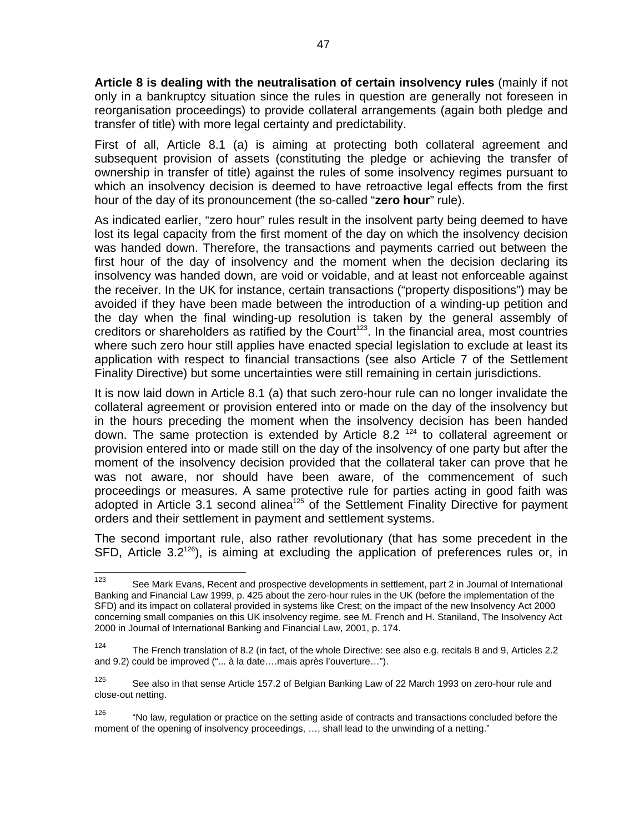**Article 8 is dealing with the neutralisation of certain insolvency rules** (mainly if not only in a bankruptcy situation since the rules in question are generally not foreseen in reorganisation proceedings) to provide collateral arrangements (again both pledge and transfer of title) with more legal certainty and predictability.

First of all, Article 8.1 (a) is aiming at protecting both collateral agreement and subsequent provision of assets (constituting the pledge or achieving the transfer of ownership in transfer of title) against the rules of some insolvency regimes pursuant to which an insolvency decision is deemed to have retroactive legal effects from the first hour of the day of its pronouncement (the so-called "**zero hour**" rule).

As indicated earlier, "zero hour" rules result in the insolvent party being deemed to have lost its legal capacity from the first moment of the day on which the insolvency decision was handed down. Therefore, the transactions and payments carried out between the first hour of the day of insolvency and the moment when the decision declaring its insolvency was handed down, are void or voidable, and at least not enforceable against the receiver. In the UK for instance, certain transactions ("property dispositions") may be avoided if they have been made between the introduction of a winding-up petition and the day when the final winding-up resolution is taken by the general assembly of creditors or shareholders as ratified by the Court<sup>123</sup>. In the financial area, most countries where such zero hour still applies have enacted special legislation to exclude at least its application with respect to financial transactions (see also Article 7 of the Settlement Finality Directive) but some uncertainties were still remaining in certain jurisdictions.

It is now laid down in Article 8.1 (a) that such zero-hour rule can no longer invalidate the collateral agreement or provision entered into or made on the day of the insolvency but in the hours preceding the moment when the insolvency decision has been handed down. The same protection is extended by Article 8.2  $1/24$  to collateral agreement or provision entered into or made still on the day of the insolvency of one party but after the moment of the insolvency decision provided that the collateral taker can prove that he was not aware, nor should have been aware, of the commencement of such proceedings or measures. A same protective rule for parties acting in good faith was adopted in Article 3.1 second alinea<sup>125</sup> of the Settlement Finality Directive for payment orders and their settlement in payment and settlement systems.

The second important rule, also rather revolutionary (that has some precedent in the SFD, Article 3.2<sup>126</sup>), is aiming at excluding the application of preferences rules or, in

<sup>123</sup> See Mark Evans, Recent and prospective developments in settlement, part 2 in Journal of International Banking and Financial Law 1999, p. 425 about the zero-hour rules in the UK (before the implementation of the SFD) and its impact on collateral provided in systems like Crest; on the impact of the new Insolvency Act 2000 concerning small companies on this UK insolvency regime, see M. French and H. Staniland, The Insolvency Act 2000 in Journal of International Banking and Financial Law, 2001, p. 174.

<sup>&</sup>lt;sup>124</sup> The French translation of 8.2 (in fact, of the whole Directive: see also e.g. recitals 8 and 9, Articles 2.2 and 9.2) could be improved ("... à la date….mais après l'ouverture…").

<sup>&</sup>lt;sup>125</sup> See also in that sense Article 157.2 of Belgian Banking Law of 22 March 1993 on zero-hour rule and close-out netting.

<sup>&</sup>lt;sup>126</sup> "No law, regulation or practice on the setting aside of contracts and transactions concluded before the moment of the opening of insolvency proceedings, …, shall lead to the unwinding of a netting."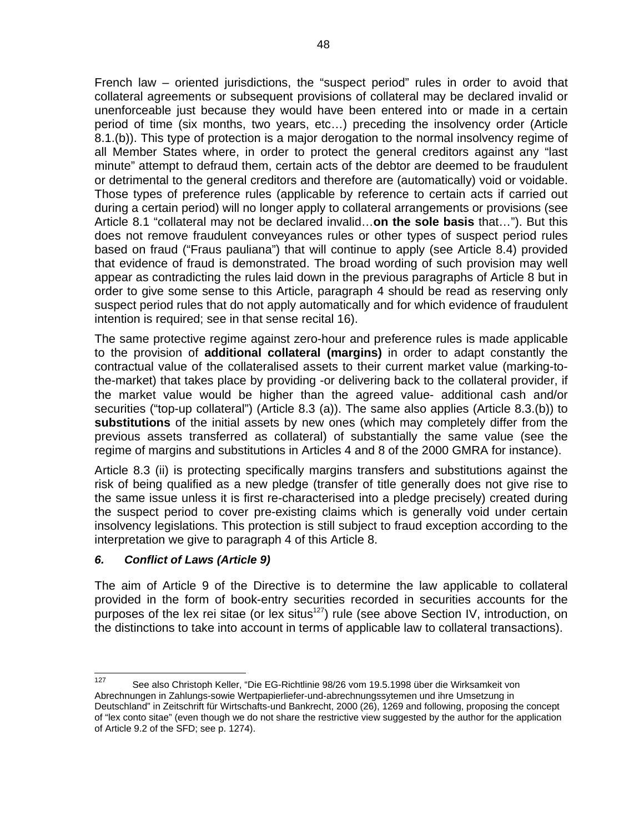French law – oriented jurisdictions, the "suspect period" rules in order to avoid that collateral agreements or subsequent provisions of collateral may be declared invalid or unenforceable just because they would have been entered into or made in a certain period of time (six months, two years, etc…) preceding the insolvency order (Article 8.1.(b)). This type of protection is a major derogation to the normal insolvency regime of all Member States where, in order to protect the general creditors against any "last minute" attempt to defraud them, certain acts of the debtor are deemed to be fraudulent or detrimental to the general creditors and therefore are (automatically) void or voidable. Those types of preference rules (applicable by reference to certain acts if carried out during a certain period) will no longer apply to collateral arrangements or provisions (see Article 8.1 "collateral may not be declared invalid…**on the sole basis** that…"). But this does not remove fraudulent conveyances rules or other types of suspect period rules based on fraud ("Fraus pauliana") that will continue to apply (see Article 8.4) provided that evidence of fraud is demonstrated. The broad wording of such provision may well appear as contradicting the rules laid down in the previous paragraphs of Article 8 but in order to give some sense to this Article, paragraph 4 should be read as reserving only suspect period rules that do not apply automatically and for which evidence of fraudulent intention is required; see in that sense recital 16).

The same protective regime against zero-hour and preference rules is made applicable to the provision of **additional collateral (margins)** in order to adapt constantly the contractual value of the collateralised assets to their current market value (marking-tothe-market) that takes place by providing -or delivering back to the collateral provider, if the market value would be higher than the agreed value- additional cash and/or securities ("top-up collateral") (Article 8.3 (a)). The same also applies (Article 8.3.(b)) to **substitutions** of the initial assets by new ones (which may completely differ from the previous assets transferred as collateral) of substantially the same value (see the regime of margins and substitutions in Articles 4 and 8 of the 2000 GMRA for instance).

Article 8.3 (ii) is protecting specifically margins transfers and substitutions against the risk of being qualified as a new pledge (transfer of title generally does not give rise to the same issue unless it is first re-characterised into a pledge precisely) created during the suspect period to cover pre-existing claims which is generally void under certain insolvency legislations. This protection is still subject to fraud exception according to the interpretation we give to paragraph 4 of this Article 8.

# *6. Conflict of Laws (Article 9)*

The aim of Article 9 of the Directive is to determine the law applicable to collateral provided in the form of book-entry securities recorded in securities accounts for the purposes of the lex rei sitae (or lex situs<sup>127</sup>) rule (see above Section IV, introduction, on the distinctions to take into account in terms of applicable law to collateral transactions).

<sup>127</sup> See also Christoph Keller, "Die EG-Richtlinie 98/26 vom 19.5.1998 über die Wirksamkeit von Abrechnungen in Zahlungs-sowie Wertpapierliefer-und-abrechnungssytemen und ihre Umsetzung in Deutschland" in Zeitschrift für Wirtschafts-und Bankrecht, 2000 (26), 1269 and following, proposing the concept of "lex conto sitae" (even though we do not share the restrictive view suggested by the author for the application of Article 9.2 of the SFD; see p. 1274).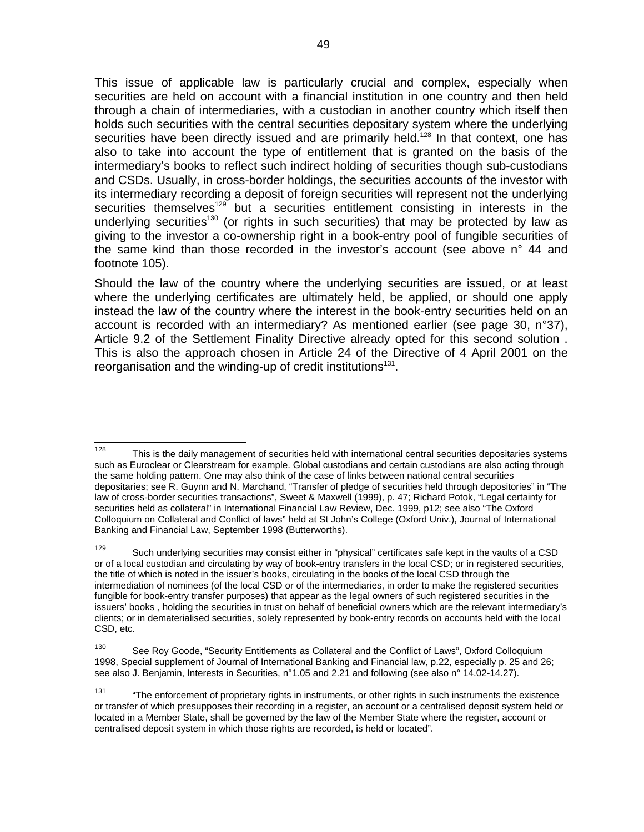This issue of applicable law is particularly crucial and complex, especially when securities are held on account with a financial institution in one country and then held through a chain of intermediaries, with a custodian in another country which itself then holds such securities with the central securities depositary system where the underlying securities have been directly issued and are primarily held.<sup>128</sup> In that context, one has also to take into account the type of entitlement that is granted on the basis of the intermediary's books to reflect such indirect holding of securities though sub-custodians and CSDs. Usually, in cross-border holdings, the securities accounts of the investor with its intermediary recording a deposit of foreign securities will represent not the underlying securities themselves<sup>129</sup> but a securities entitlement consisting in interests in the underlying securities<sup>130</sup> (or rights in such securities) that may be protected by law as giving to the investor a co-ownership right in a book-entry pool of fungible securities of the same kind than those recorded in the investor's account (see above n° 44 and footnote 105).

Should the law of the country where the underlying securities are issued, or at least where the underlying certificates are ultimately held, be applied, or should one apply instead the law of the country where the interest in the book-entry securities held on an account is recorded with an intermediary? As mentioned earlier (see page 30, n°37), Article 9.2 of the Settlement Finality Directive already opted for this second solution . This is also the approach chosen in Article 24 of the Directive of 4 April 2001 on the reorganisation and the winding-up of credit institutions<sup>131</sup>.

<sup>128</sup> This is the daily management of securities held with international central securities depositaries systems such as Euroclear or Clearstream for example. Global custodians and certain custodians are also acting through the same holding pattern. One may also think of the case of links between national central securities depositaries; see R. Guynn and N. Marchand, "Transfer of pledge of securities held through depositories" in "The law of cross-border securities transactions", Sweet & Maxwell (1999), p. 47; Richard Potok, "Legal certainty for securities held as collateral" in International Financial Law Review, Dec. 1999, p12; see also "The Oxford Colloquium on Collateral and Conflict of laws" held at St John's College (Oxford Univ.), Journal of International Banking and Financial Law, September 1998 (Butterworths).

<sup>&</sup>lt;sup>129</sup> Such underlying securities may consist either in "physical" certificates safe kept in the vaults of a CSD or of a local custodian and circulating by way of book-entry transfers in the local CSD; or in registered securities, the title of which is noted in the issuer's books, circulating in the books of the local CSD through the intermediation of nominees (of the local CSD or of the intermediaries, in order to make the registered securities fungible for book-entry transfer purposes) that appear as the legal owners of such registered securities in the issuers' books , holding the securities in trust on behalf of beneficial owners which are the relevant intermediary's clients; or in dematerialised securities, solely represented by book-entry records on accounts held with the local CSD, etc.

<sup>130</sup> See Roy Goode, "Security Entitlements as Collateral and the Conflict of Laws", Oxford Colloquium 1998, Special supplement of Journal of International Banking and Financial law, p.22, especially p. 25 and 26; see also J. Benjamin, Interests in Securities, n°1.05 and 2.21 and following (see also n° 14.02-14.27).

<sup>&</sup>lt;sup>131</sup> "The enforcement of proprietary rights in instruments, or other rights in such instruments the existence or transfer of which presupposes their recording in a register, an account or a centralised deposit system held or located in a Member State, shall be governed by the law of the Member State where the register, account or centralised deposit system in which those rights are recorded, is held or located".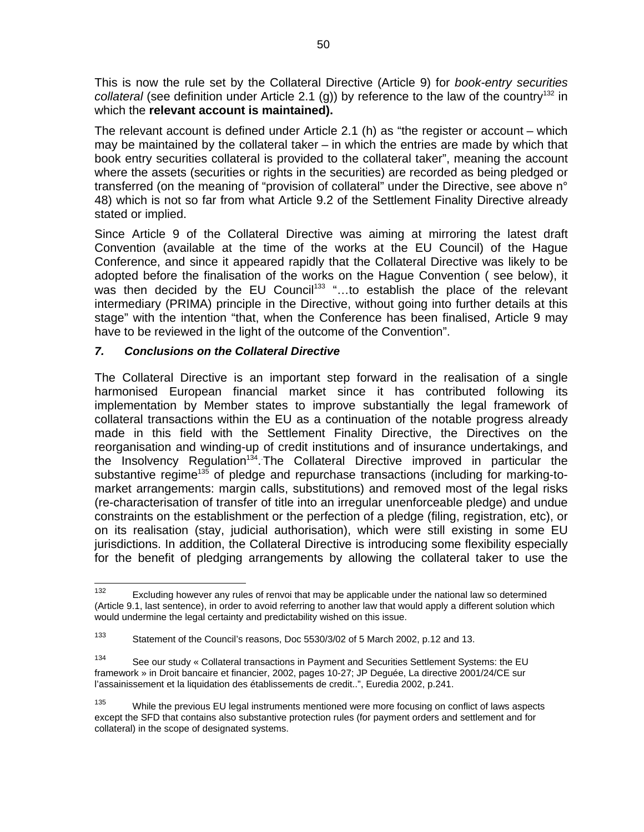This is now the rule set by the Collateral Directive (Article 9) for *book-entry securities*  collateral (see definition under Article 2.1 (g)) by reference to the law of the country<sup>132</sup> in which the **relevant account is maintained).** 

The relevant account is defined under Article 2.1 (h) as "the register or account – which may be maintained by the collateral taker – in which the entries are made by which that book entry securities collateral is provided to the collateral taker", meaning the account where the assets (securities or rights in the securities) are recorded as being pledged or transferred (on the meaning of "provision of collateral" under the Directive, see above n° 48) which is not so far from what Article 9.2 of the Settlement Finality Directive already stated or implied.

Since Article 9 of the Collateral Directive was aiming at mirroring the latest draft Convention (available at the time of the works at the EU Council) of the Hague Conference, and since it appeared rapidly that the Collateral Directive was likely to be adopted before the finalisation of the works on the Hague Convention ( see below), it was then decided by the EU Council<sup>133</sup> "...to establish the place of the relevant intermediary (PRIMA) principle in the Directive, without going into further details at this stage" with the intention "that, when the Conference has been finalised, Article 9 may have to be reviewed in the light of the outcome of the Convention".

#### *7. Conclusions on the Collateral Directive*

The Collateral Directive is an important step forward in the realisation of a single harmonised European financial market since it has contributed following its implementation by Member states to improve substantially the legal framework of collateral transactions within the EU as a continuation of the notable progress already made in this field with the Settlement Finality Directive, the Directives on the reorganisation and winding-up of credit institutions and of insurance undertakings, and the Insolvency Regulation<sup>134</sup>. The Collateral Directive improved in particular the substantive regime<sup>135</sup> of pledge and repurchase transactions (including for marking-tomarket arrangements: margin calls, substitutions) and removed most of the legal risks (re-characterisation of transfer of title into an irregular unenforceable pledge) and undue constraints on the establishment or the perfection of a pledge (filing, registration, etc), or on its realisation (stay, judicial authorisation), which were still existing in some EU jurisdictions. In addition, the Collateral Directive is introducing some flexibility especially for the benefit of pledging arrangements by allowing the collateral taker to use the

<sup>132</sup> Excluding however any rules of renvoi that may be applicable under the national law so determined (Article 9.1, last sentence), in order to avoid referring to another law that would apply a different solution which would undermine the legal certainty and predictability wished on this issue.

<sup>133</sup> Statement of the Council's reasons, Doc 5530/3/02 of 5 March 2002, p.12 and 13.

<sup>134</sup> See our study « Collateral transactions in Payment and Securities Settlement Systems: the EU framework » in Droit bancaire et financier, 2002, pages 10-27; JP Deguée, La directive 2001/24/CE sur l'assainissement et la liquidation des établissements de credit..", Euredia 2002, p.241.

<sup>&</sup>lt;sup>135</sup> While the previous EU legal instruments mentioned were more focusing on conflict of laws aspects except the SFD that contains also substantive protection rules (for payment orders and settlement and for collateral) in the scope of designated systems.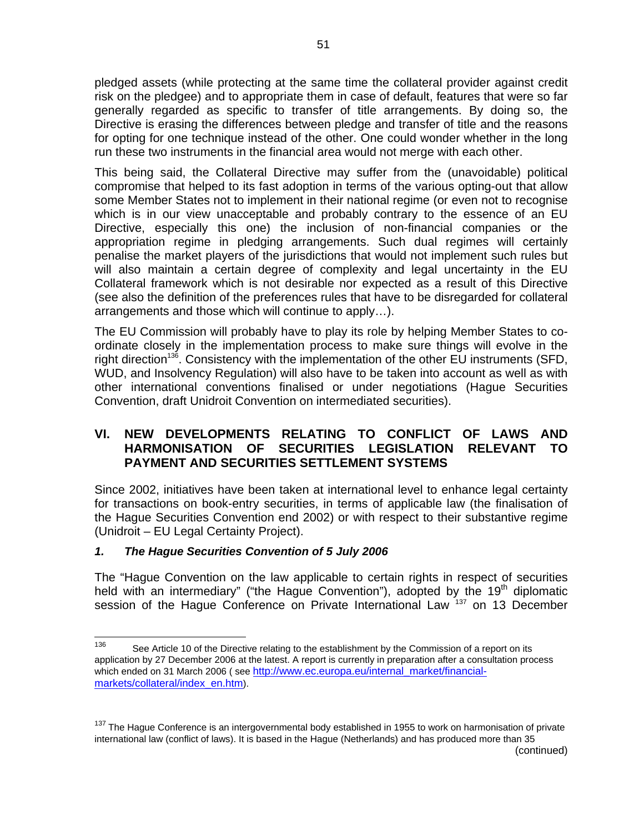pledged assets (while protecting at the same time the collateral provider against credit risk on the pledgee) and to appropriate them in case of default, features that were so far generally regarded as specific to transfer of title arrangements. By doing so, the Directive is erasing the differences between pledge and transfer of title and the reasons for opting for one technique instead of the other. One could wonder whether in the long run these two instruments in the financial area would not merge with each other.

This being said, the Collateral Directive may suffer from the (unavoidable) political compromise that helped to its fast adoption in terms of the various opting-out that allow some Member States not to implement in their national regime (or even not to recognise which is in our view unacceptable and probably contrary to the essence of an EU Directive, especially this one) the inclusion of non-financial companies or the appropriation regime in pledging arrangements. Such dual regimes will certainly penalise the market players of the jurisdictions that would not implement such rules but will also maintain a certain degree of complexity and legal uncertainty in the EU Collateral framework which is not desirable nor expected as a result of this Directive (see also the definition of the preferences rules that have to be disregarded for collateral arrangements and those which will continue to apply…).

The EU Commission will probably have to play its role by helping Member States to coordinate closely in the implementation process to make sure things will evolve in the right direction<sup>136</sup>. Consistency with the implementation of the other EU instruments (SFD, WUD, and Insolvency Regulation) will also have to be taken into account as well as with other international conventions finalised or under negotiations (Hague Securities Convention, draft Unidroit Convention on intermediated securities).

# **VI. NEW DEVELOPMENTS RELATING TO CONFLICT OF LAWS AND HARMONISATION OF SECURITIES LEGISLATION RELEVANT TO PAYMENT AND SECURITIES SETTLEMENT SYSTEMS**

Since 2002, initiatives have been taken at international level to enhance legal certainty for transactions on book-entry securities, in terms of applicable law (the finalisation of the Hague Securities Convention end 2002) or with respect to their substantive regime (Unidroit – EU Legal Certainty Project).

# *1. The Hague Securities Convention of 5 July 2006*

The "Hague Convention on the law applicable to certain rights in respect of securities held with an intermediary" ("the Hague Convention"), adopted by the  $19<sup>th</sup>$  diplomatic session of the Hague Conference on Private International Law  $137$  on 13 December

<sup>136</sup> See Article 10 of the Directive relating to the establishment by the Commission of a report on its application by 27 December 2006 at the latest. A report is currently in preparation after a consultation process which ended on 31 March 2006 (see http://www.ec.europa.eu/internal\_market/financialmarkets/collateral/index\_en.htm).

<sup>&</sup>lt;sup>137</sup> The Hague Conference is an intergovernmental body established in 1955 to work on harmonisation of private international law (conflict of laws). It is based in the Hague (Netherlands) and has produced more than 35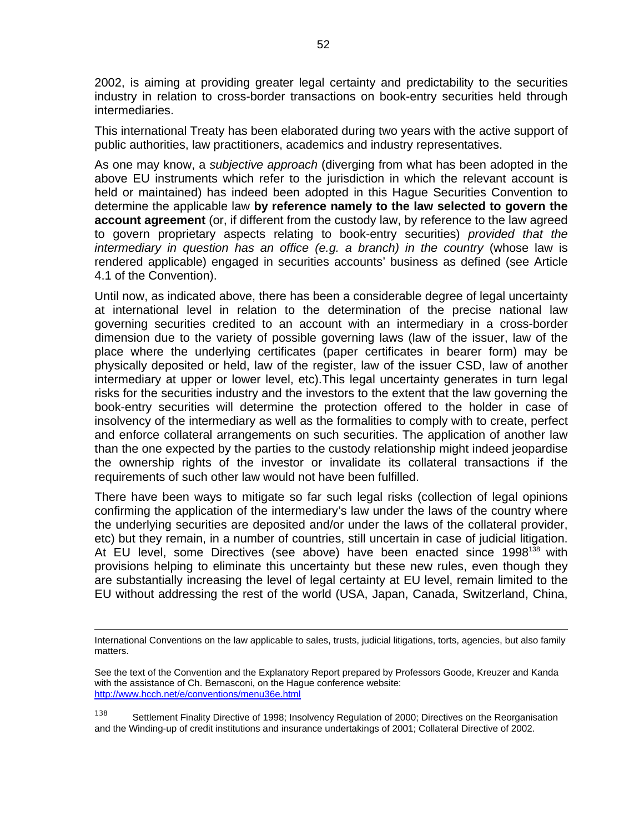2002, is aiming at providing greater legal certainty and predictability to the securities industry in relation to cross-border transactions on book-entry securities held through intermediaries.

This international Treaty has been elaborated during two years with the active support of public authorities, law practitioners, academics and industry representatives.

As one may know, a *subjective approach* (diverging from what has been adopted in the above EU instruments which refer to the jurisdiction in which the relevant account is held or maintained) has indeed been adopted in this Hague Securities Convention to determine the applicable law **by reference namely to the law selected to govern the account agreement** (or, if different from the custody law, by reference to the law agreed to govern proprietary aspects relating to book-entry securities) *provided that the intermediary in question has an office (e.g. a branch) in the country* (whose law is rendered applicable) engaged in securities accounts' business as defined (see Article 4.1 of the Convention).

Until now, as indicated above, there has been a considerable degree of legal uncertainty at international level in relation to the determination of the precise national law governing securities credited to an account with an intermediary in a cross-border dimension due to the variety of possible governing laws (law of the issuer, law of the place where the underlying certificates (paper certificates in bearer form) may be physically deposited or held, law of the register, law of the issuer CSD, law of another intermediary at upper or lower level, etc).This legal uncertainty generates in turn legal risks for the securities industry and the investors to the extent that the law governing the book-entry securities will determine the protection offered to the holder in case of insolvency of the intermediary as well as the formalities to comply with to create, perfect and enforce collateral arrangements on such securities. The application of another law than the one expected by the parties to the custody relationship might indeed jeopardise the ownership rights of the investor or invalidate its collateral transactions if the requirements of such other law would not have been fulfilled.

There have been ways to mitigate so far such legal risks (collection of legal opinions confirming the application of the intermediary's law under the laws of the country where the underlying securities are deposited and/or under the laws of the collateral provider, etc) but they remain, in a number of countries, still uncertain in case of judicial litigation. At EU level, some Directives (see above) have been enacted since 1998<sup>138</sup> with provisions helping to eliminate this uncertainty but these new rules, even though they are substantially increasing the level of legal certainty at EU level, remain limited to the EU without addressing the rest of the world (USA, Japan, Canada, Switzerland, China,

138 Settlement Finality Directive of 1998; Insolvency Regulation of 2000; Directives on the Reorganisation and the Winding-up of credit institutions and insurance undertakings of 2001; Collateral Directive of 2002.

International Conventions on the law applicable to sales, trusts, judicial litigations, torts, agencies, but also family matters.

See the text of the Convention and the Explanatory Report prepared by Professors Goode, Kreuzer and Kanda with the assistance of Ch. Bernasconi, on the Hague conference website: http://www.hcch.net/e/conventions/menu36e.html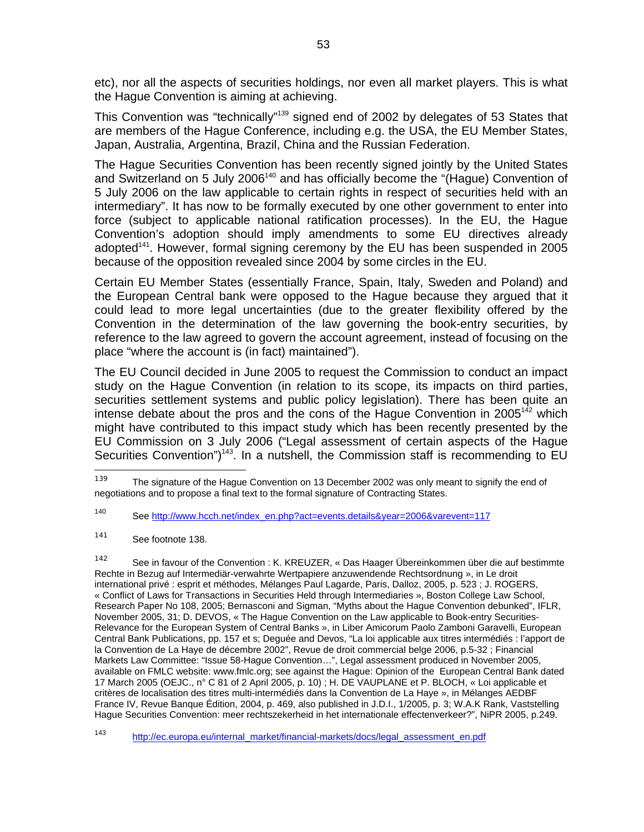etc), nor all the aspects of securities holdings, nor even all market players. This is what the Hague Convention is aiming at achieving.

This Convention was "technically"<sup>139</sup> signed end of 2002 by delegates of 53 States that are members of the Hague Conference, including e.g. the USA, the EU Member States, Japan, Australia, Argentina, Brazil, China and the Russian Federation.

The Hague Securities Convention has been recently signed jointly by the United States and Switzerland on 5 July 2006 $140$  and has officially become the "(Hague) Convention of 5 July 2006 on the law applicable to certain rights in respect of securities held with an intermediary". It has now to be formally executed by one other government to enter into force (subject to applicable national ratification processes). In the EU, the Hague Convention's adoption should imply amendments to some EU directives already adopted<sup>141</sup>. However, formal signing ceremony by the EU has been suspended in 2005 because of the opposition revealed since 2004 by some circles in the EU.

Certain EU Member States (essentially France, Spain, Italy, Sweden and Poland) and the European Central bank were opposed to the Hague because they argued that it could lead to more legal uncertainties (due to the greater flexibility offered by the Convention in the determination of the law governing the book-entry securities, by reference to the law agreed to govern the account agreement, instead of focusing on the place "where the account is (in fact) maintained").

The EU Council decided in June 2005 to request the Commission to conduct an impact study on the Hague Convention (in relation to its scope, its impacts on third parties, securities settlement systems and public policy legislation). There has been quite an intense debate about the pros and the cons of the Hague Convention in  $2005<sup>142</sup>$  which might have contributed to this impact study which has been recently presented by the EU Commission on 3 July 2006 ("Legal assessment of certain aspects of the Hague Securities Convention")<sup>143</sup>. In a nutshell, the Commission staff is recommending to  $EU$ 

<sup>&</sup>lt;sup>139</sup> The signature of the Hague Convention on 13 December 2002 was only meant to signify the end of negotiations and to propose a final text to the formal signature of Contracting States.

<sup>140</sup> See http://www.hcch.net/index\_en.php?act=events.details&year=2006&varevent=117

<sup>141</sup> See footnote 138.

<sup>142</sup> See in favour of the Convention : K. KREUZER, « Das Haager Übereinkommen über die auf bestimmte Rechte in Bezug auf Intermediär-verwahrte Wertpapiere anzuwendende Rechtsordnung », in Le droit international privé : esprit et méthodes, Mélanges Paul Lagarde, Paris, Dalloz, 2005, p. 523 ; J. ROGERS, « Conflict of Laws for Transactions in Securities Held through Intermediaries », Boston College Law School, Research Paper No 108, 2005; Bernasconi and Sigman, "Myths about the Hague Convention debunked", IFLR, November 2005, 31; D. DEVOS, « The Hague Convention on the Law applicable to Book-entry Securities-Relevance for the European System of Central Banks », in Liber Amicorum Paolo Zamboni Garavelli, European Central Bank Publications, pp. 157 et s; Deguée and Devos, "La loi applicable aux titres intermédiés : l'apport de la Convention de La Haye de décembre 2002", Revue de droit commercial belge 2006, p.5-32 ; Financial Markets Law Committee: "Issue 58-Hague Convention…", Legal assessment produced in November 2005, available on FMLC website: www.fmlc.org; see against the Hague: Opinion of the European Central Bank dated 17 March 2005 (OEJC., n° C 81 of 2 April 2005, p. 10) ; H. DE VAUPLANE et P. BLOCH, « Loi applicable et critères de localisation des titres multi-intermédiés dans la Convention de La Haye », in Mélanges AEDBF France IV, Revue Banque Édition, 2004, p. 469, also published in J.D.I., 1/2005, p. 3; W.A.K Rank, Vaststelling Hague Securities Convention: meer rechtszekerheid in het internationale effectenverkeer?", NiPR 2005, p.249.

<sup>143</sup> http://ec.europa.eu/internal\_market/financial-markets/docs/legal\_assessment\_en.pdf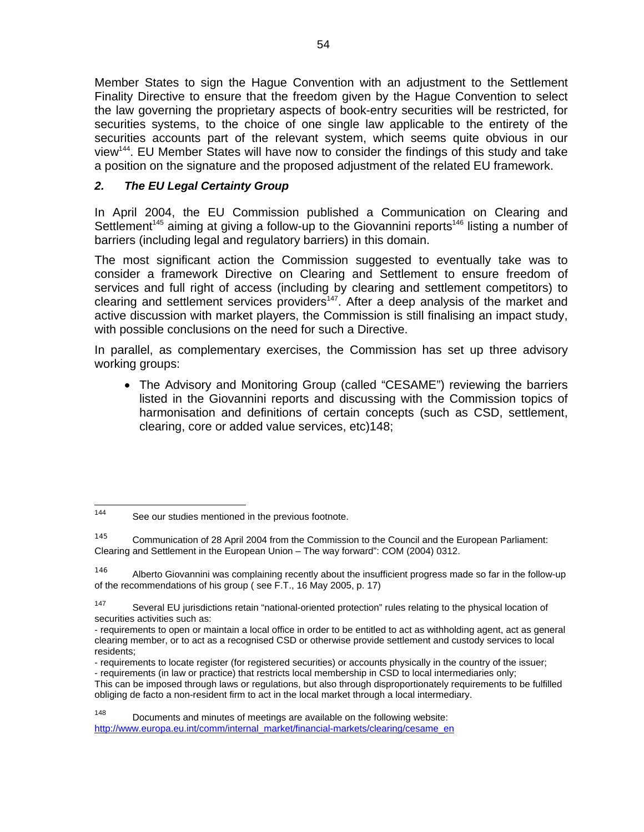Member States to sign the Hague Convention with an adjustment to the Settlement Finality Directive to ensure that the freedom given by the Hague Convention to select the law governing the proprietary aspects of book-entry securities will be restricted, for securities systems, to the choice of one single law applicable to the entirety of the securities accounts part of the relevant system, which seems quite obvious in our view144. EU Member States will have now to consider the findings of this study and take a position on the signature and the proposed adjustment of the related EU framework.

# *2. The EU Legal Certainty Group*

In April 2004, the EU Commission published a Communication on Clearing and Settlement<sup>145</sup> aiming at giving a follow-up to the Giovannini reports<sup>146</sup> listing a number of barriers (including legal and regulatory barriers) in this domain.

The most significant action the Commission suggested to eventually take was to consider a framework Directive on Clearing and Settlement to ensure freedom of services and full right of access (including by clearing and settlement competitors) to clearing and settlement services providers<sup>147</sup>. After a deep analysis of the market and active discussion with market players, the Commission is still finalising an impact study, with possible conclusions on the need for such a Directive.

In parallel, as complementary exercises, the Commission has set up three advisory working groups:

• The Advisory and Monitoring Group (called "CESAME") reviewing the barriers listed in the Giovannini reports and discussing with the Commission topics of harmonisation and definitions of certain concepts (such as CSD, settlement, clearing, core or added value services, etc)148;

<sup>146</sup> Alberto Giovannini was complaining recently about the insufficient progress made so far in the follow-up of the recommendations of his group ( see F.T., 16 May 2005, p. 17)

<sup>147</sup> Several EU jurisdictions retain "national-oriented protection" rules relating to the physical location of securities activities such as:

This can be imposed through laws or regulations, but also through disproportionately requirements to be fulfilled obliging de facto a non-resident firm to act in the local market through a local intermediary.

148 Documents and minutes of meetings are available on the following website: http://www.europa.eu.int/comm/internal\_market/financial-markets/clearing/cesame\_en

<sup>144</sup> See our studies mentioned in the previous footnote.

<sup>&</sup>lt;sup>145</sup> Communication of 28 April 2004 from the Commission to the Council and the European Parliament: Clearing and Settlement in the European Union – The way forward": COM (2004) 0312.

<sup>-</sup> requirements to open or maintain a local office in order to be entitled to act as withholding agent, act as general clearing member, or to act as a recognised CSD or otherwise provide settlement and custody services to local residents;

<sup>-</sup> requirements to locate register (for registered securities) or accounts physically in the country of the issuer; - requirements (in law or practice) that restricts local membership in CSD to local intermediaries only;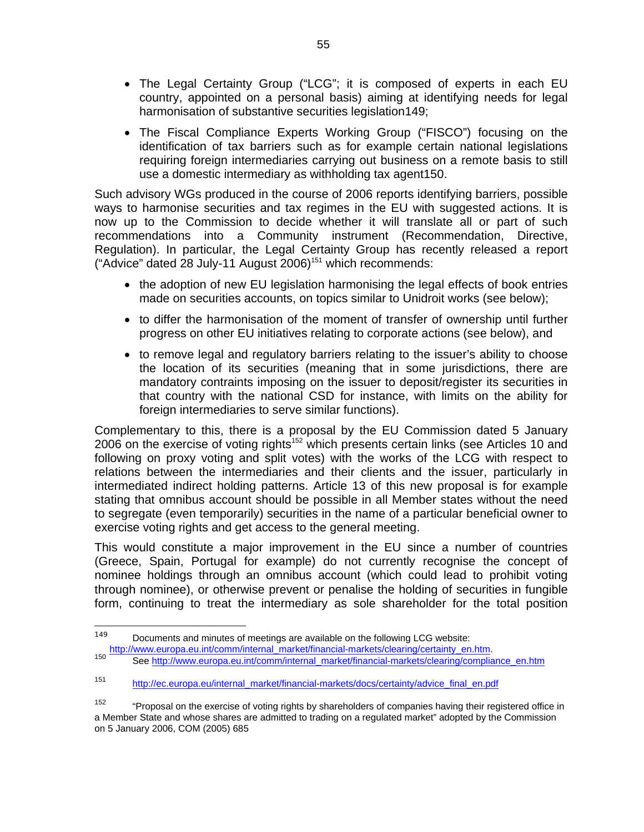- The Legal Certainty Group ("LCG"; it is composed of experts in each EU country, appointed on a personal basis) aiming at identifying needs for legal harmonisation of substantive securities legislation149;
- The Fiscal Compliance Experts Working Group ("FISCO") focusing on the identification of tax barriers such as for example certain national legislations requiring foreign intermediaries carrying out business on a remote basis to still use a domestic intermediary as withholding tax agent150.

Such advisory WGs produced in the course of 2006 reports identifying barriers, possible ways to harmonise securities and tax regimes in the EU with suggested actions. It is now up to the Commission to decide whether it will translate all or part of such recommendations into a Community instrument (Recommendation, Directive, Regulation). In particular, the Legal Certainty Group has recently released a report ("Advice" dated  $28$  July-11 August  $2006$ )<sup>151</sup> which recommends:

- the adoption of new EU legislation harmonising the legal effects of book entries made on securities accounts, on topics similar to Unidroit works (see below);
- to differ the harmonisation of the moment of transfer of ownership until further progress on other EU initiatives relating to corporate actions (see below), and
- to remove legal and regulatory barriers relating to the issuer's ability to choose the location of its securities (meaning that in some jurisdictions, there are mandatory contraints imposing on the issuer to deposit/register its securities in that country with the national CSD for instance, with limits on the ability for foreign intermediaries to serve similar functions).

Complementary to this, there is a proposal by the EU Commission dated 5 January 2006 on the exercise of voting rights<sup>152</sup> which presents certain links (see Articles 10 and following on proxy voting and split votes) with the works of the LCG with respect to relations between the intermediaries and their clients and the issuer, particularly in intermediated indirect holding patterns. Article 13 of this new proposal is for example stating that omnibus account should be possible in all Member states without the need to segregate (even temporarily) securities in the name of a particular beneficial owner to exercise voting rights and get access to the general meeting.

This would constitute a major improvement in the EU since a number of countries (Greece, Spain, Portugal for example) do not currently recognise the concept of nominee holdings through an omnibus account (which could lead to prohibit voting through nominee), or otherwise prevent or penalise the holding of securities in fungible form, continuing to treat the intermediary as sole shareholder for the total position

<sup>149</sup> Documents and minutes of meetings are available on the following LCG website:<br>http://www.europa.eu.int/comm/internal\_market/financial-markets/clearing/certainty\_en.htm.

http://www.europa.eu.int/comm/internal\_market/financial-markets/clearing/compliance\_en.htm

<sup>151</sup> http://ec.europa.eu/internal\_market/financial-markets/docs/certainty/advice\_final\_en.pdf

<sup>&</sup>lt;sup>152</sup> "Proposal on the exercise of voting rights by shareholders of companies having their registered office in a Member State and whose shares are admitted to trading on a regulated market" adopted by the Commission on 5 January 2006, COM (2005) 685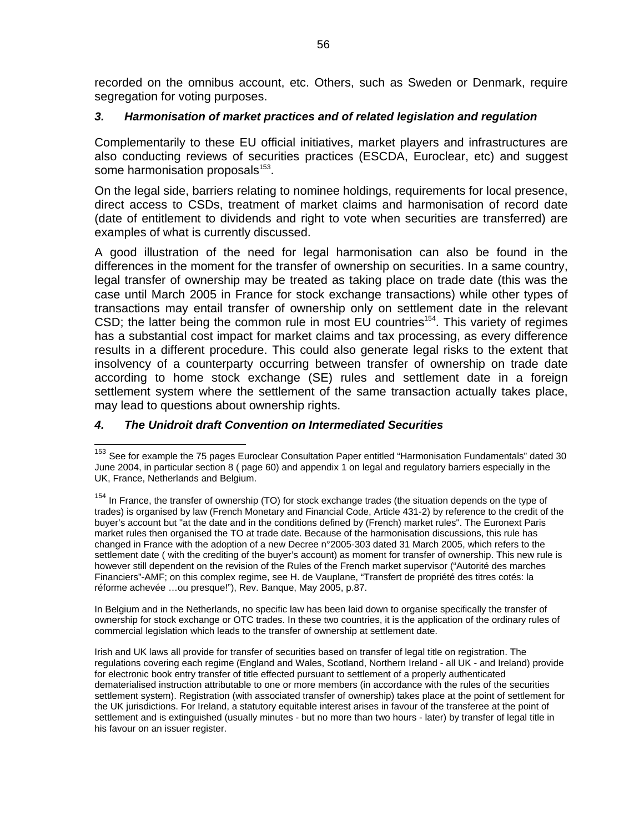recorded on the omnibus account, etc. Others, such as Sweden or Denmark, require segregation for voting purposes.

#### *3. Harmonisation of market practices and of related legislation and regulation*

Complementarily to these EU official initiatives, market players and infrastructures are also conducting reviews of securities practices (ESCDA, Euroclear, etc) and suggest some harmonisation proposals<sup>153</sup>.

On the legal side, barriers relating to nominee holdings, requirements for local presence, direct access to CSDs, treatment of market claims and harmonisation of record date (date of entitlement to dividends and right to vote when securities are transferred) are examples of what is currently discussed.

A good illustration of the need for legal harmonisation can also be found in the differences in the moment for the transfer of ownership on securities. In a same country, legal transfer of ownership may be treated as taking place on trade date (this was the case until March 2005 in France for stock exchange transactions) while other types of transactions may entail transfer of ownership only on settlement date in the relevant CSD; the latter being the common rule in most  $E\dot{U}$  countries<sup>154</sup>. This variety of regimes has a substantial cost impact for market claims and tax processing, as every difference results in a different procedure. This could also generate legal risks to the extent that insolvency of a counterparty occurring between transfer of ownership on trade date according to home stock exchange (SE) rules and settlement date in a foreign settlement system where the settlement of the same transaction actually takes place, may lead to questions about ownership rights.

#### *4. The Unidroit draft Convention on Intermediated Securities*

In Belgium and in the Netherlands, no specific law has been laid down to organise specifically the transfer of ownership for stock exchange or OTC trades. In these two countries, it is the application of the ordinary rules of commercial legislation which leads to the transfer of ownership at settlement date.

Irish and UK laws all provide for transfer of securities based on transfer of legal title on registration. The regulations covering each regime (England and Wales, Scotland, Northern Ireland - all UK - and Ireland) provide for electronic book entry transfer of title effected pursuant to settlement of a properly authenticated dematerialised instruction attributable to one or more members (in accordance with the rules of the securities settlement system). Registration (with associated transfer of ownership) takes place at the point of settlement for the UK jurisdictions. For Ireland, a statutory equitable interest arises in favour of the transferee at the point of settlement and is extinguished (usually minutes - but no more than two hours - later) by transfer of legal title in his favour on an issuer register.

<sup>&</sup>lt;sup>153</sup> See for example the 75 pages Euroclear Consultation Paper entitled "Harmonisation Fundamentals" dated 30 June 2004, in particular section 8 ( page 60) and appendix 1 on legal and regulatory barriers especially in the UK, France, Netherlands and Belgium.

<sup>&</sup>lt;sup>154</sup> In France, the transfer of ownership (TO) for stock exchange trades (the situation depends on the type of trades) is organised by law (French Monetary and Financial Code, Article 431-2) by reference to the credit of the buyer's account but "at the date and in the conditions defined by (French) market rules". The Euronext Paris market rules then organised the TO at trade date. Because of the harmonisation discussions, this rule has changed in France with the adoption of a new Decree n°2005-303 dated 31 March 2005, which refers to the settlement date ( with the crediting of the buyer's account) as moment for transfer of ownership. This new rule is however still dependent on the revision of the Rules of the French market supervisor ("Autorité des marches Financiers"-AMF; on this complex regime, see H. de Vauplane, "Transfert de propriété des titres cotés: la réforme achevée …ou presque!"), Rev. Banque, May 2005, p.87.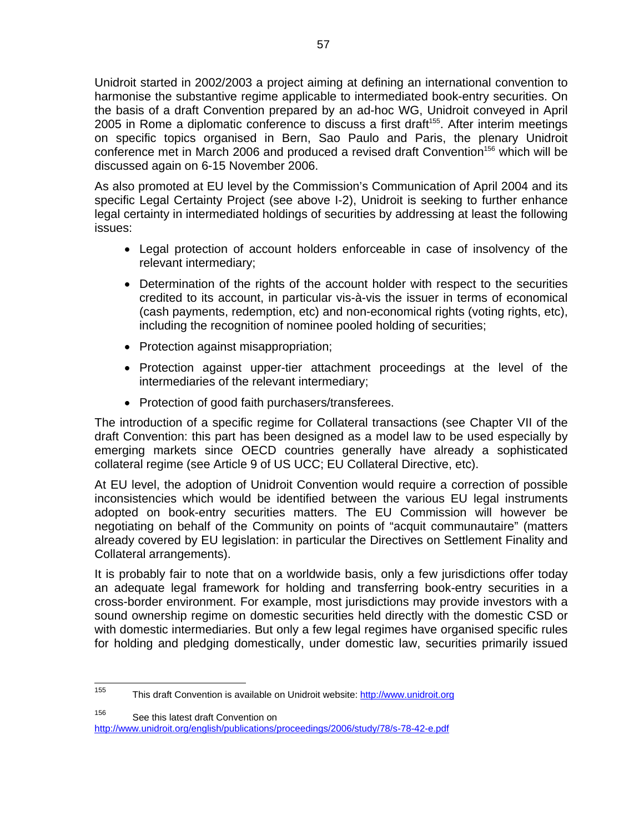Unidroit started in 2002/2003 a project aiming at defining an international convention to harmonise the substantive regime applicable to intermediated book-entry securities. On the basis of a draft Convention prepared by an ad-hoc WG, Unidroit conveyed in April 2005 in Rome a diplomatic conference to discuss a first draft<sup>155</sup>. After interim meetings on specific topics organised in Bern, Sao Paulo and Paris, the plenary Unidroit conference met in March 2006 and produced a revised draft Convention<sup>156</sup> which will be discussed again on 6-15 November 2006.

As also promoted at EU level by the Commission's Communication of April 2004 and its specific Legal Certainty Project (see above I-2), Unidroit is seeking to further enhance legal certainty in intermediated holdings of securities by addressing at least the following issues:

- Legal protection of account holders enforceable in case of insolvency of the relevant intermediary;
- Determination of the rights of the account holder with respect to the securities credited to its account, in particular vis-à-vis the issuer in terms of economical (cash payments, redemption, etc) and non-economical rights (voting rights, etc), including the recognition of nominee pooled holding of securities;
- Protection against misappropriation;
- Protection against upper-tier attachment proceedings at the level of the intermediaries of the relevant intermediary;
- Protection of good faith purchasers/transferees.

The introduction of a specific regime for Collateral transactions (see Chapter VII of the draft Convention: this part has been designed as a model law to be used especially by emerging markets since OECD countries generally have already a sophisticated collateral regime (see Article 9 of US UCC; EU Collateral Directive, etc).

At EU level, the adoption of Unidroit Convention would require a correction of possible inconsistencies which would be identified between the various EU legal instruments adopted on book-entry securities matters. The EU Commission will however be negotiating on behalf of the Community on points of "acquit communautaire" (matters already covered by EU legislation: in particular the Directives on Settlement Finality and Collateral arrangements).

It is probably fair to note that on a worldwide basis, only a few jurisdictions offer today an adequate legal framework for holding and transferring book-entry securities in a cross-border environment. For example, most jurisdictions may provide investors with a sound ownership regime on domestic securities held directly with the domestic CSD or with domestic intermediaries. But only a few legal regimes have organised specific rules for holding and pledging domestically, under domestic law, securities primarily issued

155 This draft Convention is available on Unidroit website: http://www.unidroit.org

156 See this latest draft Convention on

http://www.unidroit.org/english/publications/proceedings/2006/study/78/s-78-42-e.pdf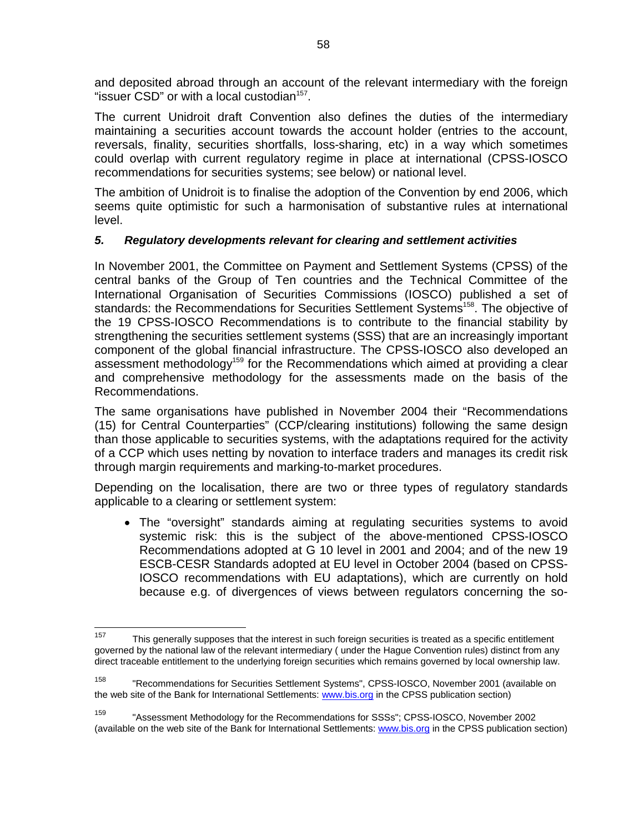and deposited abroad through an account of the relevant intermediary with the foreign "issuer  $CSD$ " or with a local custodian $157$ .

The current Unidroit draft Convention also defines the duties of the intermediary maintaining a securities account towards the account holder (entries to the account, reversals, finality, securities shortfalls, loss-sharing, etc) in a way which sometimes could overlap with current regulatory regime in place at international (CPSS-IOSCO recommendations for securities systems; see below) or national level.

The ambition of Unidroit is to finalise the adoption of the Convention by end 2006, which seems quite optimistic for such a harmonisation of substantive rules at international level.

# *5. Regulatory developments relevant for clearing and settlement activities*

In November 2001, the Committee on Payment and Settlement Systems (CPSS) of the central banks of the Group of Ten countries and the Technical Committee of the International Organisation of Securities Commissions (IOSCO) published a set of standards: the Recommendations for Securities Settlement Systems<sup>158</sup>. The objective of the 19 CPSS-IOSCO Recommendations is to contribute to the financial stability by strengthening the securities settlement systems (SSS) that are an increasingly important component of the global financial infrastructure. The CPSS-IOSCO also developed an assessment methodology<sup>159</sup> for the Recommendations which aimed at providing a clear and comprehensive methodology for the assessments made on the basis of the Recommendations.

The same organisations have published in November 2004 their "Recommendations (15) for Central Counterparties" (CCP/clearing institutions) following the same design than those applicable to securities systems, with the adaptations required for the activity of a CCP which uses netting by novation to interface traders and manages its credit risk through margin requirements and marking-to-market procedures.

Depending on the localisation, there are two or three types of regulatory standards applicable to a clearing or settlement system:

• The "oversight" standards aiming at regulating securities systems to avoid systemic risk: this is the subject of the above-mentioned CPSS-IOSCO Recommendations adopted at G 10 level in 2001 and 2004; and of the new 19 ESCB-CESR Standards adopted at EU level in October 2004 (based on CPSS-IOSCO recommendations with EU adaptations), which are currently on hold because e.g. of divergences of views between regulators concerning the so-

<sup>157</sup> This generally supposes that the interest in such foreign securities is treated as a specific entitlement governed by the national law of the relevant intermediary ( under the Hague Convention rules) distinct from any direct traceable entitlement to the underlying foreign securities which remains governed by local ownership law.

<sup>158</sup> "Recommendations for Securities Settlement Systems", CPSS-IOSCO, November 2001 (available on the web site of the Bank for International Settlements: www.bis.org in the CPSS publication section)

<sup>159 &</sup>quot;Assessment Methodology for the Recommendations for SSSs"; CPSS-IOSCO, November 2002 (available on the web site of the Bank for International Settlements: www.bis.org in the CPSS publication section)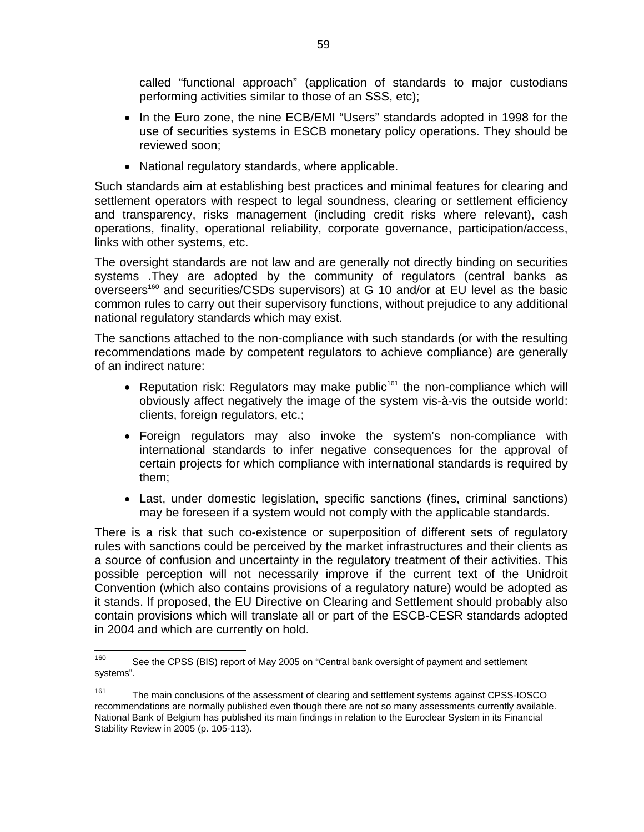called "functional approach" (application of standards to major custodians performing activities similar to those of an SSS, etc);

- In the Euro zone, the nine ECB/EMI "Users" standards adopted in 1998 for the use of securities systems in ESCB monetary policy operations. They should be reviewed soon;
- National regulatory standards, where applicable.

Such standards aim at establishing best practices and minimal features for clearing and settlement operators with respect to legal soundness, clearing or settlement efficiency and transparency, risks management (including credit risks where relevant), cash operations, finality, operational reliability, corporate governance, participation/access, links with other systems, etc.

The oversight standards are not law and are generally not directly binding on securities systems .They are adopted by the community of regulators (central banks as  $oversees<sup>160</sup>$  and securities/CSDs supervisors) at G 10 and/or at EU level as the basic common rules to carry out their supervisory functions, without prejudice to any additional national regulatory standards which may exist.

The sanctions attached to the non-compliance with such standards (or with the resulting recommendations made by competent regulators to achieve compliance) are generally of an indirect nature:

- Reputation risk: Regulators may make public<sup>161</sup> the non-compliance which will obviously affect negatively the image of the system vis-à-vis the outside world: clients, foreign regulators, etc.;
- Foreign regulators may also invoke the system's non-compliance with international standards to infer negative consequences for the approval of certain projects for which compliance with international standards is required by them;
- Last, under domestic legislation, specific sanctions (fines, criminal sanctions) may be foreseen if a system would not comply with the applicable standards.

There is a risk that such co-existence or superposition of different sets of regulatory rules with sanctions could be perceived by the market infrastructures and their clients as a source of confusion and uncertainty in the regulatory treatment of their activities. This possible perception will not necessarily improve if the current text of the Unidroit Convention (which also contains provisions of a regulatory nature) would be adopted as it stands. If proposed, the EU Directive on Clearing and Settlement should probably also contain provisions which will translate all or part of the ESCB-CESR standards adopted in 2004 and which are currently on hold.

<sup>160</sup> See the CPSS (BIS) report of May 2005 on "Central bank oversight of payment and settlement systems".

<sup>&</sup>lt;sup>161</sup> The main conclusions of the assessment of clearing and settlement systems against CPSS-IOSCO recommendations are normally published even though there are not so many assessments currently available. National Bank of Belgium has published its main findings in relation to the Euroclear System in its Financial Stability Review in 2005 (p. 105-113).